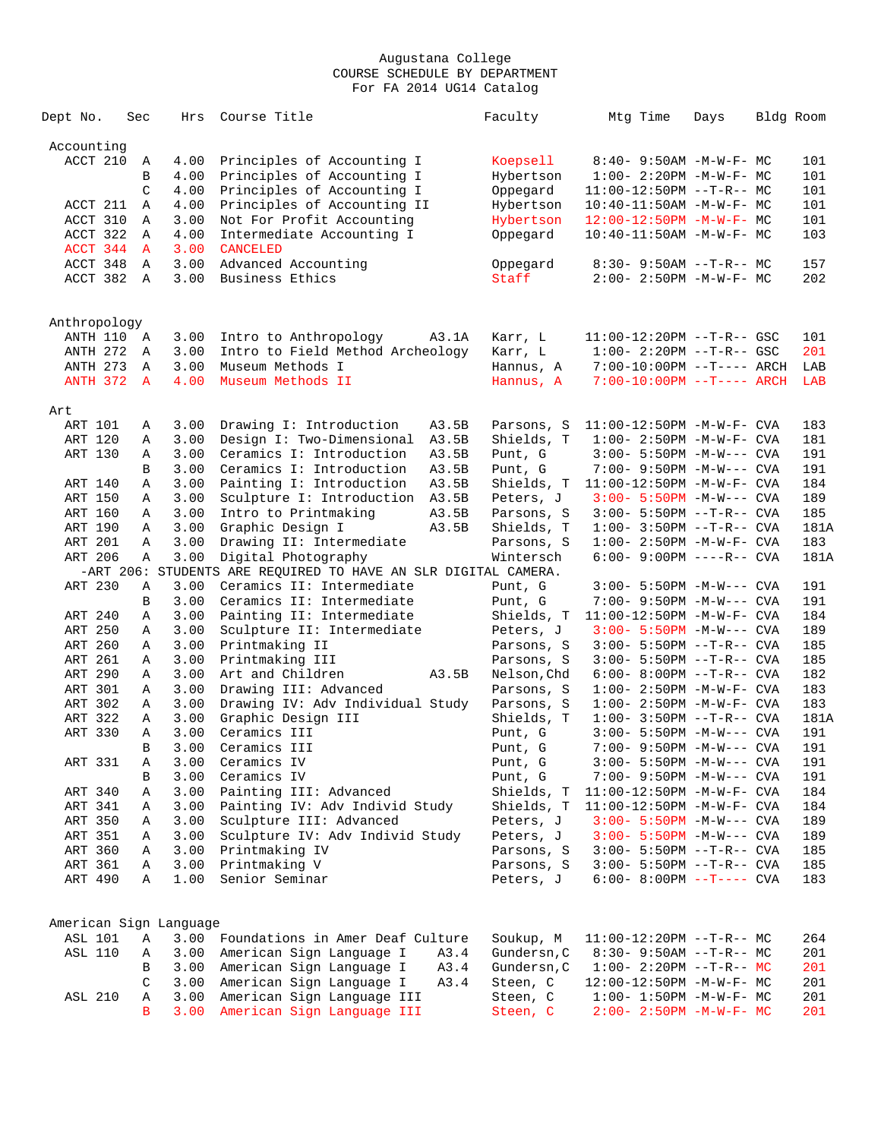| Dept No.               | Sec           | Hrs  | Course Title                                                   | Faculty     | Mtg Time                         | Days | Bldg Room |
|------------------------|---------------|------|----------------------------------------------------------------|-------------|----------------------------------|------|-----------|
| Accounting             |               |      |                                                                |             |                                  |      |           |
| ACCT 210               | A             | 4.00 | Principles of Accounting I                                     | Koepsell    | 8:40- 9:50AM -M-W-F- MC          |      | 101       |
|                        | B             | 4.00 | Principles of Accounting I                                     | Hybertson   | $1:00-2:20PM -M-W-F-MC$          |      | 101       |
|                        | $\mathcal{C}$ | 4.00 | Principles of Accounting I                                     | Oppegard    | $11:00-12:50PM$ --T-R-- MC       |      | 101       |
| ACCT 211               | Α             | 4.00 | Principles of Accounting II                                    | Hybertson   | $10:40-11:50AM$ -M-W-F- MC       |      | 101       |
| ACCT 310               | Α             | 3.00 | Not For Profit Accounting                                      | Hybertson   | $12:00-12:50PM -M-W-F-MC$        |      | 101       |
| ACCT 322               | Α             | 4.00 | Intermediate Accounting I                                      | Oppegard    | 10:40-11:50AM -M-W-F- MC         |      | 103       |
| ACCT 344               | A             | 3.00 | <b>CANCELED</b>                                                |             |                                  |      |           |
| ACCT 348               | $\mathbb A$   | 3.00 | Advanced Accounting                                            | Oppegard    | $8:30 - 9:50AM -T-R-- MC$        |      | 157       |
| ACCT 382               | A             | 3.00 | Business Ethics                                                | Staff       | 2:00- 2:50PM -M-W-F- MC          |      | 202       |
| Anthropology           |               |      |                                                                |             |                                  |      |           |
| ANTH 110               | Α             | 3.00 | Intro to Anthropology<br>A3.1A                                 | Karr, L     | 11:00-12:20PM --T-R-- GSC        |      | 101       |
| <b>ANTH 272</b>        | Α             | 3.00 | Intro to Field Method Archeology                               | Karr, L     | $1:00 - 2:20PM -T-R--GSC$        |      | 201       |
| ANTH 273               | A             | 3.00 | Museum Methods I                                               | Hannus, A   | 7:00-10:00PM --T---- ARCH        |      | LAB       |
| ANTH 372               | $\mathbf{A}$  | 4.00 | Museum Methods II                                              | Hannus, A   | $7:00-10:00PM$ --T---- ARCH      |      | LAB       |
| Art                    |               |      |                                                                |             |                                  |      |           |
| <b>ART 101</b>         | Α             | 3.00 | Drawing I: Introduction<br>A3.5B                               | Parsons, S  | $11:00-12:50PM -M-W-F-CVA$       |      | 183       |
| ART 120                | Α             | 3.00 | A3.5B<br>Design I: Two-Dimensional                             | Shields, T  | $1:00 - 2:50PM -M-W-F-CVA$       |      | 181       |
| ART 130                | Α             | 3.00 | Ceramics I: Introduction<br>A3.5B                              | Punt, G     | $3:00 - 5:50PM -M-W---$ CVA      |      | 191       |
|                        | B             | 3.00 | Ceramics I: Introduction<br>A3.5B                              | Punt, G     | 7:00- 9:50PM -M-W--- CVA         |      | 191       |
| ART 140                | Α             | 3.00 | Painting I: Introduction<br>A3.5B                              | Shields, T  | $11:00-12:50PM -M-W-F-CVA$       |      | 184       |
| ART 150                | Α             | 3.00 | Sculpture I: Introduction A3.5B                                | Peters, J   | $3:00 - 5:50PM - M-W---$ CVA     |      | 189       |
| ART 160                | Α             | 3.00 | Intro to Printmaking<br>A3.5B                                  | Parsons, S  | $3:00 - 5:50PM -T-R--CVA$        |      | 185       |
| ART 190                | Α             | 3.00 | Graphic Design I<br>A3.5B                                      | Shields, T  | $1:00 - 3:50PM -T-R--CVA$        |      | 181A      |
| ART 201                | Α             | 3.00 | Drawing II: Intermediate                                       | Parsons, S  | $1:00 - 2:50PM -M-W-F-CVA$       |      | 183       |
| ART 206                | Α             | 3.00 | Digital Photography                                            | Wintersch   | 6:00- 9:00PM ----R-- CVA         |      | 181A      |
|                        |               |      | -ART 206: STUDENTS ARE REQUIRED TO HAVE AN SLR DIGITAL CAMERA. |             |                                  |      |           |
| ART 230                | Α             | 3.00 | Ceramics II: Intermediate                                      | Punt, G     | $3:00 - 5:50PM -M-W---$ CVA      |      | 191       |
|                        | B             | 3.00 | Ceramics II: Intermediate                                      | Punt, G     | 7:00- 9:50PM -M-W--- CVA         |      | 191       |
| ART 240                | Α             | 3.00 | Painting II: Intermediate                                      | Shields, T  | $11:00-12:50PM -M-W-F-CVA$       |      | 184       |
| ART 250                | Α             | 3.00 | Sculpture II: Intermediate                                     | Peters, J   | $3:00 - 5:50PM -M-W---$ CVA      |      | 189       |
| ART 260                | Α             | 3.00 | Printmaking II                                                 | Parsons, S  | $3:00 - 5:50PM -T-R--CVA$        |      | 185       |
| ART 261                | Α             | 3.00 | Printmaking III                                                | Parsons, S  | $3:00 - 5:50PM -T-R--CVA$        |      | 185       |
| <b>ART 290</b>         | Α             | 3.00 | Art and Children<br>A3.5B                                      | Nelson, Chd | $6:00 - 8:00PM -T-R--CVA$        |      | 182       |
| ART 301                | Α             | 3.00 | Drawing III: Advanced                                          | Parsons, S  | $1:00 - 2:50PM -M-W-F - CVA$     |      | 183       |
| ART 302                | Α             | 3.00 | Drawing IV: Adv Individual Study                               | Parsons, S  | $1:00 - 2:50PM -M-W-F-CVA$       |      | 183       |
| ART 322                | Α             | 3.00 | Graphic Design III                                             | Shields, T  | $1:00 - 3:50PM -T-R--CVA$        |      | 181A      |
| ART 330                | Α             | 3.00 | Ceramics III                                                   | Punt, G     | $3:00 - 5:50PM -M-W---$ CVA      |      | 191       |
|                        | B             | 3.00 | Ceramics III                                                   | Punt, G     | 7:00- 9:50PM -M-W--- CVA         |      | 191       |
| ART 331                | А             | 3.00 | Ceramics IV                                                    | Punt, G     | 3:00- 5:50PM -M-W--- CVA         |      | 191       |
|                        | В             | 3.00 | Ceramics IV                                                    | Punt, G     | 7:00- 9:50PM -M-W--- CVA         |      | 191       |
| ART 340                | Α             | 3.00 | Painting III: Advanced                                         | Shields, T  | $11:00-12:50PM -M-W-F-CVA$       |      | 184       |
| ART 341                | Α             | 3.00 | Painting IV: Adv Individ Study                                 | Shields, T  | $11:00-12:50PM$ -M-W-F- CVA      |      | 184       |
| ART 350                | Α             | 3.00 | Sculpture III: Advanced                                        | Peters, J   | $3:00 - 5:50PM - M-W---$ CVA     |      | 189       |
| ART 351                | Α             | 3.00 | Sculpture IV: Adv Individ Study                                | Peters, J   | $3:00 - 5:50PM - M-W---$ CVA     |      | 189       |
| ART 360                | Α             | 3.00 | Printmaking IV                                                 | Parsons, S  | $3:00 - 5:50PM -T-R--CVA$        |      | 185       |
| ART 361                | Α             | 3.00 | Printmaking V                                                  | Parsons, S  | $3:00 - 5:50PM -T-R--CVA$        |      | 185       |
| ART 490                | Α             | 1.00 | Senior Seminar                                                 | Peters, J   | 6:00- 8:00PM --T---- CVA         |      | 183       |
| American Sign Language |               |      |                                                                |             |                                  |      |           |
| <b>ASL 101</b>         | Α             | 3.00 | Foundations in Amer Deaf Culture                               | Soukup, M   | $11:00-12:20PM -T-R-- MC$        |      | 264       |
| <b>ASL 110</b>         | Α             | 3.00 | American Sign Language I<br>A3.4                               | Gundersn, C | $8:30 - 9:50AM -T-R-- MC$        |      | 201       |
|                        | В             | 3.00 | American Sign Language I<br>A3.4                               | Gundersn, C | $1:00-2:20PM -T-R--MC$           |      | 201       |
|                        | C             | 3.00 | American Sign Language I<br>A3.4                               | Steen, C    | $12:00-12:50PM -M-W-F-MC$        |      | 201       |
| ASL 210                | Α             | 3.00 | American Sign Language III                                     | Steen, C    | $1:00 - 1:50PM - M - W - F - MC$ |      | 201       |
|                        | B             | 3.00 | American Sign Language III                                     | Steen, C    | $2:00-2:50PM -M-W-F-MC$          |      | 201       |
|                        |               |      |                                                                |             |                                  |      |           |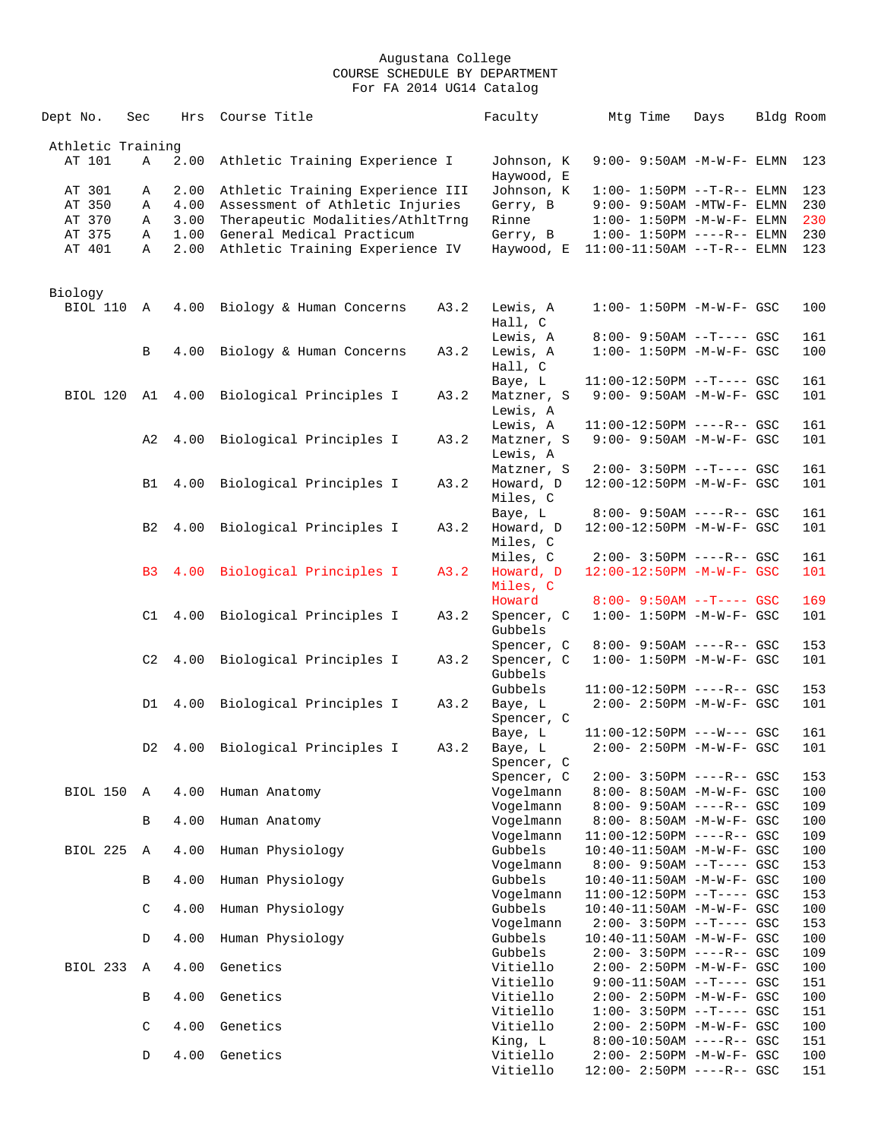| Dept No.          | Sec            | Hrs        | Course Title                             |      | Faculty                  | Mtg Time                                                      | Days | Bldg Room |            |
|-------------------|----------------|------------|------------------------------------------|------|--------------------------|---------------------------------------------------------------|------|-----------|------------|
| Athletic Training |                |            |                                          |      |                          |                                                               |      |           |            |
| AT 101            | Α              | 2.00       | Athletic Training Experience I           |      | Johnson, K<br>Haywood, E | $9:00 - 9:50AM -M-W-F - ELMN$                                 |      |           | 123        |
| AT 301            | Α              | 2.00       | Athletic Training Experience III         |      | Johnson, K               | $1:00 - 1:50PM -T-R-- ELMN$                                   |      |           | 123        |
| AT 350            | Α              | 4.00       | Assessment of Athletic Injuries          |      | Gerry, B                 | $9:00 - 9:50AM - MTW-F - ELMN$                                |      |           | 230        |
| AT 370            | Α              | 3.00       | Therapeutic Modalities/AthltTrng         |      | Rinne                    | $1:00 - 1:50PM -M -W -F - ELMN$                               |      |           | 230        |
| AT 375            | Α              | 1.00       | General Medical Practicum                |      | Gerry, B                 | $1:00 - 1:50PM$ ----R-- ELMN                                  |      |           | 230        |
| AT 401            | Α              | 2.00       | Athletic Training Experience IV          |      | Haywood, E               | $11:00-11:50AM$ --T-R-- ELMN                                  |      |           | 123        |
| Biology           |                |            |                                          |      |                          |                                                               |      |           |            |
| BIOL 110          | Α              | 4.00       | Biology & Human Concerns                 | A3.2 | Lewis, A                 | $1:00 - 1:50PM - M - W - F - GSC$                             |      |           | 100        |
|                   |                |            |                                          |      | Hall, C                  |                                                               |      |           |            |
|                   |                |            |                                          |      | Lewis, A                 | $8:00 - 9:50AM -T--- GSC$                                     |      |           | 161        |
|                   | B              | 4.00       | Biology & Human Concerns                 | A3.2 | Lewis, A                 | $1:00 - 1:50PM - M - W - F - GSC$                             |      |           | 100        |
|                   |                |            |                                          |      | Hall, C                  |                                                               |      |           |            |
|                   |                |            | BIOL 120 A1 4.00 Biological Principles I |      | Baye, L                  | $11:00-12:50PM$ --T---- GSC<br>9:00- 9:50AM -M-W-F- GSC       |      |           | 161<br>101 |
|                   |                |            |                                          | A3.2 | Matzner, S<br>Lewis, A   |                                                               |      |           |            |
|                   |                |            |                                          |      | Lewis, A                 | $11:00-12:50PM$ ----R-- GSC                                   |      |           | 161        |
|                   | A2             | 4.00       | Biological Principles I                  | A3.2 | Matzner, S               | $9:00 - 9:50AM - M - W - F - GSC$                             |      |           | 101        |
|                   |                |            |                                          |      | Lewis, A                 |                                                               |      |           |            |
|                   |                |            |                                          |      | Matzner, S               | $2:00-3:50PM$ --T---- GSC                                     |      |           | 161        |
|                   | B1             | 4.00       | Biological Principles I                  | A3.2 | Howard, D                | 12:00-12:50PM -M-W-F- GSC                                     |      |           | 101        |
|                   |                |            |                                          |      | Miles, C                 |                                                               |      |           |            |
|                   | B <sub>2</sub> | 4.00       | Biological Principles I                  | A3.2 | Baye, L<br>Howard, D     | $8:00 - 9:50AM$ ----R-- GSC<br>12:00-12:50PM -M-W-F- GSC      |      |           | 161<br>101 |
|                   |                |            |                                          |      | Miles, C                 |                                                               |      |           |            |
|                   |                |            |                                          |      | Miles, C                 | $2:00 - 3:50PM$ ----R-- GSC                                   |      |           | 161        |
|                   | B <sub>3</sub> | $4\,.\,00$ | Biological Principles I                  | A3.2 | Howard, D                | 12:00-12:50PM -M-W-F- GSC                                     |      |           | 101        |
|                   |                |            |                                          |      | Miles, C                 |                                                               |      |           |            |
|                   |                |            |                                          |      | Howard                   | $8:00 - 9:50AM -T--- GSC$                                     |      |           | 169        |
|                   | C1             | 4.00       | Biological Principles I                  | A3.2 | Spencer, C               | $1:00 - 1:50PM - M - W - F - GSC$                             |      |           | 101        |
|                   |                |            |                                          |      | Gubbels<br>Spencer, C    | $8:00 - 9:50AM$ ----R-- GSC                                   |      |           | 153        |
|                   | C2             | 4.00       | Biological Principles I                  | A3.2 | Spencer, C               | $1:00 - 1:50PM - M - W - F - GSC$                             |      |           | 101        |
|                   |                |            |                                          |      | Gubbels                  |                                                               |      |           |            |
|                   |                |            |                                          |      | Gubbels                  | 11:00-12:50PM ----R-- GSC                                     |      |           | 153        |
|                   | D1             | 4.00       | Biological Principles I                  | A3.2 | Baye, L                  | $2:00 - 2:50PM - M - W - F - GSC$                             |      |           | 101        |
|                   |                |            |                                          |      | Spencer, C               |                                                               |      |           |            |
|                   |                |            |                                          |      | Baye, L                  | $11:00-12:50PM$ ---W--- GSC                                   |      |           | 161        |
|                   | D2             | 4.00       | Biological Principles I                  | A3.2 | Baye, L<br>Spencer, C    | 2:00- 2:50PM -M-W-F- GSC                                      |      |           | 101        |
|                   |                |            |                                          |      | Spencer, C               | 2:00- 3:50PM ----R-- GSC                                      |      |           | 153        |
| BIOL 150          | A              | 4.00       | Human Anatomy                            |      | Vogelmann                | 8:00- 8:50AM -M-W-F- GSC                                      |      |           | 100        |
|                   |                |            |                                          |      | Vogelmann                | $8:00 - 9:50AM$ ----R-- GSC                                   |      |           | 109        |
|                   | B              | 4.00       | Human Anatomy                            |      | Vogelmann                | 8:00- 8:50AM -M-W-F- GSC                                      |      |           | 100        |
|                   |                |            |                                          |      | Vogelmann                | 11:00-12:50PM ----R-- GSC                                     |      |           | 109        |
| <b>BIOL 225</b>   | Α              | 4.00       | Human Physiology                         |      | Gubbels                  | 10:40-11:50AM -M-W-F- GSC                                     |      |           | 100        |
|                   | B              | 4.00       | Human Physiology                         |      | Vogelmann<br>Gubbels     | $8:00 - 9:50AM -T--- GSC$<br>$10:40 - 11:50$ AM $-M-W-F-$ GSC |      |           | 153<br>100 |
|                   |                |            |                                          |      | Vogelmann                | $11:00-12:50PM$ --T---- GSC                                   |      |           | 153        |
|                   | $\mathsf C$    | 4.00       | Human Physiology                         |      | Gubbels                  | 10:40-11:50AM -M-W-F- GSC                                     |      |           | 100        |
|                   |                |            |                                          |      | Vogelmann                | $2:00 - 3:50PM -T--- GSC$                                     |      |           | 153        |
|                   | D              | 4.00       | Human Physiology                         |      | Gubbels                  | 10:40-11:50AM -M-W-F- GSC                                     |      |           | 100        |
|                   |                |            |                                          |      | Gubbels                  | $2:00-3:50PM$ ----R-- GSC                                     |      |           | 109        |
| BIOL 233          | $\mathbb{A}$   | 4.00       | Genetics                                 |      | Vitiello                 | 2:00- 2:50PM -M-W-F- GSC                                      |      |           | 100        |
|                   | B              | 4.00       | Genetics                                 |      | Vitiello<br>Vitiello     | 9:00-11:50AM --T---- GSC<br>2:00- 2:50PM -M-W-F- GSC          |      |           | 151<br>100 |
|                   |                |            |                                          |      | Vitiello                 | $1:00-3:50PM --T---GSC$                                       |      |           | 151        |
|                   | $\mathsf C$    | 4.00       | Genetics                                 |      | Vitiello                 | 2:00- 2:50PM -M-W-F- GSC                                      |      |           | 100        |
|                   |                |            |                                          |      | King, L                  | $8:00-10:50AM$ ----R-- GSC                                    |      |           | 151        |
|                   | D              | 4.00       | Genetics                                 |      | Vitiello                 | 2:00- 2:50PM -M-W-F- GSC                                      |      |           | 100        |
|                   |                |            |                                          |      | Vitiello                 | 12:00- 2:50PM ----R-- GSC                                     |      |           | 151        |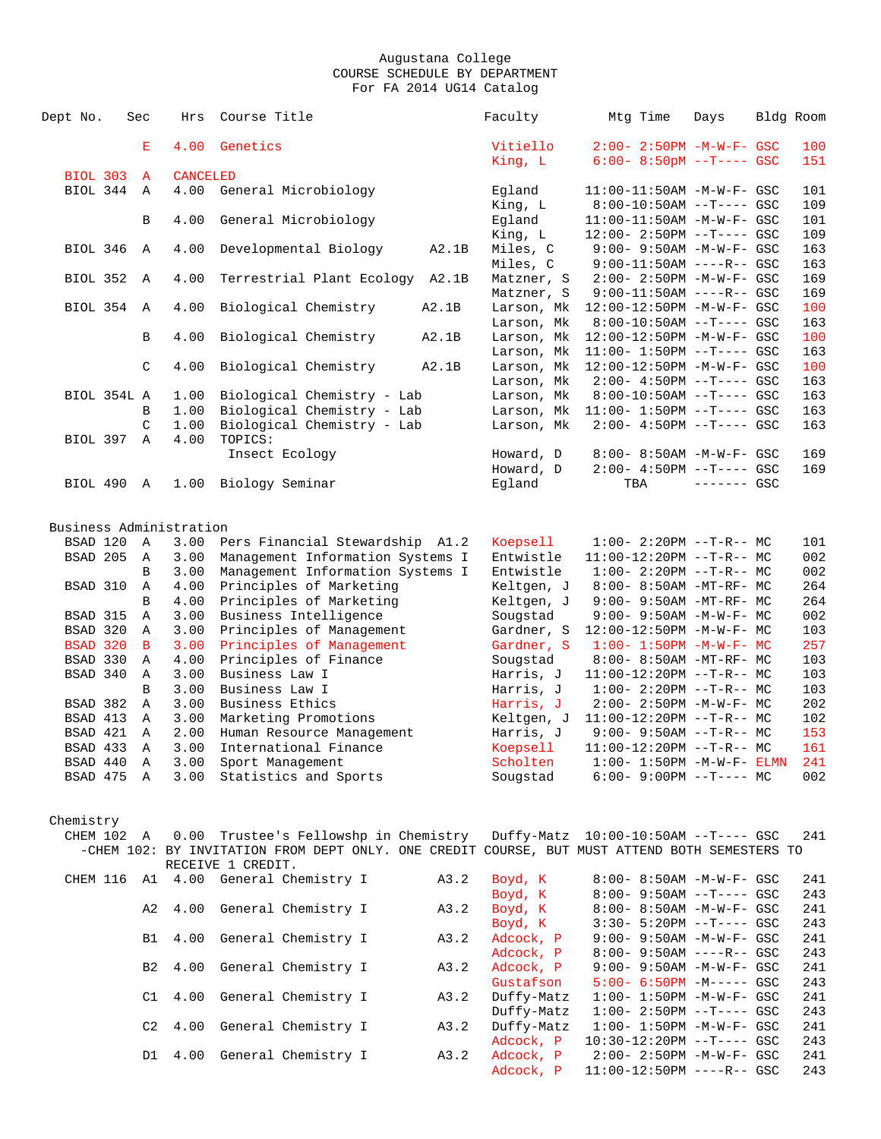| Dept No.                | Sec            | Hrs             | Course Title                                                                                                       |       | Faculty                  | Mtg Time                                                    | Days         | Bldg Room  |
|-------------------------|----------------|-----------------|--------------------------------------------------------------------------------------------------------------------|-------|--------------------------|-------------------------------------------------------------|--------------|------------|
|                         | Е              | 4.00            | Genetics                                                                                                           |       | Vitiello                 | $2:00 - 2:50PM - M - W - F - GSC$                           |              | 100        |
|                         |                |                 |                                                                                                                    |       | King, L                  | $6:00 - 8:50pM -T--- GSC$                                   |              | 151        |
| <b>BIOL 303</b>         | $\mathbf{A}$   | <b>CANCELED</b> |                                                                                                                    |       |                          |                                                             |              |            |
| BIOL 344                | A              | 4.00            | General Microbiology                                                                                               |       | Eqland                   | $11:00-11:50AM$ -M-W-F- GSC                                 |              | 101        |
|                         |                |                 |                                                                                                                    |       | King, L                  | $8:00-10:50AM$ --T---- GSC                                  |              | 109        |
|                         | B              | 4.00            | General Microbiology                                                                                               |       | Egland                   | $11:00-11:50AM$ -M-W-F- GSC                                 |              | 101        |
|                         |                |                 |                                                                                                                    |       | King, L                  | 12:00- 2:50PM --T---- GSC                                   |              | 109        |
| BIOL 346                | A              | 4.00            | Developmental Biology                                                                                              | A2.1B | Miles, C                 | $9:00 - 9:50AM - M - W - F - GSC$                           |              | 163        |
|                         |                |                 |                                                                                                                    |       | Miles, C                 | $9:00-11:50AM$ ----R-- GSC                                  |              | 163        |
| <b>BIOL 352</b>         | Α              | 4.00            | Terrestrial Plant Ecology A2.1B                                                                                    |       | Matzner, S               | 2:00- 2:50PM -M-W-F- GSC                                    |              | 169        |
|                         |                |                 |                                                                                                                    |       | Matzner, S               | $9:00-11:50AM$ ----R-- GSC                                  |              | 169        |
| BIOL 354                | A              | 4.00            | Biological Chemistry                                                                                               | A2.1B | Larson, Mk               | 12:00-12:50PM -M-W-F- GSC                                   |              | 100        |
|                         |                |                 |                                                                                                                    |       | Larson, Mk               | $8:00-10:50AM$ --T---- GSC                                  |              | 163        |
|                         | В              | 4.00            | Biological Chemistry                                                                                               | A2.1B | Larson, Mk               | 12:00-12:50PM -M-W-F- GSC                                   |              | 100        |
|                         |                |                 |                                                                                                                    |       | Larson, Mk               | $11:00 - 1:50PM -T--- GSC$                                  |              | 163        |
|                         | C              | 4.00            | Biological Chemistry                                                                                               | A2.1B | Larson, Mk               | 12:00-12:50PM -M-W-F- GSC                                   |              | 100        |
| BIOL 354L A             |                |                 | Biological Chemistry - Lab                                                                                         |       | Larson, Mk<br>Larson, Mk | $2:00-4:50PM -T---GSC$                                      |              | 163<br>163 |
|                         | В              | 1.00<br>1.00    | Biological Chemistry - Lab                                                                                         |       | Larson, Mk               | $8:00-10:50AM$ --T---- GSC<br>$11:00 - 1:50PM -T--- GSC$    |              | 163        |
|                         | C              | 1.00            | Biological Chemistry - Lab                                                                                         |       | Larson, Mk               | $2:00-4:50PM$ --T---- GSC                                   |              | 163        |
| BIOL 397                | Α              | 4.00            | TOPICS:                                                                                                            |       |                          |                                                             |              |            |
|                         |                |                 | Insect Ecology                                                                                                     |       | Howard, D                | 8:00- 8:50AM -M-W-F- GSC                                    |              | 169        |
|                         |                |                 |                                                                                                                    |       | Howard, D                | $2:00 - 4:50PM -T--- GSC$                                   |              | 169        |
| BIOL 490 A              |                | 1.00            | Biology Seminar                                                                                                    |       | Eqland                   | TBA                                                         | $------$ GSC |            |
|                         |                |                 |                                                                                                                    |       |                          |                                                             |              |            |
|                         |                |                 |                                                                                                                    |       |                          |                                                             |              |            |
| Business Administration |                |                 |                                                                                                                    |       |                          |                                                             |              |            |
| BSAD 120                | A              | 3.00            | Pers Financial Stewardship A1.2                                                                                    |       | Koepsell                 | $1:00-2:20PM -T-R--MC$                                      |              | 101        |
| BSAD 205                | A              | 3.00            | Management Information Systems I                                                                                   |       | Entwistle                | $11:00-12:20PM$ --T-R-- MC                                  |              | 002        |
|                         | B              | 3.00            | Management Information Systems I                                                                                   |       | Entwistle                | $1:00-2:20PM -T-R--MC$                                      |              | 002        |
| BSAD 310                | A<br>B         | 4.00<br>4.00    | Principles of Marketing                                                                                            |       | Keltgen, J               | 8:00- 8:50AM -MT-RF- MC                                     |              | 264<br>264 |
| BSAD 315                | Α              | 3.00            | Principles of Marketing<br>Business Intelligence                                                                   |       | Keltgen, J<br>Sougstad   | 9:00- 9:50AM -MT-RF- MC<br>$9:00 - 9:50AM - M - W - F - MC$ |              | 002        |
| BSAD 320                | Α              | 3.00            | Principles of Management                                                                                           |       | Gardner, S               | $12:00-12:50PM -M-W-F-MC$                                   |              | 103        |
| <b>BSAD 320</b>         | $\mathbf{B}$   | 3.00            | Principles of Management                                                                                           |       | Gardner, S               | $1:00 - 1:50PM - M - W - F - MC$                            |              | 257        |
| BSAD 330                | A              | 4.00            | Principles of Finance                                                                                              |       | Sougstad                 | 8:00- 8:50AM -MT-RF- MC                                     |              | 103        |
| BSAD 340                | Α              | 3.00            | Business Law I                                                                                                     |       | Harris, J                | $11:00-12:20PM$ --T-R-- MC                                  |              | 103        |
|                         | B              | 3.00            | Business Law I                                                                                                     |       | Harris, J                | $1:00 - 2:20PM -T-R-- MC$                                   |              | 103        |
| BSAD 382                | A              | 3.00            | Business Ethics                                                                                                    |       | Harris, J                | 2:00- 2:50PM -M-W-F- MC                                     |              | 202        |
| BSAD 413                | Α              | 3.00            | Marketing Promotions                                                                                               |       | Keltgen, J               | $11:00-12:20PM$ --T-R-- MC                                  |              | 102        |
| BSAD 421                | Α              | 2.00            | Human Resource Management                                                                                          |       | Harris, J                | $9:00 - 9:50AM -T-R-- MC$                                   |              | 153        |
| BSAD 433                | Α              | 3.00            | International Finance                                                                                              |       | Koepsell                 | $11:00-12:20PM$ --T-R-- MC                                  |              | 161        |
| BSAD 440                | A              | 3.00            | Sport Management                                                                                                   |       | Scholten                 | $1:00-1:50PM -M-W-F-ELMN$                                   |              | 241        |
| BSAD 475 A              |                | 3.00            | Statistics and Sports                                                                                              |       | Sougstad                 | $6:00-9:00PM$ --T---- MC                                    |              | 002        |
|                         |                |                 |                                                                                                                    |       |                          |                                                             |              |            |
|                         |                |                 |                                                                                                                    |       |                          |                                                             |              |            |
| Chemistry               |                |                 |                                                                                                                    |       |                          |                                                             |              |            |
| CHEM 102 A              |                |                 | 0.00 Trustee's Fellowshp in Chemistry                                                                              |       |                          |                                                             |              | 241        |
|                         |                |                 | -CHEM 102: BY INVITATION FROM DEPT ONLY. ONE CREDIT COURSE, BUT MUST ATTEND BOTH SEMESTERS TO<br>RECEIVE 1 CREDIT. |       |                          |                                                             |              |            |
|                         |                |                 | CHEM 116 A1 4.00 General Chemistry I                                                                               | A3.2  | Boyd, K                  | 8:00- 8:50AM -M-W-F- GSC                                    |              | 241        |
|                         |                |                 |                                                                                                                    |       | Boyd, K                  | $8:00 - 9:50AM -T--- GSC$                                   |              | 243        |
|                         | A2             | 4.00            | General Chemistry I                                                                                                | A3.2  | Boyd, K                  | 8:00- 8:50AM -M-W-F- GSC                                    |              | 241        |
|                         |                |                 |                                                                                                                    |       | Boyd, K                  | $3:30 - 5:20PM -T--- GSC$                                   |              | 243        |
|                         | B1             | 4.00            | General Chemistry I                                                                                                | A3.2  | Adcock, P                | 9:00- 9:50AM -M-W-F- GSC                                    |              | 241        |
|                         |                |                 |                                                                                                                    |       | Adcock, P                | $8:00 - 9:50AM$ ----R-- GSC                                 |              | 243        |
|                         | B2             | 4.00            | General Chemistry I                                                                                                | A3.2  | Adcock, P                | 9:00- 9:50AM -M-W-F- GSC                                    |              | 241        |
|                         |                |                 |                                                                                                                    |       | Gustafson                | $5:00 - 6:50PM - M--- -  GSC$                               |              | 243        |
|                         | C1             | 4.00            | General Chemistry I                                                                                                | A3.2  | Duffy-Matz               | $1:00 - 1:50PM - M - W - F - GSC$                           |              | 241        |
|                         |                |                 |                                                                                                                    |       | Duffy-Matz               | $1:00-2:50PM$ --T---- GSC                                   |              | 243        |
|                         | C <sub>2</sub> | 4.00            | General Chemistry I                                                                                                | A3.2  | Duffy-Matz               | $1:00 - 1:50PM - M - W - F - GSC$                           |              | 241        |
|                         |                |                 |                                                                                                                    |       | Adcock, P                | $10:30-12:20PM$ --T---- GSC                                 |              | 243        |
|                         |                | D1 4.00         | General Chemistry I                                                                                                | A3.2  | Adcock, P                | 2:00- 2:50PM -M-W-F- GSC                                    |              | 241        |
|                         |                |                 |                                                                                                                    |       | Adcock, P                | 11:00-12:50PM ----R-- GSC                                   |              | 243        |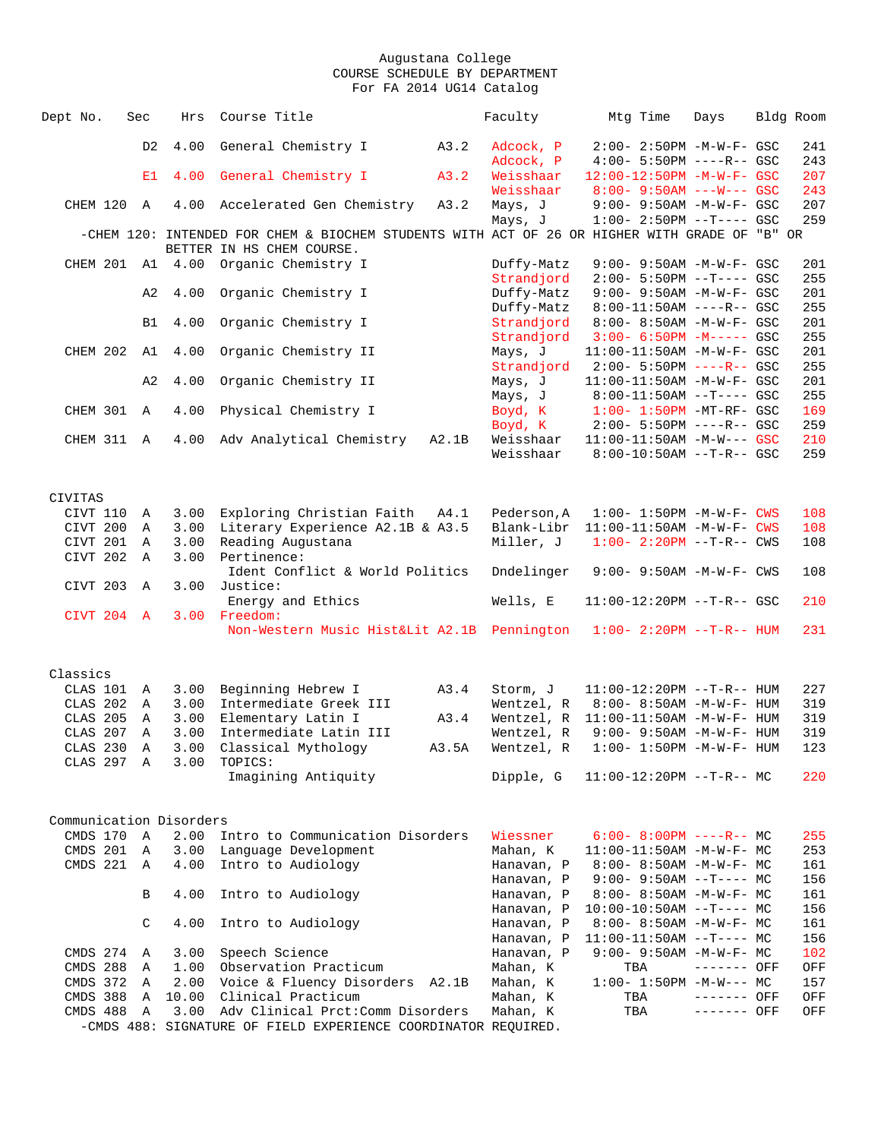| 4.00<br>General Chemistry I<br>A3.2<br>D <sub>2</sub><br>Adcock, P<br>$2:00 - 2:50PM - M - W - F - GSC$<br>241<br>Adcock, P<br>$4:00 - 5:50PM$ ----R-- GSC<br>243<br>4.00<br>General Chemistry I<br>A3.2<br>Weisshaar<br>12:00-12:50PM -M-W-F- GSC<br>207<br>E1<br>Weisshaar<br>$8:00 - 9:50AM$ ---W--- GSC<br>243<br>CHEM 120<br>4.00<br>A3.2<br>9:00- 9:50AM -M-W-F- GSC<br>207<br>$\mathbb A$<br>Accelerated Gen Chemistry<br>Mays, J<br>259<br>Mays, J<br>$1:00-2:50PM$ --T---- GSC<br>-CHEM 120: INTENDED FOR CHEM & BIOCHEM STUDENTS WITH ACT OF 26 OR HIGHER WITH GRADE OF "B" OR<br>BETTER IN HS CHEM COURSE.<br>CHEM 201 A1 4.00<br>Organic Chemistry I<br>9:00- 9:50AM -M-W-F- GSC<br>201<br>Duffy-Matz<br>255<br>Strandjord<br>$2:00 - 5:50PM -T--- GSC$<br>4.00<br>Organic Chemistry I<br>Duffy-Matz<br>201<br>A2<br>$9:00 - 9:50AM - M - W - F - GSC$<br>255<br>Duffy-Matz<br>$8:00-11:50AM$ ----R-- GSC<br>4.00<br>Organic Chemistry I<br>Strandjord<br>8:00- 8:50AM -M-W-F- GSC<br>201<br>B1<br>255<br>Strandjord<br>$3:00 - 6:50PM -M--- GSC$<br>CHEM 202<br>4.00<br>Organic Chemistry II<br>201<br>A1<br>Mays, J<br>$11:00-11:50AM$ -M-W-F- GSC<br>255<br>Strandjord<br>$2:00 - 5:50PM$ ----R-- GSC<br>A <sub>2</sub><br>4.00<br>Organic Chemistry II<br>11:00-11:50AM -M-W-F- GSC<br>201<br>Mays, J<br>255<br>Mays, J<br>$8:00-11:50AM$ --T---- GSC<br>CHEM 301<br>$\mathbb{A}$<br>4.00<br>Physical Chemistry I<br>Boyd, K<br>$1:00-1:50PM$ -MT-RF- GSC<br>169<br>$2:00 - 5:50PM$ ----R-- GSC<br>259<br>Boyd, K<br>4.00<br>Adv Analytical Chemistry<br>Weisshaar<br>11:00-11:50AM -M-W--- GSC<br>210<br>CHEM 311<br>$\mathbb{A}$<br>A2.1B<br>259<br>Weisshaar<br>$8:00-10:50AM$ --T-R-- GSC<br>CIVITAS<br>Exploring Christian Faith<br>CIVT 110<br>3.00<br>A4.1<br>Pederson, A<br>$1:00 - 1:50PM - M - W - F - CWS$<br>108<br>Α<br>CIVT 200<br>3.00<br>Literary Experience A2.1B & A3.5<br>Blank-Libr<br>108<br>Α<br>$11:00-11:50AM$ -M-W-F- CWS<br>CIVT 201<br>3.00<br>Reading Augustana<br>Miller, J<br>$1:00 - 2:20PM -T-R--CWS$<br>108<br>Α<br>Pertinence:<br>CIVT 202<br>3.00<br>Α<br>Ident Conflict & World Politics<br>Dndelinger<br>108<br>$9:00 - 9:50AM - M - W - F - CWS$<br>Justice:<br>CIVT 203<br>3.00<br>Α<br>Energy and Ethics<br>Wells, E<br>11:00-12:20PM --T-R-- GSC<br>210<br>Freedom:<br>CIVT 204<br>$\mathbf{A}$<br>3.00<br>Non-Western Music Hist&Lit A2.1B Pennington<br>231<br>$1:00 - 2:20PM -T-R--HUM$<br>Classics<br>CLAS 101<br>3.00<br>Beginning Hebrew I<br>A3.4<br>11:00-12:20PM --T-R-- HUM<br>227<br>Α<br>Storm, J<br>Intermediate Greek III<br>CLAS 202<br>3.00<br>Wentzel, R<br>$8:00 - 8:50AM - M - W - F - HUM$<br>319<br>A<br>CLAS 205<br>3.00<br>Elementary Latin I<br>A3.4<br>319<br>Α<br>Wentzel, R<br>$11:00-11:50AM$ -M-W-F- HUM<br>CLAS 207<br>3.00<br>Intermediate Latin III<br>319<br>Α<br>Wentzel, R<br>$9:00 - 9:50AM - M - W - F - HUM$<br>123<br>CLAS 230<br>3.00<br>Classical Mythology<br>A3.5A<br>$1:00 - 1:50PM -M-W-F - HUM$<br>Α<br>Wentzel, R<br>CLAS 297 A<br>3.00<br>TOPICS:<br>Imagining Antiquity<br>Dipple, G<br>$11:00-12:20PM$ --T-R-- MC<br>220<br>Communication Disorders<br>CMDS 170<br>2.00<br>Intro to Communication Disorders<br>Wiessner<br>$\mathbb A$<br>$6:00 - 8:00PM$ ----R-- MC<br>255<br>CMDS 201<br>3.00<br>Language Development<br>$\mathbb{A}$<br>Mahan, K<br>253<br>$11:00-11:50AM$ -M-W-F- MC<br>Intro to Audiology<br>CMDS 221<br>$\mathbb A$<br>4.00<br>Hanavan, P<br>$8:00 - 8:50AM - M - W - F - MC$<br>161<br>Hanavan, P<br>$9:00 - 9:50AM -T--- MC$<br>156<br>4.00<br>Intro to Audiology<br>B<br>161<br>Hanavan, P<br>$8:00-8:50AM$ -M-W-F- MC<br>$10:00-10:50AM$ --T---- MC<br>156<br>Hanavan, P<br>Intro to Audiology<br>C<br>4.00<br>161<br>Hanavan, P<br>$8:00 - 8:50AM - M - W - F - MC$<br>156<br>Hanavan, P<br>$11:00-11:50AM$ --T---- MC<br>CMDS 274<br>3.00<br>Speech Science<br>Hanavan, P<br>$9:00 - 9:50AM - M-W-F - MC$<br>102<br>A<br>CMDS 288<br>Observation Practicum<br>1.00<br>Mahan, K<br>Α<br>TBA<br>------- OFF<br>OFF<br>CMDS 372<br>2.00<br>Voice & Fluency Disorders A2.1B<br>Mahan, K<br>$1:00 - 1:50PM -M-W--- MC$<br>157<br>A<br>CMDS 388<br>10.00<br>Clinical Practicum<br>Mahan, K<br>A<br>TBA<br>------- OFF<br>OFF<br>Adv Clinical Prct: Comm Disorders<br>CMDS 488<br>3.00<br>Mahan, K<br>TBA<br>OFF<br>Α<br>------- OFF<br>-CMDS 488: SIGNATURE OF FIELD EXPERIENCE COORDINATOR REQUIRED. | Dept No. | Sec | Hrs | Course Title | Faculty | Mtg Time | Days | Bldg Room |
|----------------------------------------------------------------------------------------------------------------------------------------------------------------------------------------------------------------------------------------------------------------------------------------------------------------------------------------------------------------------------------------------------------------------------------------------------------------------------------------------------------------------------------------------------------------------------------------------------------------------------------------------------------------------------------------------------------------------------------------------------------------------------------------------------------------------------------------------------------------------------------------------------------------------------------------------------------------------------------------------------------------------------------------------------------------------------------------------------------------------------------------------------------------------------------------------------------------------------------------------------------------------------------------------------------------------------------------------------------------------------------------------------------------------------------------------------------------------------------------------------------------------------------------------------------------------------------------------------------------------------------------------------------------------------------------------------------------------------------------------------------------------------------------------------------------------------------------------------------------------------------------------------------------------------------------------------------------------------------------------------------------------------------------------------------------------------------------------------------------------------------------------------------------------------------------------------------------------------------------------------------------------------------------------------------------------------------------------------------------------------------------------------------------------------------------------------------------------------------------------------------------------------------------------------------------------------------------------------------------------------------------------------------------------------------------------------------------------------------------------------------------------------------------------------------------------------------------------------------------------------------------------------------------------------------------------------------------------------------------------------------------------------------------------------------------------------------------------------------------------------------------------------------------------------------------------------------------------------------------------------------------------------------------------------------------------------------------------------------------------------------------------------------------------------------------------------------------------------------------------------------------------------------------------------------------------------------------------------------------------------------------------------------------------------------------------------------------------------------------------------------------------------------------------------------------------------------------------------------------------------------------------------------------------------------------------------------------------------------------------------------------------------------------------------------------------------------------------------------------------------------------------------------------------------------------------------------------------------------------------------------------------------------------------------------------------------------------------------------------------------------------------------------------------------------------|----------|-----|-----|--------------|---------|----------|------|-----------|
|                                                                                                                                                                                                                                                                                                                                                                                                                                                                                                                                                                                                                                                                                                                                                                                                                                                                                                                                                                                                                                                                                                                                                                                                                                                                                                                                                                                                                                                                                                                                                                                                                                                                                                                                                                                                                                                                                                                                                                                                                                                                                                                                                                                                                                                                                                                                                                                                                                                                                                                                                                                                                                                                                                                                                                                                                                                                                                                                                                                                                                                                                                                                                                                                                                                                                                                                                                                                                                                                                                                                                                                                                                                                                                                                                                                                                                                                                                                                                                                                                                                                                                                                                                                                                                                                                                                                                                                                                                        |          |     |     |              |         |          |      |           |
|                                                                                                                                                                                                                                                                                                                                                                                                                                                                                                                                                                                                                                                                                                                                                                                                                                                                                                                                                                                                                                                                                                                                                                                                                                                                                                                                                                                                                                                                                                                                                                                                                                                                                                                                                                                                                                                                                                                                                                                                                                                                                                                                                                                                                                                                                                                                                                                                                                                                                                                                                                                                                                                                                                                                                                                                                                                                                                                                                                                                                                                                                                                                                                                                                                                                                                                                                                                                                                                                                                                                                                                                                                                                                                                                                                                                                                                                                                                                                                                                                                                                                                                                                                                                                                                                                                                                                                                                                                        |          |     |     |              |         |          |      |           |
|                                                                                                                                                                                                                                                                                                                                                                                                                                                                                                                                                                                                                                                                                                                                                                                                                                                                                                                                                                                                                                                                                                                                                                                                                                                                                                                                                                                                                                                                                                                                                                                                                                                                                                                                                                                                                                                                                                                                                                                                                                                                                                                                                                                                                                                                                                                                                                                                                                                                                                                                                                                                                                                                                                                                                                                                                                                                                                                                                                                                                                                                                                                                                                                                                                                                                                                                                                                                                                                                                                                                                                                                                                                                                                                                                                                                                                                                                                                                                                                                                                                                                                                                                                                                                                                                                                                                                                                                                                        |          |     |     |              |         |          |      |           |
|                                                                                                                                                                                                                                                                                                                                                                                                                                                                                                                                                                                                                                                                                                                                                                                                                                                                                                                                                                                                                                                                                                                                                                                                                                                                                                                                                                                                                                                                                                                                                                                                                                                                                                                                                                                                                                                                                                                                                                                                                                                                                                                                                                                                                                                                                                                                                                                                                                                                                                                                                                                                                                                                                                                                                                                                                                                                                                                                                                                                                                                                                                                                                                                                                                                                                                                                                                                                                                                                                                                                                                                                                                                                                                                                                                                                                                                                                                                                                                                                                                                                                                                                                                                                                                                                                                                                                                                                                                        |          |     |     |              |         |          |      |           |
|                                                                                                                                                                                                                                                                                                                                                                                                                                                                                                                                                                                                                                                                                                                                                                                                                                                                                                                                                                                                                                                                                                                                                                                                                                                                                                                                                                                                                                                                                                                                                                                                                                                                                                                                                                                                                                                                                                                                                                                                                                                                                                                                                                                                                                                                                                                                                                                                                                                                                                                                                                                                                                                                                                                                                                                                                                                                                                                                                                                                                                                                                                                                                                                                                                                                                                                                                                                                                                                                                                                                                                                                                                                                                                                                                                                                                                                                                                                                                                                                                                                                                                                                                                                                                                                                                                                                                                                                                                        |          |     |     |              |         |          |      |           |
|                                                                                                                                                                                                                                                                                                                                                                                                                                                                                                                                                                                                                                                                                                                                                                                                                                                                                                                                                                                                                                                                                                                                                                                                                                                                                                                                                                                                                                                                                                                                                                                                                                                                                                                                                                                                                                                                                                                                                                                                                                                                                                                                                                                                                                                                                                                                                                                                                                                                                                                                                                                                                                                                                                                                                                                                                                                                                                                                                                                                                                                                                                                                                                                                                                                                                                                                                                                                                                                                                                                                                                                                                                                                                                                                                                                                                                                                                                                                                                                                                                                                                                                                                                                                                                                                                                                                                                                                                                        |          |     |     |              |         |          |      |           |
|                                                                                                                                                                                                                                                                                                                                                                                                                                                                                                                                                                                                                                                                                                                                                                                                                                                                                                                                                                                                                                                                                                                                                                                                                                                                                                                                                                                                                                                                                                                                                                                                                                                                                                                                                                                                                                                                                                                                                                                                                                                                                                                                                                                                                                                                                                                                                                                                                                                                                                                                                                                                                                                                                                                                                                                                                                                                                                                                                                                                                                                                                                                                                                                                                                                                                                                                                                                                                                                                                                                                                                                                                                                                                                                                                                                                                                                                                                                                                                                                                                                                                                                                                                                                                                                                                                                                                                                                                                        |          |     |     |              |         |          |      |           |
|                                                                                                                                                                                                                                                                                                                                                                                                                                                                                                                                                                                                                                                                                                                                                                                                                                                                                                                                                                                                                                                                                                                                                                                                                                                                                                                                                                                                                                                                                                                                                                                                                                                                                                                                                                                                                                                                                                                                                                                                                                                                                                                                                                                                                                                                                                                                                                                                                                                                                                                                                                                                                                                                                                                                                                                                                                                                                                                                                                                                                                                                                                                                                                                                                                                                                                                                                                                                                                                                                                                                                                                                                                                                                                                                                                                                                                                                                                                                                                                                                                                                                                                                                                                                                                                                                                                                                                                                                                        |          |     |     |              |         |          |      |           |
|                                                                                                                                                                                                                                                                                                                                                                                                                                                                                                                                                                                                                                                                                                                                                                                                                                                                                                                                                                                                                                                                                                                                                                                                                                                                                                                                                                                                                                                                                                                                                                                                                                                                                                                                                                                                                                                                                                                                                                                                                                                                                                                                                                                                                                                                                                                                                                                                                                                                                                                                                                                                                                                                                                                                                                                                                                                                                                                                                                                                                                                                                                                                                                                                                                                                                                                                                                                                                                                                                                                                                                                                                                                                                                                                                                                                                                                                                                                                                                                                                                                                                                                                                                                                                                                                                                                                                                                                                                        |          |     |     |              |         |          |      |           |
|                                                                                                                                                                                                                                                                                                                                                                                                                                                                                                                                                                                                                                                                                                                                                                                                                                                                                                                                                                                                                                                                                                                                                                                                                                                                                                                                                                                                                                                                                                                                                                                                                                                                                                                                                                                                                                                                                                                                                                                                                                                                                                                                                                                                                                                                                                                                                                                                                                                                                                                                                                                                                                                                                                                                                                                                                                                                                                                                                                                                                                                                                                                                                                                                                                                                                                                                                                                                                                                                                                                                                                                                                                                                                                                                                                                                                                                                                                                                                                                                                                                                                                                                                                                                                                                                                                                                                                                                                                        |          |     |     |              |         |          |      |           |
|                                                                                                                                                                                                                                                                                                                                                                                                                                                                                                                                                                                                                                                                                                                                                                                                                                                                                                                                                                                                                                                                                                                                                                                                                                                                                                                                                                                                                                                                                                                                                                                                                                                                                                                                                                                                                                                                                                                                                                                                                                                                                                                                                                                                                                                                                                                                                                                                                                                                                                                                                                                                                                                                                                                                                                                                                                                                                                                                                                                                                                                                                                                                                                                                                                                                                                                                                                                                                                                                                                                                                                                                                                                                                                                                                                                                                                                                                                                                                                                                                                                                                                                                                                                                                                                                                                                                                                                                                                        |          |     |     |              |         |          |      |           |
|                                                                                                                                                                                                                                                                                                                                                                                                                                                                                                                                                                                                                                                                                                                                                                                                                                                                                                                                                                                                                                                                                                                                                                                                                                                                                                                                                                                                                                                                                                                                                                                                                                                                                                                                                                                                                                                                                                                                                                                                                                                                                                                                                                                                                                                                                                                                                                                                                                                                                                                                                                                                                                                                                                                                                                                                                                                                                                                                                                                                                                                                                                                                                                                                                                                                                                                                                                                                                                                                                                                                                                                                                                                                                                                                                                                                                                                                                                                                                                                                                                                                                                                                                                                                                                                                                                                                                                                                                                        |          |     |     |              |         |          |      |           |
|                                                                                                                                                                                                                                                                                                                                                                                                                                                                                                                                                                                                                                                                                                                                                                                                                                                                                                                                                                                                                                                                                                                                                                                                                                                                                                                                                                                                                                                                                                                                                                                                                                                                                                                                                                                                                                                                                                                                                                                                                                                                                                                                                                                                                                                                                                                                                                                                                                                                                                                                                                                                                                                                                                                                                                                                                                                                                                                                                                                                                                                                                                                                                                                                                                                                                                                                                                                                                                                                                                                                                                                                                                                                                                                                                                                                                                                                                                                                                                                                                                                                                                                                                                                                                                                                                                                                                                                                                                        |          |     |     |              |         |          |      |           |
|                                                                                                                                                                                                                                                                                                                                                                                                                                                                                                                                                                                                                                                                                                                                                                                                                                                                                                                                                                                                                                                                                                                                                                                                                                                                                                                                                                                                                                                                                                                                                                                                                                                                                                                                                                                                                                                                                                                                                                                                                                                                                                                                                                                                                                                                                                                                                                                                                                                                                                                                                                                                                                                                                                                                                                                                                                                                                                                                                                                                                                                                                                                                                                                                                                                                                                                                                                                                                                                                                                                                                                                                                                                                                                                                                                                                                                                                                                                                                                                                                                                                                                                                                                                                                                                                                                                                                                                                                                        |          |     |     |              |         |          |      |           |
|                                                                                                                                                                                                                                                                                                                                                                                                                                                                                                                                                                                                                                                                                                                                                                                                                                                                                                                                                                                                                                                                                                                                                                                                                                                                                                                                                                                                                                                                                                                                                                                                                                                                                                                                                                                                                                                                                                                                                                                                                                                                                                                                                                                                                                                                                                                                                                                                                                                                                                                                                                                                                                                                                                                                                                                                                                                                                                                                                                                                                                                                                                                                                                                                                                                                                                                                                                                                                                                                                                                                                                                                                                                                                                                                                                                                                                                                                                                                                                                                                                                                                                                                                                                                                                                                                                                                                                                                                                        |          |     |     |              |         |          |      |           |
|                                                                                                                                                                                                                                                                                                                                                                                                                                                                                                                                                                                                                                                                                                                                                                                                                                                                                                                                                                                                                                                                                                                                                                                                                                                                                                                                                                                                                                                                                                                                                                                                                                                                                                                                                                                                                                                                                                                                                                                                                                                                                                                                                                                                                                                                                                                                                                                                                                                                                                                                                                                                                                                                                                                                                                                                                                                                                                                                                                                                                                                                                                                                                                                                                                                                                                                                                                                                                                                                                                                                                                                                                                                                                                                                                                                                                                                                                                                                                                                                                                                                                                                                                                                                                                                                                                                                                                                                                                        |          |     |     |              |         |          |      |           |
|                                                                                                                                                                                                                                                                                                                                                                                                                                                                                                                                                                                                                                                                                                                                                                                                                                                                                                                                                                                                                                                                                                                                                                                                                                                                                                                                                                                                                                                                                                                                                                                                                                                                                                                                                                                                                                                                                                                                                                                                                                                                                                                                                                                                                                                                                                                                                                                                                                                                                                                                                                                                                                                                                                                                                                                                                                                                                                                                                                                                                                                                                                                                                                                                                                                                                                                                                                                                                                                                                                                                                                                                                                                                                                                                                                                                                                                                                                                                                                                                                                                                                                                                                                                                                                                                                                                                                                                                                                        |          |     |     |              |         |          |      |           |
|                                                                                                                                                                                                                                                                                                                                                                                                                                                                                                                                                                                                                                                                                                                                                                                                                                                                                                                                                                                                                                                                                                                                                                                                                                                                                                                                                                                                                                                                                                                                                                                                                                                                                                                                                                                                                                                                                                                                                                                                                                                                                                                                                                                                                                                                                                                                                                                                                                                                                                                                                                                                                                                                                                                                                                                                                                                                                                                                                                                                                                                                                                                                                                                                                                                                                                                                                                                                                                                                                                                                                                                                                                                                                                                                                                                                                                                                                                                                                                                                                                                                                                                                                                                                                                                                                                                                                                                                                                        |          |     |     |              |         |          |      |           |
|                                                                                                                                                                                                                                                                                                                                                                                                                                                                                                                                                                                                                                                                                                                                                                                                                                                                                                                                                                                                                                                                                                                                                                                                                                                                                                                                                                                                                                                                                                                                                                                                                                                                                                                                                                                                                                                                                                                                                                                                                                                                                                                                                                                                                                                                                                                                                                                                                                                                                                                                                                                                                                                                                                                                                                                                                                                                                                                                                                                                                                                                                                                                                                                                                                                                                                                                                                                                                                                                                                                                                                                                                                                                                                                                                                                                                                                                                                                                                                                                                                                                                                                                                                                                                                                                                                                                                                                                                                        |          |     |     |              |         |          |      |           |
|                                                                                                                                                                                                                                                                                                                                                                                                                                                                                                                                                                                                                                                                                                                                                                                                                                                                                                                                                                                                                                                                                                                                                                                                                                                                                                                                                                                                                                                                                                                                                                                                                                                                                                                                                                                                                                                                                                                                                                                                                                                                                                                                                                                                                                                                                                                                                                                                                                                                                                                                                                                                                                                                                                                                                                                                                                                                                                                                                                                                                                                                                                                                                                                                                                                                                                                                                                                                                                                                                                                                                                                                                                                                                                                                                                                                                                                                                                                                                                                                                                                                                                                                                                                                                                                                                                                                                                                                                                        |          |     |     |              |         |          |      |           |
|                                                                                                                                                                                                                                                                                                                                                                                                                                                                                                                                                                                                                                                                                                                                                                                                                                                                                                                                                                                                                                                                                                                                                                                                                                                                                                                                                                                                                                                                                                                                                                                                                                                                                                                                                                                                                                                                                                                                                                                                                                                                                                                                                                                                                                                                                                                                                                                                                                                                                                                                                                                                                                                                                                                                                                                                                                                                                                                                                                                                                                                                                                                                                                                                                                                                                                                                                                                                                                                                                                                                                                                                                                                                                                                                                                                                                                                                                                                                                                                                                                                                                                                                                                                                                                                                                                                                                                                                                                        |          |     |     |              |         |          |      |           |
|                                                                                                                                                                                                                                                                                                                                                                                                                                                                                                                                                                                                                                                                                                                                                                                                                                                                                                                                                                                                                                                                                                                                                                                                                                                                                                                                                                                                                                                                                                                                                                                                                                                                                                                                                                                                                                                                                                                                                                                                                                                                                                                                                                                                                                                                                                                                                                                                                                                                                                                                                                                                                                                                                                                                                                                                                                                                                                                                                                                                                                                                                                                                                                                                                                                                                                                                                                                                                                                                                                                                                                                                                                                                                                                                                                                                                                                                                                                                                                                                                                                                                                                                                                                                                                                                                                                                                                                                                                        |          |     |     |              |         |          |      |           |
|                                                                                                                                                                                                                                                                                                                                                                                                                                                                                                                                                                                                                                                                                                                                                                                                                                                                                                                                                                                                                                                                                                                                                                                                                                                                                                                                                                                                                                                                                                                                                                                                                                                                                                                                                                                                                                                                                                                                                                                                                                                                                                                                                                                                                                                                                                                                                                                                                                                                                                                                                                                                                                                                                                                                                                                                                                                                                                                                                                                                                                                                                                                                                                                                                                                                                                                                                                                                                                                                                                                                                                                                                                                                                                                                                                                                                                                                                                                                                                                                                                                                                                                                                                                                                                                                                                                                                                                                                                        |          |     |     |              |         |          |      |           |
|                                                                                                                                                                                                                                                                                                                                                                                                                                                                                                                                                                                                                                                                                                                                                                                                                                                                                                                                                                                                                                                                                                                                                                                                                                                                                                                                                                                                                                                                                                                                                                                                                                                                                                                                                                                                                                                                                                                                                                                                                                                                                                                                                                                                                                                                                                                                                                                                                                                                                                                                                                                                                                                                                                                                                                                                                                                                                                                                                                                                                                                                                                                                                                                                                                                                                                                                                                                                                                                                                                                                                                                                                                                                                                                                                                                                                                                                                                                                                                                                                                                                                                                                                                                                                                                                                                                                                                                                                                        |          |     |     |              |         |          |      |           |
|                                                                                                                                                                                                                                                                                                                                                                                                                                                                                                                                                                                                                                                                                                                                                                                                                                                                                                                                                                                                                                                                                                                                                                                                                                                                                                                                                                                                                                                                                                                                                                                                                                                                                                                                                                                                                                                                                                                                                                                                                                                                                                                                                                                                                                                                                                                                                                                                                                                                                                                                                                                                                                                                                                                                                                                                                                                                                                                                                                                                                                                                                                                                                                                                                                                                                                                                                                                                                                                                                                                                                                                                                                                                                                                                                                                                                                                                                                                                                                                                                                                                                                                                                                                                                                                                                                                                                                                                                                        |          |     |     |              |         |          |      |           |
|                                                                                                                                                                                                                                                                                                                                                                                                                                                                                                                                                                                                                                                                                                                                                                                                                                                                                                                                                                                                                                                                                                                                                                                                                                                                                                                                                                                                                                                                                                                                                                                                                                                                                                                                                                                                                                                                                                                                                                                                                                                                                                                                                                                                                                                                                                                                                                                                                                                                                                                                                                                                                                                                                                                                                                                                                                                                                                                                                                                                                                                                                                                                                                                                                                                                                                                                                                                                                                                                                                                                                                                                                                                                                                                                                                                                                                                                                                                                                                                                                                                                                                                                                                                                                                                                                                                                                                                                                                        |          |     |     |              |         |          |      |           |
|                                                                                                                                                                                                                                                                                                                                                                                                                                                                                                                                                                                                                                                                                                                                                                                                                                                                                                                                                                                                                                                                                                                                                                                                                                                                                                                                                                                                                                                                                                                                                                                                                                                                                                                                                                                                                                                                                                                                                                                                                                                                                                                                                                                                                                                                                                                                                                                                                                                                                                                                                                                                                                                                                                                                                                                                                                                                                                                                                                                                                                                                                                                                                                                                                                                                                                                                                                                                                                                                                                                                                                                                                                                                                                                                                                                                                                                                                                                                                                                                                                                                                                                                                                                                                                                                                                                                                                                                                                        |          |     |     |              |         |          |      |           |
|                                                                                                                                                                                                                                                                                                                                                                                                                                                                                                                                                                                                                                                                                                                                                                                                                                                                                                                                                                                                                                                                                                                                                                                                                                                                                                                                                                                                                                                                                                                                                                                                                                                                                                                                                                                                                                                                                                                                                                                                                                                                                                                                                                                                                                                                                                                                                                                                                                                                                                                                                                                                                                                                                                                                                                                                                                                                                                                                                                                                                                                                                                                                                                                                                                                                                                                                                                                                                                                                                                                                                                                                                                                                                                                                                                                                                                                                                                                                                                                                                                                                                                                                                                                                                                                                                                                                                                                                                                        |          |     |     |              |         |          |      |           |
|                                                                                                                                                                                                                                                                                                                                                                                                                                                                                                                                                                                                                                                                                                                                                                                                                                                                                                                                                                                                                                                                                                                                                                                                                                                                                                                                                                                                                                                                                                                                                                                                                                                                                                                                                                                                                                                                                                                                                                                                                                                                                                                                                                                                                                                                                                                                                                                                                                                                                                                                                                                                                                                                                                                                                                                                                                                                                                                                                                                                                                                                                                                                                                                                                                                                                                                                                                                                                                                                                                                                                                                                                                                                                                                                                                                                                                                                                                                                                                                                                                                                                                                                                                                                                                                                                                                                                                                                                                        |          |     |     |              |         |          |      |           |
|                                                                                                                                                                                                                                                                                                                                                                                                                                                                                                                                                                                                                                                                                                                                                                                                                                                                                                                                                                                                                                                                                                                                                                                                                                                                                                                                                                                                                                                                                                                                                                                                                                                                                                                                                                                                                                                                                                                                                                                                                                                                                                                                                                                                                                                                                                                                                                                                                                                                                                                                                                                                                                                                                                                                                                                                                                                                                                                                                                                                                                                                                                                                                                                                                                                                                                                                                                                                                                                                                                                                                                                                                                                                                                                                                                                                                                                                                                                                                                                                                                                                                                                                                                                                                                                                                                                                                                                                                                        |          |     |     |              |         |          |      |           |
|                                                                                                                                                                                                                                                                                                                                                                                                                                                                                                                                                                                                                                                                                                                                                                                                                                                                                                                                                                                                                                                                                                                                                                                                                                                                                                                                                                                                                                                                                                                                                                                                                                                                                                                                                                                                                                                                                                                                                                                                                                                                                                                                                                                                                                                                                                                                                                                                                                                                                                                                                                                                                                                                                                                                                                                                                                                                                                                                                                                                                                                                                                                                                                                                                                                                                                                                                                                                                                                                                                                                                                                                                                                                                                                                                                                                                                                                                                                                                                                                                                                                                                                                                                                                                                                                                                                                                                                                                                        |          |     |     |              |         |          |      |           |
|                                                                                                                                                                                                                                                                                                                                                                                                                                                                                                                                                                                                                                                                                                                                                                                                                                                                                                                                                                                                                                                                                                                                                                                                                                                                                                                                                                                                                                                                                                                                                                                                                                                                                                                                                                                                                                                                                                                                                                                                                                                                                                                                                                                                                                                                                                                                                                                                                                                                                                                                                                                                                                                                                                                                                                                                                                                                                                                                                                                                                                                                                                                                                                                                                                                                                                                                                                                                                                                                                                                                                                                                                                                                                                                                                                                                                                                                                                                                                                                                                                                                                                                                                                                                                                                                                                                                                                                                                                        |          |     |     |              |         |          |      |           |
|                                                                                                                                                                                                                                                                                                                                                                                                                                                                                                                                                                                                                                                                                                                                                                                                                                                                                                                                                                                                                                                                                                                                                                                                                                                                                                                                                                                                                                                                                                                                                                                                                                                                                                                                                                                                                                                                                                                                                                                                                                                                                                                                                                                                                                                                                                                                                                                                                                                                                                                                                                                                                                                                                                                                                                                                                                                                                                                                                                                                                                                                                                                                                                                                                                                                                                                                                                                                                                                                                                                                                                                                                                                                                                                                                                                                                                                                                                                                                                                                                                                                                                                                                                                                                                                                                                                                                                                                                                        |          |     |     |              |         |          |      |           |
|                                                                                                                                                                                                                                                                                                                                                                                                                                                                                                                                                                                                                                                                                                                                                                                                                                                                                                                                                                                                                                                                                                                                                                                                                                                                                                                                                                                                                                                                                                                                                                                                                                                                                                                                                                                                                                                                                                                                                                                                                                                                                                                                                                                                                                                                                                                                                                                                                                                                                                                                                                                                                                                                                                                                                                                                                                                                                                                                                                                                                                                                                                                                                                                                                                                                                                                                                                                                                                                                                                                                                                                                                                                                                                                                                                                                                                                                                                                                                                                                                                                                                                                                                                                                                                                                                                                                                                                                                                        |          |     |     |              |         |          |      |           |
|                                                                                                                                                                                                                                                                                                                                                                                                                                                                                                                                                                                                                                                                                                                                                                                                                                                                                                                                                                                                                                                                                                                                                                                                                                                                                                                                                                                                                                                                                                                                                                                                                                                                                                                                                                                                                                                                                                                                                                                                                                                                                                                                                                                                                                                                                                                                                                                                                                                                                                                                                                                                                                                                                                                                                                                                                                                                                                                                                                                                                                                                                                                                                                                                                                                                                                                                                                                                                                                                                                                                                                                                                                                                                                                                                                                                                                                                                                                                                                                                                                                                                                                                                                                                                                                                                                                                                                                                                                        |          |     |     |              |         |          |      |           |
|                                                                                                                                                                                                                                                                                                                                                                                                                                                                                                                                                                                                                                                                                                                                                                                                                                                                                                                                                                                                                                                                                                                                                                                                                                                                                                                                                                                                                                                                                                                                                                                                                                                                                                                                                                                                                                                                                                                                                                                                                                                                                                                                                                                                                                                                                                                                                                                                                                                                                                                                                                                                                                                                                                                                                                                                                                                                                                                                                                                                                                                                                                                                                                                                                                                                                                                                                                                                                                                                                                                                                                                                                                                                                                                                                                                                                                                                                                                                                                                                                                                                                                                                                                                                                                                                                                                                                                                                                                        |          |     |     |              |         |          |      |           |
|                                                                                                                                                                                                                                                                                                                                                                                                                                                                                                                                                                                                                                                                                                                                                                                                                                                                                                                                                                                                                                                                                                                                                                                                                                                                                                                                                                                                                                                                                                                                                                                                                                                                                                                                                                                                                                                                                                                                                                                                                                                                                                                                                                                                                                                                                                                                                                                                                                                                                                                                                                                                                                                                                                                                                                                                                                                                                                                                                                                                                                                                                                                                                                                                                                                                                                                                                                                                                                                                                                                                                                                                                                                                                                                                                                                                                                                                                                                                                                                                                                                                                                                                                                                                                                                                                                                                                                                                                                        |          |     |     |              |         |          |      |           |
|                                                                                                                                                                                                                                                                                                                                                                                                                                                                                                                                                                                                                                                                                                                                                                                                                                                                                                                                                                                                                                                                                                                                                                                                                                                                                                                                                                                                                                                                                                                                                                                                                                                                                                                                                                                                                                                                                                                                                                                                                                                                                                                                                                                                                                                                                                                                                                                                                                                                                                                                                                                                                                                                                                                                                                                                                                                                                                                                                                                                                                                                                                                                                                                                                                                                                                                                                                                                                                                                                                                                                                                                                                                                                                                                                                                                                                                                                                                                                                                                                                                                                                                                                                                                                                                                                                                                                                                                                                        |          |     |     |              |         |          |      |           |
|                                                                                                                                                                                                                                                                                                                                                                                                                                                                                                                                                                                                                                                                                                                                                                                                                                                                                                                                                                                                                                                                                                                                                                                                                                                                                                                                                                                                                                                                                                                                                                                                                                                                                                                                                                                                                                                                                                                                                                                                                                                                                                                                                                                                                                                                                                                                                                                                                                                                                                                                                                                                                                                                                                                                                                                                                                                                                                                                                                                                                                                                                                                                                                                                                                                                                                                                                                                                                                                                                                                                                                                                                                                                                                                                                                                                                                                                                                                                                                                                                                                                                                                                                                                                                                                                                                                                                                                                                                        |          |     |     |              |         |          |      |           |
|                                                                                                                                                                                                                                                                                                                                                                                                                                                                                                                                                                                                                                                                                                                                                                                                                                                                                                                                                                                                                                                                                                                                                                                                                                                                                                                                                                                                                                                                                                                                                                                                                                                                                                                                                                                                                                                                                                                                                                                                                                                                                                                                                                                                                                                                                                                                                                                                                                                                                                                                                                                                                                                                                                                                                                                                                                                                                                                                                                                                                                                                                                                                                                                                                                                                                                                                                                                                                                                                                                                                                                                                                                                                                                                                                                                                                                                                                                                                                                                                                                                                                                                                                                                                                                                                                                                                                                                                                                        |          |     |     |              |         |          |      |           |
|                                                                                                                                                                                                                                                                                                                                                                                                                                                                                                                                                                                                                                                                                                                                                                                                                                                                                                                                                                                                                                                                                                                                                                                                                                                                                                                                                                                                                                                                                                                                                                                                                                                                                                                                                                                                                                                                                                                                                                                                                                                                                                                                                                                                                                                                                                                                                                                                                                                                                                                                                                                                                                                                                                                                                                                                                                                                                                                                                                                                                                                                                                                                                                                                                                                                                                                                                                                                                                                                                                                                                                                                                                                                                                                                                                                                                                                                                                                                                                                                                                                                                                                                                                                                                                                                                                                                                                                                                                        |          |     |     |              |         |          |      |           |
|                                                                                                                                                                                                                                                                                                                                                                                                                                                                                                                                                                                                                                                                                                                                                                                                                                                                                                                                                                                                                                                                                                                                                                                                                                                                                                                                                                                                                                                                                                                                                                                                                                                                                                                                                                                                                                                                                                                                                                                                                                                                                                                                                                                                                                                                                                                                                                                                                                                                                                                                                                                                                                                                                                                                                                                                                                                                                                                                                                                                                                                                                                                                                                                                                                                                                                                                                                                                                                                                                                                                                                                                                                                                                                                                                                                                                                                                                                                                                                                                                                                                                                                                                                                                                                                                                                                                                                                                                                        |          |     |     |              |         |          |      |           |
|                                                                                                                                                                                                                                                                                                                                                                                                                                                                                                                                                                                                                                                                                                                                                                                                                                                                                                                                                                                                                                                                                                                                                                                                                                                                                                                                                                                                                                                                                                                                                                                                                                                                                                                                                                                                                                                                                                                                                                                                                                                                                                                                                                                                                                                                                                                                                                                                                                                                                                                                                                                                                                                                                                                                                                                                                                                                                                                                                                                                                                                                                                                                                                                                                                                                                                                                                                                                                                                                                                                                                                                                                                                                                                                                                                                                                                                                                                                                                                                                                                                                                                                                                                                                                                                                                                                                                                                                                                        |          |     |     |              |         |          |      |           |
|                                                                                                                                                                                                                                                                                                                                                                                                                                                                                                                                                                                                                                                                                                                                                                                                                                                                                                                                                                                                                                                                                                                                                                                                                                                                                                                                                                                                                                                                                                                                                                                                                                                                                                                                                                                                                                                                                                                                                                                                                                                                                                                                                                                                                                                                                                                                                                                                                                                                                                                                                                                                                                                                                                                                                                                                                                                                                                                                                                                                                                                                                                                                                                                                                                                                                                                                                                                                                                                                                                                                                                                                                                                                                                                                                                                                                                                                                                                                                                                                                                                                                                                                                                                                                                                                                                                                                                                                                                        |          |     |     |              |         |          |      |           |
|                                                                                                                                                                                                                                                                                                                                                                                                                                                                                                                                                                                                                                                                                                                                                                                                                                                                                                                                                                                                                                                                                                                                                                                                                                                                                                                                                                                                                                                                                                                                                                                                                                                                                                                                                                                                                                                                                                                                                                                                                                                                                                                                                                                                                                                                                                                                                                                                                                                                                                                                                                                                                                                                                                                                                                                                                                                                                                                                                                                                                                                                                                                                                                                                                                                                                                                                                                                                                                                                                                                                                                                                                                                                                                                                                                                                                                                                                                                                                                                                                                                                                                                                                                                                                                                                                                                                                                                                                                        |          |     |     |              |         |          |      |           |
|                                                                                                                                                                                                                                                                                                                                                                                                                                                                                                                                                                                                                                                                                                                                                                                                                                                                                                                                                                                                                                                                                                                                                                                                                                                                                                                                                                                                                                                                                                                                                                                                                                                                                                                                                                                                                                                                                                                                                                                                                                                                                                                                                                                                                                                                                                                                                                                                                                                                                                                                                                                                                                                                                                                                                                                                                                                                                                                                                                                                                                                                                                                                                                                                                                                                                                                                                                                                                                                                                                                                                                                                                                                                                                                                                                                                                                                                                                                                                                                                                                                                                                                                                                                                                                                                                                                                                                                                                                        |          |     |     |              |         |          |      |           |
|                                                                                                                                                                                                                                                                                                                                                                                                                                                                                                                                                                                                                                                                                                                                                                                                                                                                                                                                                                                                                                                                                                                                                                                                                                                                                                                                                                                                                                                                                                                                                                                                                                                                                                                                                                                                                                                                                                                                                                                                                                                                                                                                                                                                                                                                                                                                                                                                                                                                                                                                                                                                                                                                                                                                                                                                                                                                                                                                                                                                                                                                                                                                                                                                                                                                                                                                                                                                                                                                                                                                                                                                                                                                                                                                                                                                                                                                                                                                                                                                                                                                                                                                                                                                                                                                                                                                                                                                                                        |          |     |     |              |         |          |      |           |
|                                                                                                                                                                                                                                                                                                                                                                                                                                                                                                                                                                                                                                                                                                                                                                                                                                                                                                                                                                                                                                                                                                                                                                                                                                                                                                                                                                                                                                                                                                                                                                                                                                                                                                                                                                                                                                                                                                                                                                                                                                                                                                                                                                                                                                                                                                                                                                                                                                                                                                                                                                                                                                                                                                                                                                                                                                                                                                                                                                                                                                                                                                                                                                                                                                                                                                                                                                                                                                                                                                                                                                                                                                                                                                                                                                                                                                                                                                                                                                                                                                                                                                                                                                                                                                                                                                                                                                                                                                        |          |     |     |              |         |          |      |           |
|                                                                                                                                                                                                                                                                                                                                                                                                                                                                                                                                                                                                                                                                                                                                                                                                                                                                                                                                                                                                                                                                                                                                                                                                                                                                                                                                                                                                                                                                                                                                                                                                                                                                                                                                                                                                                                                                                                                                                                                                                                                                                                                                                                                                                                                                                                                                                                                                                                                                                                                                                                                                                                                                                                                                                                                                                                                                                                                                                                                                                                                                                                                                                                                                                                                                                                                                                                                                                                                                                                                                                                                                                                                                                                                                                                                                                                                                                                                                                                                                                                                                                                                                                                                                                                                                                                                                                                                                                                        |          |     |     |              |         |          |      |           |
|                                                                                                                                                                                                                                                                                                                                                                                                                                                                                                                                                                                                                                                                                                                                                                                                                                                                                                                                                                                                                                                                                                                                                                                                                                                                                                                                                                                                                                                                                                                                                                                                                                                                                                                                                                                                                                                                                                                                                                                                                                                                                                                                                                                                                                                                                                                                                                                                                                                                                                                                                                                                                                                                                                                                                                                                                                                                                                                                                                                                                                                                                                                                                                                                                                                                                                                                                                                                                                                                                                                                                                                                                                                                                                                                                                                                                                                                                                                                                                                                                                                                                                                                                                                                                                                                                                                                                                                                                                        |          |     |     |              |         |          |      |           |
|                                                                                                                                                                                                                                                                                                                                                                                                                                                                                                                                                                                                                                                                                                                                                                                                                                                                                                                                                                                                                                                                                                                                                                                                                                                                                                                                                                                                                                                                                                                                                                                                                                                                                                                                                                                                                                                                                                                                                                                                                                                                                                                                                                                                                                                                                                                                                                                                                                                                                                                                                                                                                                                                                                                                                                                                                                                                                                                                                                                                                                                                                                                                                                                                                                                                                                                                                                                                                                                                                                                                                                                                                                                                                                                                                                                                                                                                                                                                                                                                                                                                                                                                                                                                                                                                                                                                                                                                                                        |          |     |     |              |         |          |      |           |
|                                                                                                                                                                                                                                                                                                                                                                                                                                                                                                                                                                                                                                                                                                                                                                                                                                                                                                                                                                                                                                                                                                                                                                                                                                                                                                                                                                                                                                                                                                                                                                                                                                                                                                                                                                                                                                                                                                                                                                                                                                                                                                                                                                                                                                                                                                                                                                                                                                                                                                                                                                                                                                                                                                                                                                                                                                                                                                                                                                                                                                                                                                                                                                                                                                                                                                                                                                                                                                                                                                                                                                                                                                                                                                                                                                                                                                                                                                                                                                                                                                                                                                                                                                                                                                                                                                                                                                                                                                        |          |     |     |              |         |          |      |           |
|                                                                                                                                                                                                                                                                                                                                                                                                                                                                                                                                                                                                                                                                                                                                                                                                                                                                                                                                                                                                                                                                                                                                                                                                                                                                                                                                                                                                                                                                                                                                                                                                                                                                                                                                                                                                                                                                                                                                                                                                                                                                                                                                                                                                                                                                                                                                                                                                                                                                                                                                                                                                                                                                                                                                                                                                                                                                                                                                                                                                                                                                                                                                                                                                                                                                                                                                                                                                                                                                                                                                                                                                                                                                                                                                                                                                                                                                                                                                                                                                                                                                                                                                                                                                                                                                                                                                                                                                                                        |          |     |     |              |         |          |      |           |
|                                                                                                                                                                                                                                                                                                                                                                                                                                                                                                                                                                                                                                                                                                                                                                                                                                                                                                                                                                                                                                                                                                                                                                                                                                                                                                                                                                                                                                                                                                                                                                                                                                                                                                                                                                                                                                                                                                                                                                                                                                                                                                                                                                                                                                                                                                                                                                                                                                                                                                                                                                                                                                                                                                                                                                                                                                                                                                                                                                                                                                                                                                                                                                                                                                                                                                                                                                                                                                                                                                                                                                                                                                                                                                                                                                                                                                                                                                                                                                                                                                                                                                                                                                                                                                                                                                                                                                                                                                        |          |     |     |              |         |          |      |           |
|                                                                                                                                                                                                                                                                                                                                                                                                                                                                                                                                                                                                                                                                                                                                                                                                                                                                                                                                                                                                                                                                                                                                                                                                                                                                                                                                                                                                                                                                                                                                                                                                                                                                                                                                                                                                                                                                                                                                                                                                                                                                                                                                                                                                                                                                                                                                                                                                                                                                                                                                                                                                                                                                                                                                                                                                                                                                                                                                                                                                                                                                                                                                                                                                                                                                                                                                                                                                                                                                                                                                                                                                                                                                                                                                                                                                                                                                                                                                                                                                                                                                                                                                                                                                                                                                                                                                                                                                                                        |          |     |     |              |         |          |      |           |
|                                                                                                                                                                                                                                                                                                                                                                                                                                                                                                                                                                                                                                                                                                                                                                                                                                                                                                                                                                                                                                                                                                                                                                                                                                                                                                                                                                                                                                                                                                                                                                                                                                                                                                                                                                                                                                                                                                                                                                                                                                                                                                                                                                                                                                                                                                                                                                                                                                                                                                                                                                                                                                                                                                                                                                                                                                                                                                                                                                                                                                                                                                                                                                                                                                                                                                                                                                                                                                                                                                                                                                                                                                                                                                                                                                                                                                                                                                                                                                                                                                                                                                                                                                                                                                                                                                                                                                                                                                        |          |     |     |              |         |          |      |           |
|                                                                                                                                                                                                                                                                                                                                                                                                                                                                                                                                                                                                                                                                                                                                                                                                                                                                                                                                                                                                                                                                                                                                                                                                                                                                                                                                                                                                                                                                                                                                                                                                                                                                                                                                                                                                                                                                                                                                                                                                                                                                                                                                                                                                                                                                                                                                                                                                                                                                                                                                                                                                                                                                                                                                                                                                                                                                                                                                                                                                                                                                                                                                                                                                                                                                                                                                                                                                                                                                                                                                                                                                                                                                                                                                                                                                                                                                                                                                                                                                                                                                                                                                                                                                                                                                                                                                                                                                                                        |          |     |     |              |         |          |      |           |
|                                                                                                                                                                                                                                                                                                                                                                                                                                                                                                                                                                                                                                                                                                                                                                                                                                                                                                                                                                                                                                                                                                                                                                                                                                                                                                                                                                                                                                                                                                                                                                                                                                                                                                                                                                                                                                                                                                                                                                                                                                                                                                                                                                                                                                                                                                                                                                                                                                                                                                                                                                                                                                                                                                                                                                                                                                                                                                                                                                                                                                                                                                                                                                                                                                                                                                                                                                                                                                                                                                                                                                                                                                                                                                                                                                                                                                                                                                                                                                                                                                                                                                                                                                                                                                                                                                                                                                                                                                        |          |     |     |              |         |          |      |           |
|                                                                                                                                                                                                                                                                                                                                                                                                                                                                                                                                                                                                                                                                                                                                                                                                                                                                                                                                                                                                                                                                                                                                                                                                                                                                                                                                                                                                                                                                                                                                                                                                                                                                                                                                                                                                                                                                                                                                                                                                                                                                                                                                                                                                                                                                                                                                                                                                                                                                                                                                                                                                                                                                                                                                                                                                                                                                                                                                                                                                                                                                                                                                                                                                                                                                                                                                                                                                                                                                                                                                                                                                                                                                                                                                                                                                                                                                                                                                                                                                                                                                                                                                                                                                                                                                                                                                                                                                                                        |          |     |     |              |         |          |      |           |
|                                                                                                                                                                                                                                                                                                                                                                                                                                                                                                                                                                                                                                                                                                                                                                                                                                                                                                                                                                                                                                                                                                                                                                                                                                                                                                                                                                                                                                                                                                                                                                                                                                                                                                                                                                                                                                                                                                                                                                                                                                                                                                                                                                                                                                                                                                                                                                                                                                                                                                                                                                                                                                                                                                                                                                                                                                                                                                                                                                                                                                                                                                                                                                                                                                                                                                                                                                                                                                                                                                                                                                                                                                                                                                                                                                                                                                                                                                                                                                                                                                                                                                                                                                                                                                                                                                                                                                                                                                        |          |     |     |              |         |          |      |           |
|                                                                                                                                                                                                                                                                                                                                                                                                                                                                                                                                                                                                                                                                                                                                                                                                                                                                                                                                                                                                                                                                                                                                                                                                                                                                                                                                                                                                                                                                                                                                                                                                                                                                                                                                                                                                                                                                                                                                                                                                                                                                                                                                                                                                                                                                                                                                                                                                                                                                                                                                                                                                                                                                                                                                                                                                                                                                                                                                                                                                                                                                                                                                                                                                                                                                                                                                                                                                                                                                                                                                                                                                                                                                                                                                                                                                                                                                                                                                                                                                                                                                                                                                                                                                                                                                                                                                                                                                                                        |          |     |     |              |         |          |      |           |
|                                                                                                                                                                                                                                                                                                                                                                                                                                                                                                                                                                                                                                                                                                                                                                                                                                                                                                                                                                                                                                                                                                                                                                                                                                                                                                                                                                                                                                                                                                                                                                                                                                                                                                                                                                                                                                                                                                                                                                                                                                                                                                                                                                                                                                                                                                                                                                                                                                                                                                                                                                                                                                                                                                                                                                                                                                                                                                                                                                                                                                                                                                                                                                                                                                                                                                                                                                                                                                                                                                                                                                                                                                                                                                                                                                                                                                                                                                                                                                                                                                                                                                                                                                                                                                                                                                                                                                                                                                        |          |     |     |              |         |          |      |           |
|                                                                                                                                                                                                                                                                                                                                                                                                                                                                                                                                                                                                                                                                                                                                                                                                                                                                                                                                                                                                                                                                                                                                                                                                                                                                                                                                                                                                                                                                                                                                                                                                                                                                                                                                                                                                                                                                                                                                                                                                                                                                                                                                                                                                                                                                                                                                                                                                                                                                                                                                                                                                                                                                                                                                                                                                                                                                                                                                                                                                                                                                                                                                                                                                                                                                                                                                                                                                                                                                                                                                                                                                                                                                                                                                                                                                                                                                                                                                                                                                                                                                                                                                                                                                                                                                                                                                                                                                                                        |          |     |     |              |         |          |      |           |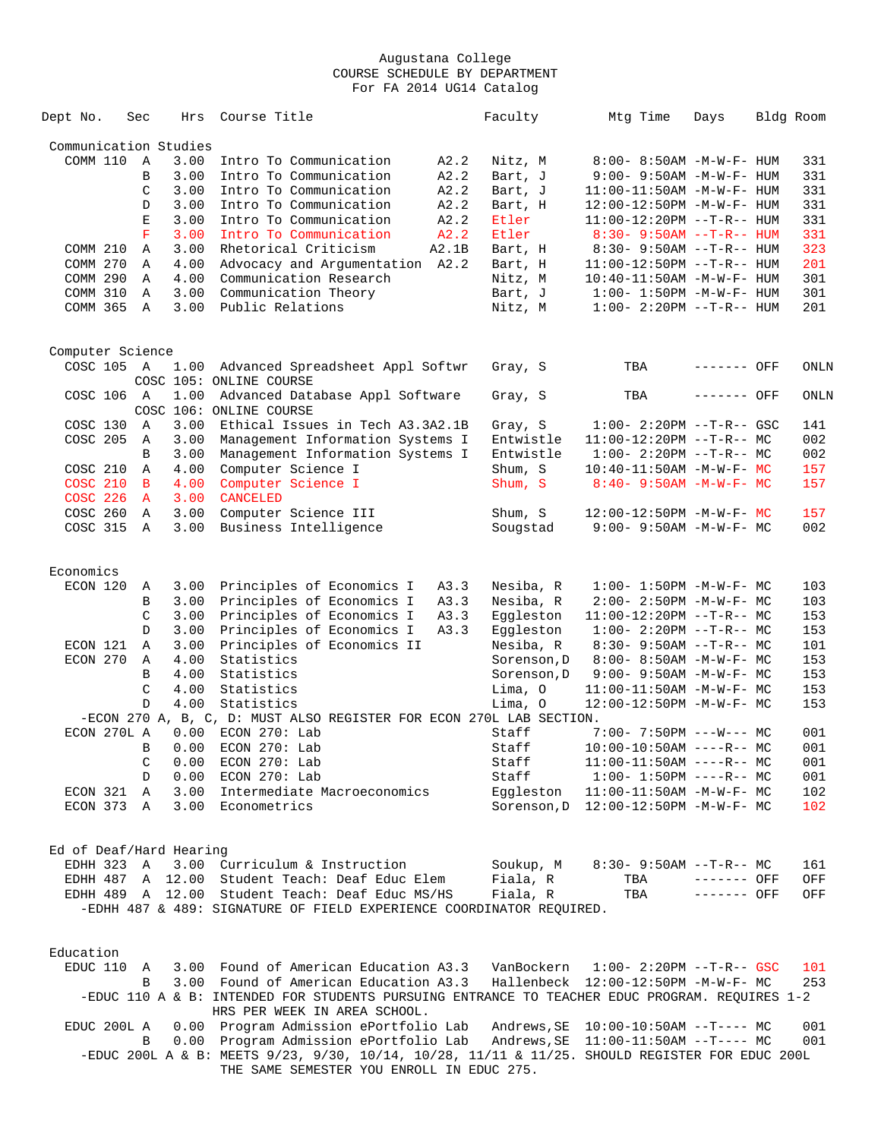| Dept No.                | Sec          | Hrs              | Course Title                                                                                                  | Faculty     | Mtg Time                            | Days        | Bldg Room  |
|-------------------------|--------------|------------------|---------------------------------------------------------------------------------------------------------------|-------------|-------------------------------------|-------------|------------|
| Communication Studies   |              |                  |                                                                                                               |             |                                     |             |            |
| COMM 110                | A            | 3.00             | Intro To Communication<br>A2.2                                                                                | Nitz, M     | 8:00- 8:50AM -M-W-F- HUM            |             | 331        |
|                         | B            | 3.00             | Intro To Communication<br>A2.2                                                                                | Bart, J     | $9:00 - 9:50AM - M - W - F - HUM$   |             | 331        |
|                         | C            | 3.00             | Intro To Communication<br>A2.2                                                                                | Bart, J     | 11:00-11:50AM -M-W-F- HUM           |             | 331        |
|                         | D            | 3.00             | Intro To Communication<br>A2.2                                                                                | Bart, H     | 12:00-12:50PM -M-W-F- HUM           |             | 331        |
|                         | Е            | 3.00             | Intro To Communication<br>A2.2                                                                                | Etler       | $11:00-12:20PM -T-R--HUM$           |             | 331        |
|                         | F            | 3.00             | Intro To Communication<br>A2.2                                                                                | Etler       | $8:30 - 9:50AM -T-R-- HUM$          |             | 331        |
| COMM 210                | Α            | 3.00             | Rhetorical Criticism<br>A2.1B                                                                                 | Bart, H     | $8:30 - 9:50AM -T-R-- HUM$          |             | 323        |
| COMM 270                | Α            | 4.00             | Advocacy and Argumentation A2.2                                                                               | Bart, H     | $11:00-12:50PM$ --T-R-- HUM         |             | 201        |
| COMM 290                | Α            | 4.00             | Communication Research                                                                                        | Nitz, M     | 10:40-11:50AM -M-W-F- HUM           |             | 301        |
| COMM 310                | Α            | 3.00             | Communication Theory                                                                                          | Bart, J     | $1:00 - 1:50PM - M - W - F - HUM$   |             | 301        |
| COMM 365                | A            | 3.00             | Public Relations                                                                                              | Nitz, M     | $1:00 - 2:20PM -T-R--HUM$           |             | 201        |
|                         |              |                  |                                                                                                               |             |                                     |             |            |
| Computer Science        |              |                  |                                                                                                               |             |                                     |             |            |
| COSC 105 A              |              | 1.00             | Advanced Spreadsheet Appl Softwr<br>COSC 105: ONLINE COURSE                                                   | Gray, S     | TBA                                 | ------- OFF | ONLN       |
| COSC 106 A              |              | 1.00             | Advanced Database Appl Software<br>COSC 106: ONLINE COURSE                                                    | Gray, S     | TBA                                 | ------- OFF | ONLN       |
| COSC 130                | A            | 3.00             | Ethical Issues in Tech A3.3A2.1B                                                                              | Gray, S     | $1:00 - 2:20PM -T-R--GSC$           |             | 141        |
| COSC 205                | Α            | 3.00             | Management Information Systems I                                                                              | Entwistle   | $11:00-12:20PM$ --T-R-- MC          |             | 002        |
|                         | B            | 3.00             | Management Information Systems I                                                                              | Entwistle   | $1:00-2:20PM -T-R--MC$              |             | 002        |
| COSC 210                | A            | 4.00             | Computer Science I                                                                                            | Shum, S     | $10:40 - 11:50AM$ -M-W-F- MC        |             | 157        |
| <b>COSC 210</b>         | B            | 4.00             | Computer Science I                                                                                            | Shum, S     | $8:40 - 9:50AM - M-W-F - MC$        |             | 157        |
| <b>COSC 226</b>         | A            | 3.00             | <b>CANCELED</b>                                                                                               |             |                                     |             |            |
| COSC 260                | A            | 3.00             | Computer Science III                                                                                          | Shum, S     | 12:00-12:50PM -M-W-F- MC            |             | 157        |
| COSC 315                | A            | 3.00             | Business Intelligence                                                                                         | Sougstad    | $9:00 - 9:50AM - M - W - F - MC$    |             | 002        |
|                         |              |                  |                                                                                                               |             |                                     |             |            |
| Economics<br>ECON 120   |              |                  |                                                                                                               |             |                                     |             |            |
|                         | Α            | 3.00             | Principles of Economics I<br>A3.3                                                                             | Nesiba, R   | $1:00 - 1:50PM - M - W - F - MC$    |             | 103        |
|                         | В            | 3.00             | Principles of Economics I<br>A3.3                                                                             | Nesiba, R   | 2:00- 2:50PM -M-W-F- MC             |             | 103        |
|                         | C            | 3.00             | Principles of Economics I<br>A3.3                                                                             | Eqqleston   | $11:00-12:20PM$ --T-R-- MC          |             | 153        |
|                         | D            | 3.00             | Principles of Economics I<br>A3.3                                                                             | Eqqleston   | $1:00-2:20PM -T-R--MC$              |             | 153        |
| ECON 121                | Α            | 3.00             | Principles of Economics II                                                                                    | Nesiba, R   | $8:30 - 9:50AM -T-R-- MC$           |             | 101        |
| ECON 270                | Α            | 4.00             | Statistics                                                                                                    | Sorenson, D | $8:00 - 8:50AM - M - W - F - MC$    |             | 153        |
|                         | B            | 4.00             | Statistics                                                                                                    | Sorenson, D | $9:00 - 9:50AM - M-W-F - MC$        |             | 153        |
|                         | C            | 4.00             | Statistics                                                                                                    | Lima, O     | 11:00-11:50AM -M-W-F- MC            |             | 153        |
|                         | $\mathbb{D}$ | 4.00             | Statistics                                                                                                    | Lima, 0     | 12:00-12:50PM -M-W-F- MC            |             | 153        |
|                         |              |                  | -ECON 270 A, B, C, D: MUST ALSO REGISTER FOR ECON 270L LAB SECTION.                                           |             |                                     |             |            |
| ECON 270L A             |              | 0.00             | ECON 270: Lab                                                                                                 | Staff       | $7:00-7:50PM$ ---W--- MC            |             | 001        |
|                         | B            | 0.00             | ECON 270: Lab                                                                                                 | Staff       | $10:00-10:50AM$ ----R-- MC          |             | 001        |
|                         | C            | 0.00             | ECON 270: Lab                                                                                                 | Staff       | $11:00-11:50AM$ ----R-- MC          |             | 001        |
|                         | D            | 0.00             | ECON 270: Lab                                                                                                 | Staff       | $1:00-1:50PM$ ----R-- MC            |             | 001        |
| ECON 321                | Α            | 3.00             | Intermediate Macroeconomics                                                                                   | Eggleston   | $11:00-11:50AM$ -M-W-F- MC          |             | 102        |
| ECON 373 A              |              | 3.00             | Econometrics                                                                                                  | Sorenson, D | 12:00-12:50PM -M-W-F- MC            |             | 102        |
| Ed of Deaf/Hard Hearing |              |                  |                                                                                                               |             |                                     |             |            |
| EDHH 323                | A            |                  | 3.00 Curriculum & Instruction                                                                                 | Soukup, M   | $8:30-9:50AM --T-R--MC$             |             | 161        |
| EDHH 487                |              | A 12.00          | Student Teach: Deaf Educ Elem                                                                                 | Fiala, R    | TBA                                 | ------- OFF | OFF        |
|                         |              | EDHH 489 A 12.00 | Student Teach: Deaf Educ MS/HS                                                                                | Fiala, R    | TBA                                 | ------- OFF | OFF        |
|                         |              |                  | -EDHH 487 & 489: SIGNATURE OF FIELD EXPERIENCE COORDINATOR REQUIRED.                                          |             |                                     |             |            |
| Education               |              |                  |                                                                                                               |             |                                     |             |            |
| EDUC 110                | A            | 3.00             | Found of American Education A3.3                                                                              | VanBockern  | $1:00 - 2:20PM -T-R--GSC$           |             | 101        |
|                         | B            |                  | 3.00 Found of American Education A3.3                                                                         |             | Hallenbeck 12:00-12:50PM -M-W-F- MC |             | 253        |
|                         |              |                  | -EDUC 110 A & B: INTENDED FOR STUDENTS PURSUING ENTRANCE TO TEACHER EDUC PROGRAM. REQUIRES 1-2                |             |                                     |             |            |
|                         |              |                  | HRS PER WEEK IN AREA SCHOOL.                                                                                  |             |                                     |             |            |
| EDUC 200L A             | $\mathbf{R}$ | 0.00             | Program Admission ePortfolio Lab<br>0.00 Program Admission ePortfolio Lab Andrews SE 11:00-11:50AM --T---- MC | Andrews, SE | $10:00-10:50AM$ --T---- MC          |             | 001<br>001 |

 B 0.00 Program Admission ePortfolio Lab Andrews,SE 11:00-11:50AM --T---- MC 001 -EDUC 200L A & B: MEETS 9/23, 9/30, 10/14, 10/28, 11/11 & 11/25. SHOULD REGISTER FOR EDUC 200L THE SAME SEMESTER YOU ENROLL IN EDUC 275.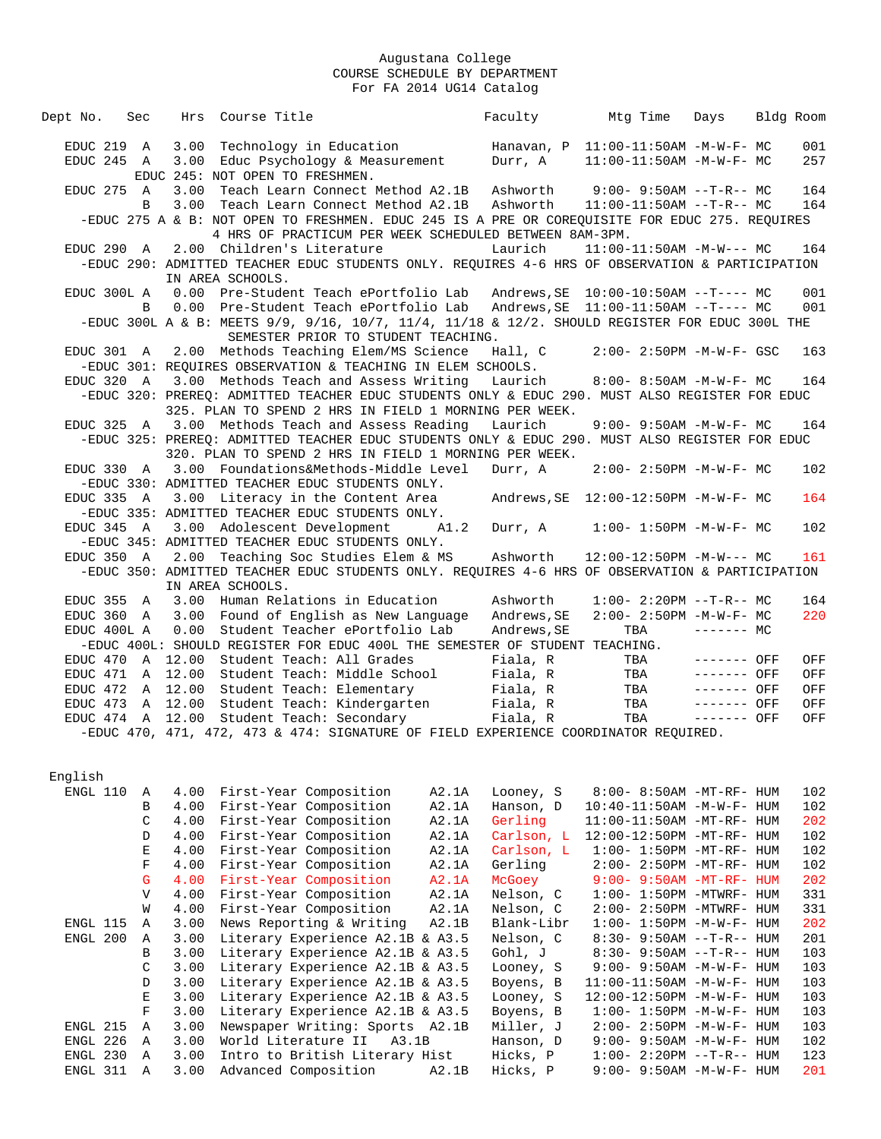| Hrs Course Title<br>Dept No.<br>Sec                                                                          |                                                        | Faculty                    | Mtg Time                            | Days         | Bldg Room  |  |
|--------------------------------------------------------------------------------------------------------------|--------------------------------------------------------|----------------------------|-------------------------------------|--------------|------------|--|
| Technology in Education<br>EDUC 219 A<br>3.00                                                                |                                                        |                            | Hanavan, P 11:00-11:50AM -M-W-F- MC |              | 001        |  |
| EDUC 245 A<br>3.00 Educ Psychology & Measurement                                                             |                                                        | Durr, A                    | $11:00-11:50AM$ -M-W-F- MC          |              | 257        |  |
| EDUC 245: NOT OPEN TO FRESHMEN.                                                                              |                                                        |                            |                                     |              |            |  |
| EDUC 275 A<br>3.00                                                                                           | Teach Learn Connect Method A2.1B                       |                            | Ashworth 9:00- 9:50AM --T-R-- MC    |              | 164        |  |
| 3.00 Teach Learn Connect Method A2.1B<br>B                                                                   |                                                        |                            |                                     |              | 164        |  |
| -EDUC 275 A & B: NOT OPEN TO FRESHMEN. EDUC 245 IS A PRE OR COREQUISITE FOR EDUC 275. REQUIRES               |                                                        |                            |                                     |              |            |  |
|                                                                                                              | 4 HRS OF PRACTICUM PER WEEK SCHEDULED BETWEEN 8AM-3PM. |                            |                                     |              |            |  |
| 2.00 Children's Literature<br>EDUC 290 A                                                                     |                                                        | Laurich                    | $11:00-11:50AM -M-W--- MC$          |              | 164        |  |
| -EDUC 290: ADMITTED TEACHER EDUC STUDENTS ONLY. REQUIRES 4-6 HRS OF OBSERVATION & PARTICIPATION              |                                                        |                            |                                     |              |            |  |
| IN AREA SCHOOLS.                                                                                             |                                                        |                            |                                     |              |            |  |
| EDUC 300L A 0.00 Pre-Student Teach ePortfolio Lab Andrews, SE 10:00-10:50AM --T---- MC                       |                                                        |                            |                                     |              | 001        |  |
| 0.00 Pre-Student Teach ePortfolio Lab Andrews, SE 11:00-11:50AM --T---- MC<br>$\mathbf{B}$                   |                                                        |                            |                                     |              | 001        |  |
| -EDUC 300L A & B: MEETS 9/9, 9/16, 10/7, 11/4, 11/18 & 12/2. SHOULD REGISTER FOR EDUC 300L THE               |                                                        |                            |                                     |              |            |  |
|                                                                                                              | SEMESTER PRIOR TO STUDENT TEACHING.                    |                            |                                     |              |            |  |
| EDUC 301 A 2.00 Methods Teaching Elem/MS Science                                                             |                                                        | Hall, C                    | $2:00 - 2:50PM -M-W-F - GSC$        |              | 163        |  |
| -EDUC 301: REQUIRES OBSERVATION & TEACHING IN ELEM SCHOOLS.                                                  |                                                        |                            |                                     |              |            |  |
| EDUC 320 A<br>3.00 Methods Teach and Assess Writing                                                          |                                                        |                            | Laurich 8:00-8:50AM -M-W-F- MC      |              | 164        |  |
| -EDUC 320: PREREQ: ADMITTED TEACHER EDUC STUDENTS ONLY & EDUC 290. MUST ALSO REGISTER FOR EDUC               |                                                        |                            |                                     |              |            |  |
| 325. PLAN TO SPEND 2 HRS IN FIELD 1 MORNING PER WEEK.                                                        |                                                        |                            |                                     |              |            |  |
| EDUC 325 A 3.00 Methods Teach and Assess Reading                                                             |                                                        | Laurich                    | $9:00 - 9:50AM - M - W - F - MC$    |              | 164        |  |
| -EDUC 325: PREREQ: ADMITTED TEACHER EDUC STUDENTS ONLY & EDUC 290. MUST ALSO REGISTER FOR EDUC               |                                                        |                            |                                     |              |            |  |
| 320. PLAN TO SPEND 2 HRS IN FIELD 1 MORNING PER WEEK.                                                        |                                                        |                            |                                     |              |            |  |
| EDUC 330 A 3.00 Foundations&Methods-Middle Level                                                             |                                                        | Durr, A                    | $2:00 - 2:50PM -M-W-F - MC$         |              | 102        |  |
| -EDUC 330: ADMITTED TEACHER EDUC STUDENTS ONLY.                                                              |                                                        |                            |                                     |              |            |  |
| EDUC 335 A<br>3.00 Literacy in the Content Area                                                              |                                                        |                            |                                     |              | 164        |  |
| -EDUC 335: ADMITTED TEACHER EDUC STUDENTS ONLY.                                                              |                                                        |                            |                                     |              |            |  |
| 3.00 Adolescent Development<br>$EDUC$ 345 A                                                                  | A1.2                                                   |                            | Durr, A 1:00- 1:50PM - M-W-F- MC    |              | 102        |  |
| -EDUC 345: ADMITTED TEACHER EDUC STUDENTS ONLY.                                                              |                                                        |                            |                                     |              |            |  |
| EDUC 350 A 2.00 Teaching Soc Studies Elem & MS                                                               |                                                        | Ashworth                   | $12:00-12:50PM -M-W--- MC$          |              | 161        |  |
| -EDUC 350: ADMITTED TEACHER EDUC STUDENTS ONLY. REQUIRES 4-6 HRS OF OBSERVATION & PARTICIPATION              |                                                        |                            |                                     |              |            |  |
| IN AREA SCHOOLS.                                                                                             |                                                        |                            |                                     |              |            |  |
| EDUC 355 A<br>3.00 Human Relations in Education                                                              |                                                        | Ashworth                   | $1:00-2:20PM -T-R--MC$              |              | 164<br>220 |  |
| EDUC 360 A<br>3.00 Found of English as New Language<br>0.00<br>Student Teacher ePortfolio Lab<br>EDUC 400L A |                                                        | Andrews, SE<br>Andrews, SE | $2:00 - 2:50PM -M-W-F-MC$<br>TBA    | $-----MC$    |            |  |
| -EDUC 400L: SHOULD REGISTER FOR EDUC 400L THE SEMESTER OF STUDENT TEACHING.                                  |                                                        |                            |                                     |              |            |  |
| EDUC 470 A 12.00 Student Teach: All Grades                                                                   |                                                        | Fiala, R                   | TBA                                 | $-----$ OFF  | OFF        |  |
| EDUC 471 A 12.00 Student Teach: Middle School                                                                |                                                        |                            | Fiala, R TBA                        | $-----$ OFF  | OFF        |  |
| EDUC 472 A 12.00 Student Teach: Elementary                                                                   |                                                        | Fiala, R                   | TBA                                 | $------$ OFF | OFF        |  |
| EDUC 473 A 12.00 Student Teach: Kindergarten                                                                 |                                                        | Fiala, R                   | TBA                                 | $-----$ OFF  | OFF        |  |
| EDUC 474 A 12.00 Student Teach: Secondary                                                                    |                                                        | Fiala, R                   | TBA                                 | $------$ OFF | OFF        |  |
| -EDUC 470, 471, 472, 473 & 474: SIGNATURE OF FIELD EXPERIENCE COORDINATOR REQUIRED.                          |                                                        |                            |                                     |              |            |  |
|                                                                                                              |                                                        |                            |                                     |              |            |  |

English

| ENGL 110 | Α            | 4.00 | First-Year Composition           | A2.1A | Looney, S  | $8:00-8:50AM$ -MT-RF- HUM         | 102 |
|----------|--------------|------|----------------------------------|-------|------------|-----------------------------------|-----|
|          | B            | 4.00 | First-Year Composition           | A2.1A | Hanson, D  | $10:40 - 11:50AM$ $-M-W-F-$ HUM   | 102 |
|          | C            | 4.00 | First-Year Composition           | A2.1A | Gerling    | 11:00-11:50AM -MT-RF- HUM         | 202 |
|          | D            | 4.00 | First-Year Composition           | A2.1A | Carlson, L | 12:00-12:50PM -MT-RF- HUM         | 102 |
|          | E            | 4.00 | First-Year Composition           | A2.1A | Carlson, L | $1:00-1:50PM -MT-RF - HUM$        | 102 |
|          | F            | 4.00 | First-Year Composition           | A2.1A | Gerling    | $2:00-2:50PM -MT-RF-HUM$          | 102 |
|          | G            | 4.00 | First-Year Composition           | A2.1A | McGoey     | $9:00 - 9:50AM - MT - RF - HUM$   | 202 |
|          | $\mathbf{V}$ | 4.00 | First-Year Composition           | A2.1A | Nelson, C  | $1:00-1:50PM -MTWRF-HUM$          | 331 |
|          | W            | 4.00 | First-Year Composition           | A2.1A | Nelson, C  | 2:00- 2:50PM -MTWRF- HUM          | 331 |
| ENGL 115 | A            | 3.00 | News Reporting & Writing         | A2.1B | Blank-Libr | $1:00 - 1:50PM -M-W-F - HUM$      | 202 |
| ENGL 200 | A            | 3.00 | Literary Experience A2.1B & A3.5 |       | Nelson, C  | $8:30 - 9:50AM -T-R-$ HUM         | 201 |
|          | B            | 3.00 | Literary Experience A2.1B & A3.5 |       | Gohl, J    | $8:30 - 9:50AM -T-R-$ HUM         | 103 |
|          | C            | 3.00 | Literary Experience A2.1B & A3.5 |       | Looney, S  | $9:00 - 9:50AM - M - W - F - HUM$ | 103 |
|          | D            | 3.00 | Literary Experience A2.1B & A3.5 |       | Boyens, B  | $11:00-11:50AM -M-W-F- HUM$       | 103 |
|          | E            | 3.00 | Literary Experience A2.1B & A3.5 |       | Looney, S  | 12:00-12:50PM -M-W-F- HUM         | 103 |
|          | F            | 3.00 | Literary Experience A2.1B & A3.5 |       | Boyens, B  | $1:00 - 1:50PM - M - W - F - HUM$ | 103 |
| ENGL 215 | A            | 3.00 | Newspaper Writing: Sports A2.1B  |       | Miller, J  | $2:00 - 2:50PM -M-W-F- HUM$       | 103 |
| ENGL 226 | $\mathbf{A}$ | 3.00 | World Literature II<br>A3.1B     |       | Hanson, D  | $9:00 - 9:50AM - M - W - F - HUM$ | 102 |
| ENGL 230 | A            | 3.00 | Intro to British Literary Hist   |       | Hicks, P   | $1:00 - 2:20PM -T-R--HUM$         | 123 |
| ENGL 311 | $\Delta$     | 3.00 | Advanced Composition             | A2.1B | Hicks, P   | $9:00 - 9:50AM - M - W - F - HUM$ | 201 |
|          |              |      |                                  |       |            |                                   |     |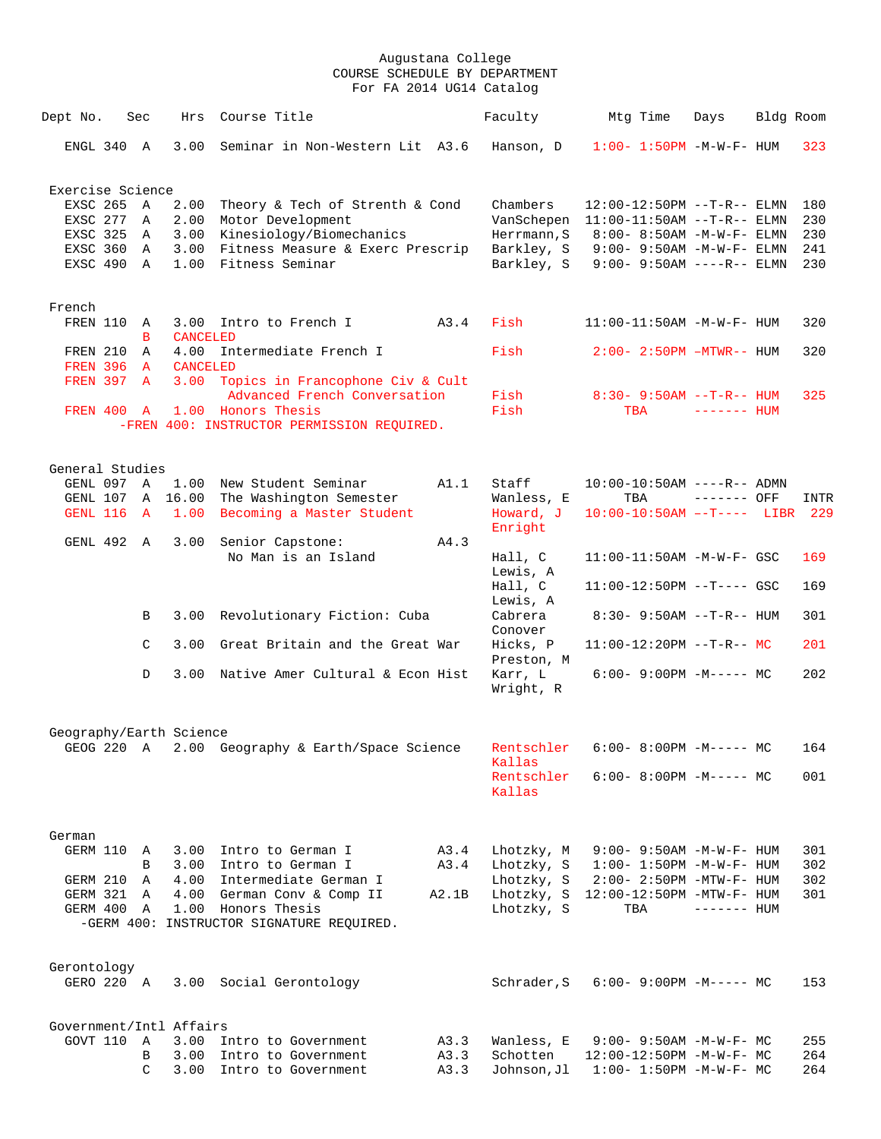| Dept No.         | Sec          | Hrs                     | Course Title                                                     |       | Faculty                | Mtg Time                           | Days         | Bldg Room |      |
|------------------|--------------|-------------------------|------------------------------------------------------------------|-------|------------------------|------------------------------------|--------------|-----------|------|
| ENGL 340 A       |              | 3.00                    | Seminar in Non-Western Lit A3.6                                  |       | Hanson, D              | $1:00 - 1:50PM - M - W - F - HUM$  |              |           | 323  |
| Exercise Science |              |                         |                                                                  |       |                        |                                    |              |           |      |
| EXSC 265 A       |              | 2.00                    | Theory & Tech of Strenth & Cond                                  |       | Chambers               | $12:00-12:50PM$ --T-R-- ELMN       |              |           | 180  |
| EXSC 277         | Α            | 2.00                    | Motor Development                                                |       | VanSchepen             | $11:00-11:50AM$ --T-R-- ELMN       |              |           | 230  |
| EXSC 325         | A            | 3.00                    | Kinesiology/Biomechanics                                         |       | Herrmann, S            | 8:00- 8:50AM -M-W-F- ELMN          |              |           | 230  |
| EXSC 360         | A            | 3.00                    | Fitness Measure & Exerc Prescrip                                 |       | Barkley, S             | $9:00 - 9:50AM -M-W-F - ELMN$      |              |           | 241  |
| EXSC 490 A       |              | 1.00                    | Fitness Seminar                                                  |       | Barkley, S             | $9:00 - 9:50AM$ ----R-- ELMN       |              |           | 230  |
| French           |              |                         |                                                                  |       |                        |                                    |              |           |      |
| FREN 110         | A<br>в       | <b>CANCELED</b>         | 3.00 Intro to French I                                           | A3.4  | Fish                   | $11:00-11:50AM$ -M-W-F- HUM        |              |           | 320  |
| FREN 210         | $\mathbb{A}$ | 4.00                    | Intermediate French I                                            |       | Fish                   | $2:00 - 2:50PM - MTWR - - HUM$     |              |           | 320  |
| FREN 396 A       |              | <b>CANCELED</b>         |                                                                  |       |                        |                                    |              |           |      |
| FREN 397 A       |              |                         | 3.00 Topics in Francophone Civ & Cult                            |       |                        |                                    |              |           |      |
|                  |              |                         | Advanced French Conversation                                     |       | Fish                   | $8:30 - 9:50AM -T-R--HUM$          |              |           | 325  |
| FREN 400 A       |              |                         | 1.00 Honors Thesis<br>-FREN 400: INSTRUCTOR PERMISSION REQUIRED. |       | Fish                   | TBA                                | ------- HUM  |           |      |
| General Studies  |              |                         |                                                                  |       |                        |                                    |              |           |      |
| GENL 097 A       |              | 1.00                    | New Student Seminar                                              | A1.1  | Staff                  | $10:00-10:50AM$ ----R-- ADMN       |              |           |      |
| GENL 107         |              | A 16.00                 | The Washington Semester                                          |       | Wanless, E             | TBA                                | ------- OFF  |           | INTR |
| GENL 116         | $\mathbf{A}$ | 1.00                    | Becoming a Master Student                                        |       | Howard, J<br>Enright   | $10:00-10:50$ AM $--T---$ LIBR 229 |              |           |      |
| GENL 492 A       |              | 3.00                    | Senior Capstone:                                                 | A4.3  |                        |                                    |              |           |      |
|                  |              |                         | No Man is an Island                                              |       | Hall, C<br>Lewis, A    | $11:00-11:50AM$ -M-W-F- GSC        |              |           | 169  |
|                  |              |                         |                                                                  |       | Hall, C<br>Lewis, A    | $11:00-12:50PM$ --T---- GSC        |              |           | 169  |
|                  | В            | 3.00                    | Revolutionary Fiction: Cuba                                      |       | Cabrera<br>Conover     | $8:30 - 9:50AM -T-R-- HUM$         |              |           | 301  |
|                  | C            | 3.00                    | Great Britain and the Great War                                  |       | Hicks, P<br>Preston, M | $11:00-12:20PM -T-R--MC$           |              |           | 201  |
|                  | D            | 3.00                    | Native Amer Cultural & Econ Hist                                 |       | Karr, L<br>Wright, R   | $6:00-9:00PM -M--- MC$             |              |           | 202  |
|                  |              | Geography/Earth Science |                                                                  |       |                        |                                    |              |           |      |
| GEOG 220 A       |              |                         | 2.00 Geography & Earth/Space Science                             |       | Rentschler<br>Kallas   | $6:00-8:00PM -M--- MC$             |              |           | 164  |
|                  |              |                         |                                                                  |       | Rentschler<br>Kallas   | $6:00-8:00PM -M--- -$ MC           |              |           | 001  |
|                  |              |                         |                                                                  |       |                        |                                    |              |           |      |
| German           |              |                         |                                                                  |       |                        |                                    |              |           |      |
| GERM 110         | A            |                         | 3.00 Intro to German I                                           | A3.4  | Lhotzky, M             | $9:00 - 9:50AM - M - W - F - HUM$  |              |           | 301  |
|                  | B            |                         | 3.00 Intro to German I                                           | A3.4  | Lhotzky, S             | $1:00 - 1:50PM - M - W - F - HUM$  |              |           | 302  |
| GERM 210         | Α            | 4.00                    | Intermediate German I                                            |       | Lhotzky, S             | $2:00 - 2:50PM - MTW - F - HUM$    |              |           | 302  |
| GERM 321         | Α            | 4.00                    | German Conv & Comp II                                            | A2.1B | Lhotzky, S             | 12:00-12:50PM -MTW-F- HUM          |              |           | 301  |
| GERM 400         | A            | 1.00                    | Honors Thesis                                                    |       | Lhotzky, S             | TBA                                | $------$ HUM |           |      |
|                  |              |                         | -GERM 400: INSTRUCTOR SIGNATURE REQUIRED.                        |       |                        |                                    |              |           |      |
| Gerontology      |              |                         |                                                                  |       |                        |                                    |              |           |      |
| GERO 220 A       |              |                         | 3.00 Social Gerontology                                          |       | Schrader, S            | $6:00-9:00PM -M--- MC$             |              |           | 153  |
|                  |              | Government/Intl Affairs |                                                                  |       |                        |                                    |              |           |      |
| GOVT 110         | A            |                         | 3.00 Intro to Government                                         | A3.3  | Wanless, E             | $9:00 - 9:50AM - M - W - F - MC$   |              |           | 255  |
|                  | B            | 3.00                    | Intro to Government                                              | A3.3  | Schotten               | 12:00-12:50PM -M-W-F- MC           |              |           | 264  |
|                  | C            | 3.00                    | Intro to Government                                              | A3.3  | Johnson, Jl            | $1:00 - 1:50PM - M - W - F - MC$   |              |           | 264  |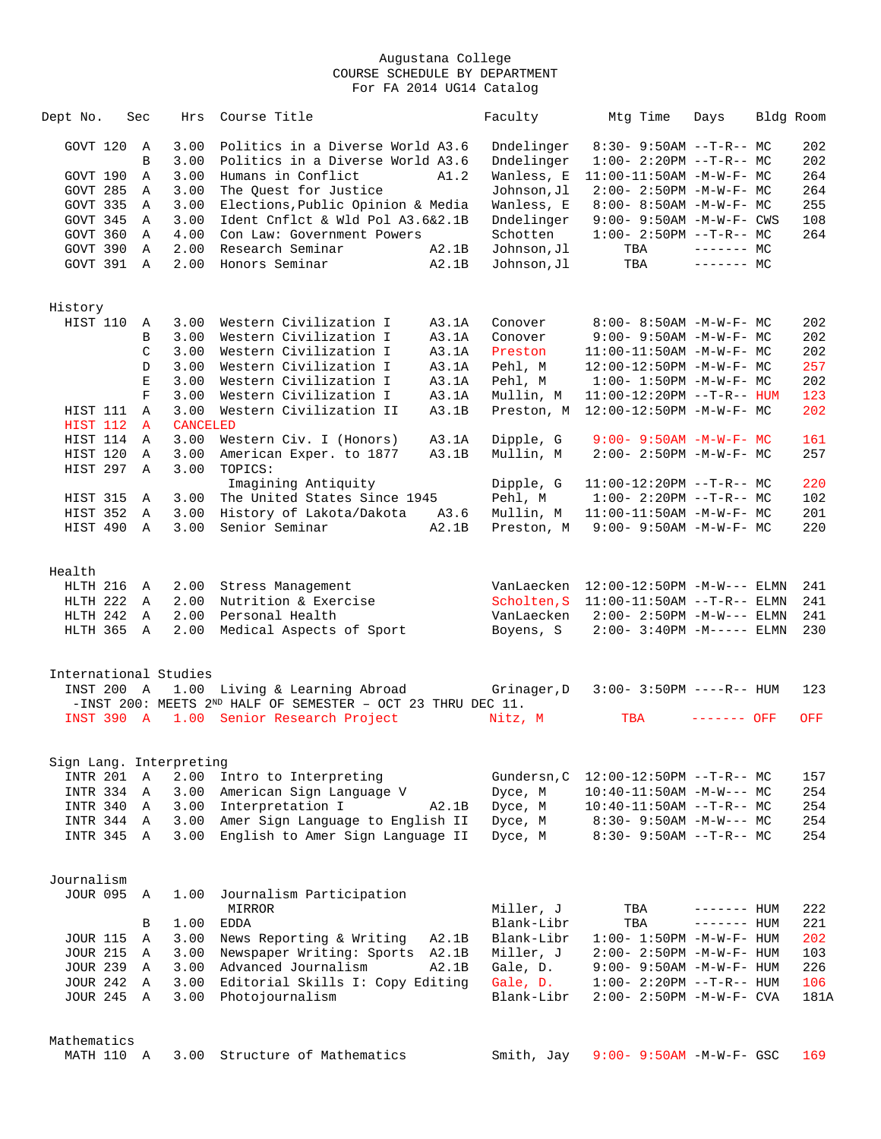| Dept No.            | Sec          | Hrs                     | Course Title                                                     |       | Faculty     | Mtg Time                              | Days         | Bldg Room |            |
|---------------------|--------------|-------------------------|------------------------------------------------------------------|-------|-------------|---------------------------------------|--------------|-----------|------------|
| GOVT 120            | A            | 3.00                    | Politics in a Diverse World A3.6                                 |       | Dndelinger  | $8:30-9:50AM --T-R--MC$               |              |           | 202        |
|                     | B            | 3.00                    | Politics in a Diverse World A3.6                                 |       | Dndelinger  | $1:00-2:20PM -T-R--MC$                |              |           | 202        |
| GOVT 190            | Α            | 3.00                    | Humans in Conflict                                               | A1.2  | Wanless, E  | 11:00-11:50AM -M-W-F- MC              |              |           | 264        |
| GOVT 285            | Α            | 3.00                    | The Quest for Justice                                            |       | Johnson, Jl | $2:00-2:50PM -M-W-F-MC$               |              |           | 264        |
| GOVT 335            | A            | 3.00                    | Elections, Public Opinion & Media                                |       | Wanless, E  | 8:00- 8:50AM -M-W-F- MC               |              |           | 255        |
| GOVT 345            | A            | 3.00                    | Ident Cnflct & Wld Pol A3.6&2.1B                                 |       | Dndelinger  | 9:00- 9:50AM -M-W-F- CWS              |              |           | 108        |
| GOVT 360            | Α            | 4.00                    | Con Law: Government Powers                                       |       | Schotten    | $1:00-2:50PM -T-R--MC$                |              |           | 264        |
| GOVT 390            | A            | 2.00                    | Research Seminar                                                 | A2.1B | Johnson, Jl | TBA                                   | $-----MC$    |           |            |
| GOVT 391 A          |              | 2.00                    | Honors Seminar                                                   | A2.1B | Johnson, Jl | TBA                                   | $------MC$   |           |            |
|                     |              |                         |                                                                  |       |             |                                       |              |           |            |
|                     |              |                         |                                                                  |       |             |                                       |              |           |            |
| History<br>HIST 110 | Α            | 3.00                    | Western Civilization I                                           | A3.1A | Conover     | 8:00- 8:50AM -M-W-F- MC               |              |           | 202        |
|                     | В            | 3.00                    | Western Civilization I                                           | A3.1A |             | $9:00 - 9:50AM - M - W - F - MC$      |              |           | 202        |
|                     | $\mathsf C$  |                         |                                                                  |       | Conover     |                                       |              |           |            |
|                     |              | 3.00                    | Western Civilization I                                           | A3.1A | Preston     | 11:00-11:50AM -M-W-F- MC              |              |           | 202        |
|                     | D            | 3.00                    | Western Civilization I                                           | A3.1A | Pehl, M     | 12:00-12:50PM -M-W-F- MC              |              |           | 257        |
|                     | $\mathbf E$  | 3.00                    | Western Civilization I                                           | A3.1A | Pehl, M     | $1:00-1:50PM -M-W-F-MC$               |              |           | 202        |
|                     | $\mathbf F$  | 3.00                    | Western Civilization I                                           | A3.1A | Mullin, M   | 11:00-12:20PM --T-R-- HUM             |              |           | 123        |
| HIST 111            | A            | 3.00                    | Western Civilization II                                          | A3.1B | Preston, M  | 12:00-12:50PM -M-W-F- MC              |              |           | 202        |
| HIST 112            | $\mathbf{A}$ | <b>CANCELED</b>         |                                                                  |       |             |                                       |              |           |            |
| HIST 114            | A            | 3.00                    | Western Civ. I (Honors)                                          | A3.1A | Dipple, G   | $9:00 - 9:50AM - M-W-F - MC$          |              |           | 161        |
| HIST 120            | A            | 3.00                    | American Exper. to 1877                                          | A3.1B | Mullin, M   | $2:00-2:50PM -M-W-F-MC$               |              |           | 257        |
| HIST 297            | A            | 3.00                    | TOPICS:                                                          |       |             |                                       |              |           |            |
|                     |              |                         | Imagining Antiquity                                              |       | Dipple, G   | $11:00-12:20PM$ --T-R-- MC            |              |           | 220        |
| HIST 315            | A            | 3.00                    | The United States Since 1945                                     |       | Pehl, M     | $1:00-2:20PM -T-R--MC$                |              |           | 102        |
| HIST 352            | A            | 3.00                    | History of Lakota/Dakota                                         | A3.6  | Mullin, M   | $11:00-11:50AM$ -M-W-F- MC            |              |           | 201        |
| HIST 490            | A            | 3.00                    | Senior Seminar                                                   | A2.1B | Preston, M  | $9:00 - 9:50AM - M - W - F - MC$      |              |           | 220        |
|                     |              |                         |                                                                  |       |             |                                       |              |           |            |
| Health              |              |                         |                                                                  |       |             |                                       |              |           |            |
| HLTH 216 A          |              | 2.00                    | Stress Management                                                |       |             | VanLaecken 12:00-12:50PM -M-W--- ELMN |              |           | 241        |
| HLTH 222 A          |              | 2.00                    | Nutrition & Exercise                                             |       | Scholten, S | $11:00-11:50AM$ --T-R-- ELMN          |              |           | 241        |
| HLTH 242 A          |              | 2.00                    | Personal Health                                                  |       | VanLaecken  | $2:00 - 2:50PM -M-W---$ ELMN          |              |           | 241        |
| HLTH 365 A          |              | 2.00                    | Medical Aspects of Sport                                         |       | Boyens, S   | $2:00 - 3:40PM - M--- -$ ELMN         |              |           | 230        |
|                     |              |                         |                                                                  |       |             |                                       |              |           |            |
|                     |              |                         |                                                                  |       |             |                                       |              |           |            |
|                     |              | International Studies   |                                                                  |       |             |                                       |              |           |            |
|                     |              |                         | INST 200 A 1.00 Living & Learning Abroad                         |       | Grinager,D  | $3:00 - 3:50PM$ ----R-- HUM           |              |           | 123        |
|                     |              |                         | -INST 200: MEETS $2^{ND}$ HALF OF SEMESTER - OCT 23 THRU DEC 11. |       |             |                                       |              |           |            |
|                     |              |                         | INST 390 A 1.00 Senior Research Project                          |       | Nitz, M     | TBA                                   | ------- OFF  |           | <b>OFF</b> |
|                     |              |                         |                                                                  |       |             |                                       |              |           |            |
|                     |              | Sign Lang. Interpreting |                                                                  |       |             |                                       |              |           |            |
| INTR 201            | A            | 2.00                    | Intro to Interpreting                                            |       | Gundersn, C | $12:00-12:50PM$ --T-R-- MC            |              |           | 157        |
| INTR 334            | A            | 3.00                    | American Sign Language V                                         |       | Dyce, M     | $10:40-11:50AM$ -M-W--- MC            |              |           | 254        |
| INTR 340            | Α            | 3.00                    | Interpretation I                                                 | A2.1B | Dyce, M     | $10:40-11:50AM$ --T-R-- MC            |              |           | 254        |
| INTR 344            | Α            | 3.00                    | Amer Sign Language to English II                                 |       | Dyce, M     | $8:30 - 9:50AM - M-W--- MC$           |              |           | 254        |
| INTR 345            | A            | 3.00                    | English to Amer Sign Language II                                 |       | Dyce, M     | $8:30 - 9:50AM -T-R--MC$              |              |           | 254        |
|                     |              |                         |                                                                  |       |             |                                       |              |           |            |
| Journalism          |              |                         |                                                                  |       |             |                                       |              |           |            |
| <b>JOUR 095</b>     | $\mathbb A$  | 1.00                    | Journalism Participation                                         |       |             |                                       |              |           |            |
|                     |              |                         | MIRROR                                                           |       | Miller, J   | TBA                                   | ------- HUM  |           | 222        |
|                     | В            | 1.00                    | <b>EDDA</b>                                                      |       | Blank-Libr  | TBA                                   | $------$ HUM |           | 221        |
| <b>JOUR 115</b>     | Α            | 3.00                    | News Reporting & Writing                                         | A2.1B | Blank-Libr  | $1:00 - 1:50PM - M - W - F - HUM$     |              |           | 202        |
| <b>JOUR 215</b>     | Α            | 3.00                    | Newspaper Writing: Sports                                        | A2.1B | Miller, J   | 2:00- 2:50PM -M-W-F- HUM              |              |           | 103        |
| <b>JOUR 239</b>     | Α            | 3.00                    | Advanced Journalism                                              | A2.1B | Gale, D.    | 9:00- 9:50AM -M-W-F- HUM              |              |           | 226        |
| <b>JOUR 242</b>     | A            | 3.00                    | Editorial Skills I: Copy Editing                                 |       | Gale, D.    | $1:00 - 2:20PM -T-R--HUM$             |              |           | 106        |
| JOUR 245 A          |              | 3.00                    | Photojournalism                                                  |       | Blank-Libr  | $2:00 - 2:50PM - M - W - F - CVA$     |              |           | 181A       |
|                     |              |                         |                                                                  |       |             |                                       |              |           |            |
|                     |              |                         |                                                                  |       |             |                                       |              |           |            |
| Mathematics         |              |                         |                                                                  |       |             |                                       |              |           |            |
| MATH 110 A          |              | 3.00                    | Structure of Mathematics                                         |       | Smith, Jay  | $9:00 - 9:50AM - M - W - F - GSC$     |              |           | 169        |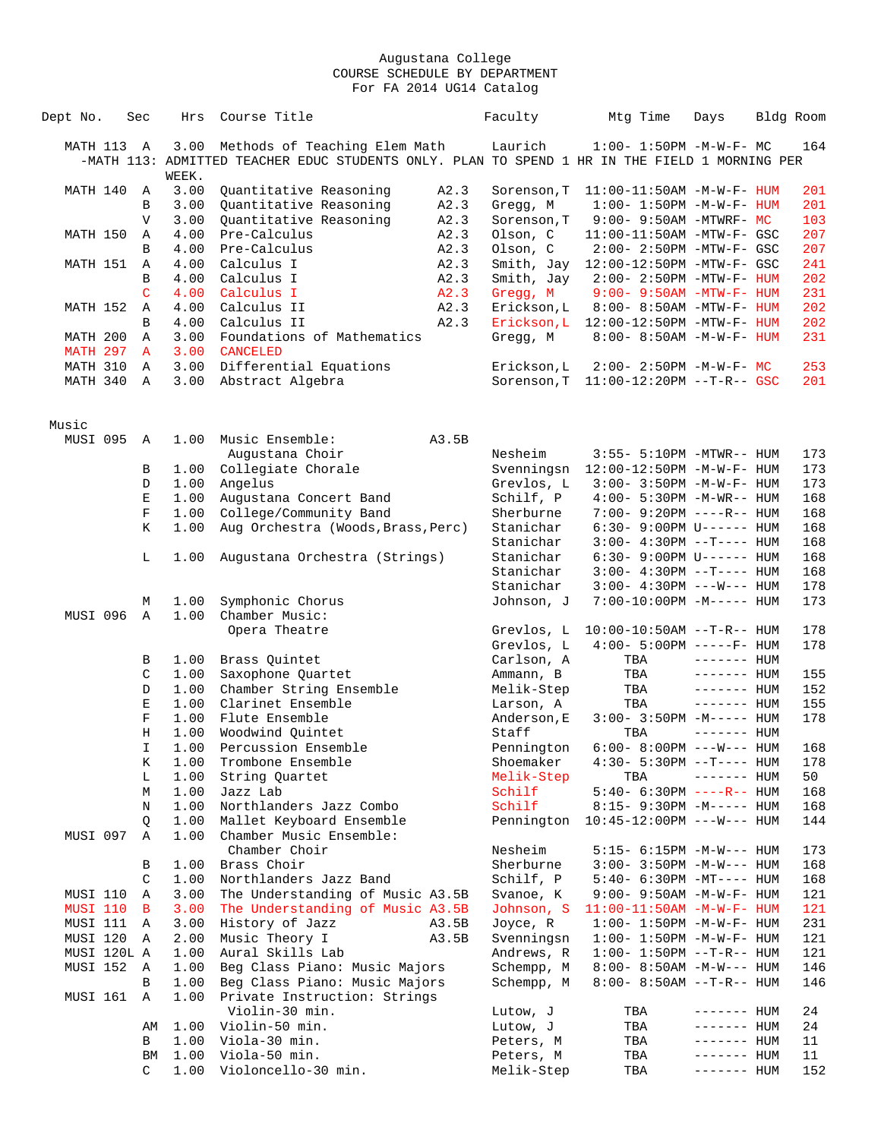| Dept No.          | Sec          | Hrs          | Course Title                                                                                  |       | Faculty     | Mtg Time                              | Days         | Bldg Room |     |
|-------------------|--------------|--------------|-----------------------------------------------------------------------------------------------|-------|-------------|---------------------------------------|--------------|-----------|-----|
| MATH 113 A        |              | 3.00         | Methods of Teaching Elem Math                                                                 |       | Laurich     | $1:00 - 1:50PM -M-W-F-MC$             |              |           | 164 |
|                   |              | WEEK.        | -MATH 113: ADMITTED TEACHER EDUC STUDENTS ONLY. PLAN TO SPEND 1 HR IN THE FIELD 1 MORNING PER |       |             |                                       |              |           |     |
| MATH 140          | Α            | 3.00         | Quantitative Reasoning                                                                        | A2.3  | Sorenson, T | $11:00-11:50AM$ -M-W-F- HUM           |              |           | 201 |
|                   | B            | 3.00         | Quantitative Reasoning                                                                        | A2.3  | Gregg, M    | $1:00 - 1:50PM -M-W-F - HUM$          |              |           | 201 |
|                   | $\mathbf V$  | 3.00         | Quantitative Reasoning                                                                        | A2.3  | Sorenson, T | $9:00-9:50AM -MTWRF-MC$               |              |           | 103 |
| MATH 150          | Α            | 4.00         | Pre-Calculus                                                                                  | A2.3  | Olson, C    | 11:00-11:50AM -MTW-F- GSC             |              |           | 207 |
|                   | B            | 4.00         | Pre-Calculus                                                                                  | A2.3  | Olson, C    | 2:00- 2:50PM -MTW-F- GSC              |              |           | 207 |
| MATH 151          | Α            | 4.00         | Calculus I                                                                                    | A2.3  |             | Smith, Jay 12:00-12:50PM -MTW-F- GSC  |              |           | 241 |
|                   | B            | 4.00         | Calculus I                                                                                    | A2.3  | Smith, Jay  | $2:00 - 2:50PM - MTW - F - HUM$       |              |           | 202 |
|                   | C            | 4.00         | Calculus I                                                                                    | A2.3  | Gregg, M    | $9:00 - 9:50AM - MTW - F - HUM$       |              |           | 231 |
| MATH 152          | Α            | 4.00         | Calculus II                                                                                   | A2.3  | Erickson, L | 8:00- 8:50AM -MTW-F- HUM              |              |           | 202 |
|                   | B            | 4.00         | Calculus II                                                                                   | A2.3  | Erickson, L | 12:00-12:50PM -MTW-F- HUM             |              |           | 202 |
| MATH 200          | Α            | 3.00         | Foundations of Mathematics                                                                    |       | Gregg, M    | 8:00- 8:50AM -M-W-F- HUM              |              |           | 231 |
| MATH 297          | $\mathbf{A}$ | 3.00         | <b>CANCELED</b>                                                                               |       |             |                                       |              |           |     |
| MATH 310          | Α            | 3.00         | Differential Equations                                                                        |       | Erickson, L | 2:00- 2:50PM -M-W-F- MC               |              |           | 253 |
| MATH 340          | Α            | 3.00         | Abstract Algebra                                                                              |       | Sorenson, T | $11:00-12:20PM$ --T-R-- GSC           |              |           | 201 |
|                   |              |              |                                                                                               |       |             |                                       |              |           |     |
| Music<br>MUSI 095 | Α            | 1.00         | Music Ensemble:                                                                               | A3.5B |             |                                       |              |           |     |
|                   |              |              | Augustana Choir                                                                               |       | Nesheim     | 3:55- 5:10PM -MTWR-- HUM              |              |           | 173 |
|                   | В            | 1.00         | Collegiate Chorale                                                                            |       | Svenningsn  | 12:00-12:50PM -M-W-F- HUM             |              |           | 173 |
|                   | D            | 1.00         | Angelus                                                                                       |       | Grevlos, L  | $3:00-3:50PM -M-W-F- HUM$             |              |           | 173 |
|                   | E            | 1.00         | Augustana Concert Band                                                                        |       | Schilf, P   | 4:00- 5:30PM -M-WR-- HUM              |              |           | 168 |
|                   | $\mathbf F$  | 1.00         | College/Community Band                                                                        |       | Sherburne   | 7:00- 9:20PM ----R-- HUM              |              |           | 168 |
|                   | Κ            | 1.00         | Aug Orchestra (Woods, Brass, Perc)                                                            |       | Stanichar   | 6:30- 9:00PM U------ HUM              |              |           | 168 |
|                   |              |              |                                                                                               |       | Stanichar   | $3:00-4:30PM -T--- HUM$               |              |           | 168 |
|                   | L            | 1.00         | Augustana Orchestra (Strings)                                                                 |       | Stanichar   | 6:30- 9:00PM U------ HUM              |              |           | 168 |
|                   |              |              |                                                                                               |       | Stanichar   | $3:00-4:30PM --T--- HUM$              |              |           | 168 |
|                   |              |              |                                                                                               |       | Stanichar   | $3:00-4:30PM$ ---W--- HUM             |              |           | 178 |
|                   | М            | 1.00         | Symphonic Chorus                                                                              |       | Johnson, J  | 7:00-10:00PM -M----- HUM              |              |           | 173 |
| MUSI 096          | $\mathbb{A}$ | 1.00         | Chamber Music:                                                                                |       |             |                                       |              |           |     |
|                   |              |              | Opera Theatre                                                                                 |       | Grevlos, L  | $10:00-10:50AM$ --T-R-- HUM           |              |           | 178 |
|                   |              |              |                                                                                               |       | Grevlos, L  | $4:00 - 5:00PM$ -----F- HUM           |              |           | 178 |
|                   | В            | 1.00         | Brass Quintet                                                                                 |       | Carlson, A  | TBA                                   | $------$ HUM |           |     |
|                   | C            | 1.00         | Saxophone Quartet                                                                             |       | Ammann, B   | TBA                                   | $------$ HUM |           | 155 |
|                   | D            | 1.00         | Chamber String Ensemble                                                                       |       | Melik-Step  | TBA                                   | ------- HUM  |           | 152 |
|                   | E            | 1.00         | Clarinet Ensemble                                                                             |       | Larson, A   | TBA                                   | ------- HUM  |           | 155 |
|                   | F            | 1.00         | Flute Ensemble                                                                                |       | Anderson, E | $3:00 - 3:50PM -M-----$ HUM           |              |           | 178 |
|                   | Η            | 1.00         | Woodwind Ouintet                                                                              |       | Staff       | TBA                                   | $------$ HUM |           |     |
|                   | $\mathbf I$  | 1.00         | Percussion Ensemble                                                                           |       | Pennington  | $6:00 - 8:00PM$ ---W--- HUM           |              |           | 168 |
|                   | Κ            | 1.00         | Trombone Ensemble                                                                             |       | Shoemaker   | $4:30 - 5:30PM -T--- HUM$             |              |           | 178 |
|                   | L            | 1.00         | String Ouartet                                                                                |       | Melik-Step  | TBA                                   | $------$ HUM |           | 50  |
|                   | М            | 1.00         | Jazz Lab                                                                                      |       | Schilf      | 5:40- 6:30PM ----R-- HUM              |              |           | 168 |
|                   | Ν            | 1.00         | Northlanders Jazz Combo                                                                       |       | Schilf      | $8:15-9:30PM -M--- HUM$               |              |           | 168 |
| MUSI 097          | Q<br>Α       | 1.00<br>1.00 | Mallet Keyboard Ensemble<br>Chamber Music Ensemble:                                           |       | Pennington  | $10:45 - 12:00 \text{PM}$ ---W--- HUM |              |           | 144 |
|                   |              |              | Chamber Choir                                                                                 |       | Nesheim     | 5:15- 6:15PM -M-W--- HUM              |              |           | 173 |
|                   | В            | 1.00         | Brass Choir                                                                                   |       | Sherburne   | $3:00 - 3:50PM -M-W--- HUM$           |              |           | 168 |
|                   | C            | 1.00         | Northlanders Jazz Band                                                                        |       | Schilf, P   | 5:40- 6:30PM -MT---- HUM              |              |           | 168 |
| MUSI 110          | Α            | 3.00         | The Understanding of Music A3.5B                                                              |       | Svanoe, K   | 9:00- 9:50AM -M-W-F- HUM              |              |           | 121 |
| <b>MUSI 110</b>   | В            | 3.00         | The Understanding of Music A3.5B                                                              |       | Johnson, S  | $11:00-11:50AM$ -M-W-F- HUM           |              |           | 121 |
| MUSI 111          | A            | 3.00         | History of Jazz                                                                               | A3.5B | Joyce, R    | $1:00 - 1:50PM - M - W - F - HUM$     |              |           | 231 |
| MUSI 120          | Α            | 2.00         | Music Theory I                                                                                | A3.5B | Svenningsn  | $1:00 - 1:50PM - M - W - F - HUM$     |              |           | 121 |
| MUSI 120L A       |              | 1.00         | Aural Skills Lab                                                                              |       | Andrews, R  | $1:00-1:50PM -T-R--HUM$               |              |           | 121 |
| MUSI 152          | A            | 1.00         | Beg Class Piano: Music Majors                                                                 |       | Schempp, M  | $8:00 - 8:50AM - M-W---$ HUM          |              |           | 146 |
|                   | В            | 1.00         | Beg Class Piano: Music Majors                                                                 |       | Schempp, M  | 8:00- 8:50AM --T-R-- HUM              |              |           | 146 |
| MUSI 161          | Α            | 1.00         | Private Instruction: Strings                                                                  |       |             |                                       |              |           |     |
|                   |              |              | Violin-30 min.                                                                                |       | Lutow, J    | TBA                                   | ------- HUM  |           | 24  |
|                   | AΜ           | 1.00         | Violin-50 min.                                                                                |       | Lutow, J    | TBA                                   | ------- HUM  |           | 24  |
|                   | В            | 1.00         | Viola-30 min.                                                                                 |       | Peters, M   | TBA                                   | ------- HUM  |           | 11  |
|                   | BM           | 1.00         | Viola-50 min.                                                                                 |       | Peters, M   | TBA                                   | ------- HUM  |           | 11  |
|                   | C            | 1.00         | Violoncello-30 min.                                                                           |       | Melik-Step  | TBA                                   | ------- HUM  |           | 152 |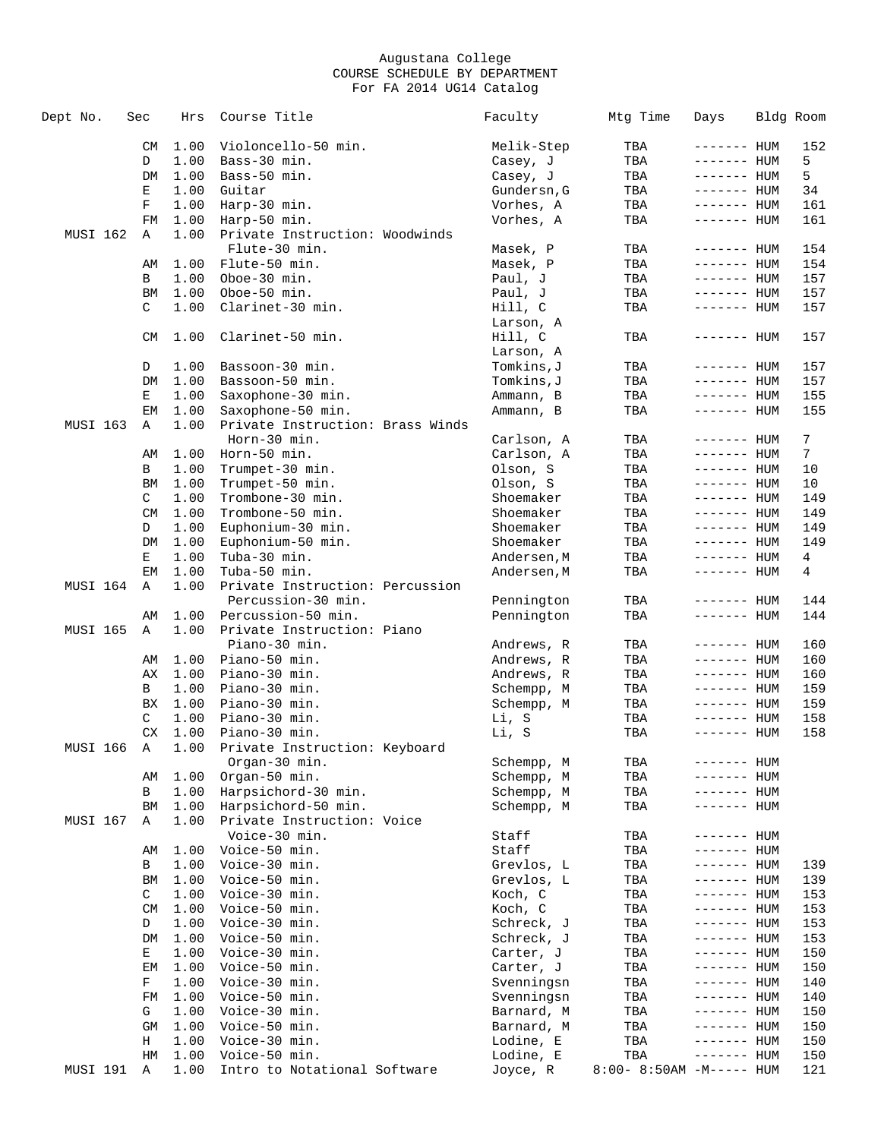| Dept No. | Sec       | Hrs          | Course Title                     | Faculty                  | Mtg Time               | Days                       | Bldg Room      |
|----------|-----------|--------------|----------------------------------|--------------------------|------------------------|----------------------------|----------------|
|          | CM        | 1.00         | Violoncello-50 min.              | Melik-Step               | TBA                    | ------- HUM                | 152            |
|          | D         | 1.00         | Bass-30 min.                     | Casey, J                 | TBA                    | ------- HUM                | 5              |
|          | DM        | 1.00         | Bass-50 min.                     | Casey, J                 | TBA                    | ------- HUM                | 5              |
|          | Е         | 1.00         | Guitar                           | Gundersn, G              | TBA                    | ------- HUM                | 34             |
|          | F         | 1.00         | Harp-30 min.                     | Vorhes, A                | TBA                    | ------- HUM                | 161            |
|          | FM        | 1.00         | Harp-50 min.                     | Vorhes, A                | TBA                    | ------- HUM                | 161            |
| MUSI 162 | Α         | 1.00         | Private Instruction: Woodwinds   |                          |                        |                            |                |
|          |           |              | Flute-30 min.                    | Masek, P                 | TBA                    | ------- HUM                | 154            |
|          | AΜ        | 1.00         | Flute-50 min.                    | Masek, P                 | TBA                    | ------- HUM                | 154            |
|          | B         | 1.00         | Oboe-30 min.                     | Paul, J                  | TBA                    | ------- HUM                | 157            |
|          | BM        | 1.00         | Oboe-50 min.                     | Paul, J                  | TBA                    | ------- HUM                | 157            |
|          | C         | 1.00         | Clarinet-30 min.                 | Hill, C                  | TBA                    | ------- HUM                | 157            |
|          |           |              |                                  | Larson, A                |                        |                            |                |
|          | CM        | 1.00         | Clarinet-50 min.                 | Hill, C                  | TBA                    | ------- HUM                | 157            |
|          |           |              |                                  | Larson, A                |                        |                            |                |
|          | D         | 1.00         | Bassoon-30 min.                  | Tomkins,J                | TBA                    | ------- HUM                | 157            |
|          | DM        | 1.00         | Bassoon-50 min.                  | Tomkins,J                | TBA                    | ------- HUM                | 157            |
|          | Е         | 1.00         | Saxophone-30 min.                | Ammann, B                | TBA                    | ------- HUM                | 155            |
|          | EМ        | 1.00         | Saxophone-50 min.                | Ammann, B                | TBA                    | $------$ HUM               | 155            |
| MUSI 163 | Α         | 1.00         | Private Instruction: Brass Winds |                          |                        |                            |                |
|          |           |              | Horn-30 min.                     | Carlson, A               | TBA                    | ------- HUM                | 7              |
|          | AΜ        | 1.00         | Horn-50 min.                     | Carlson, A               | TBA                    | ------- HUM                | $7\phantom{.}$ |
|          | В         | 1.00         | Trumpet-30 min.                  | Olson, S                 | TBA                    | ------- HUM                | 10             |
|          | BM        | 1.00         | Trumpet-50 min.                  | Olson, S                 | TBA                    | ------- HUM                | 10             |
|          | C         | 1.00         | Trombone-30 min.                 | Shoemaker                | TBA                    | $------$ HUM               | 149            |
|          | CM        | 1.00         | Trombone-50 min.                 | Shoemaker                | TBA                    | $------$ HUM               | 149            |
|          | D         | 1.00         | Euphonium-30 min.                | Shoemaker                | TBA                    | ------- HUM                | 149            |
|          | DM        | 1.00         | Euphonium-50 min.                | Shoemaker                | TBA                    | $------$ HUM               | 149            |
|          | Е         | 1.00         | Tuba-30 min.                     | Andersen, M              | TBA                    | ------- HUM                | 4              |
|          | EM        | 1.00         | Tuba-50 min.                     | Andersen, M              | TBA                    | ------- HUM                | 4              |
| MUSI 164 | Α         | 1.00         | Private Instruction: Percussion  |                          |                        |                            |                |
|          |           |              | Percussion-30 min.               | Pennington               | TBA                    | ------- HUM                | 144            |
|          | AΜ        | 1.00         | Percussion-50 min.               | Pennington               | TBA                    | ------- HUM                | 144            |
| MUSI 165 | Α         | 1.00         | Private Instruction: Piano       |                          |                        |                            |                |
|          |           |              | Piano-30 min.                    | Andrews, R               | TBA                    | $------$ HUM               | 160            |
|          | AΜ        | 1.00         | Piano-50 min.                    | Andrews, R               | TBA                    | ------- HUM                | 160            |
|          | AХ        | 1.00         | Piano-30 min.                    | Andrews, R               | TBA                    | ------- HUM                | 160            |
|          | В         | 1.00         | Piano-30 min.                    | Schempp, M               | TBA                    | ------- HUM                | 159            |
|          | BX        | 1.00         | Piano-30 min.                    | Schempp, M               | TBA                    | ------- HUM                | 159            |
|          | C         | 1.00         | Piano-30 min.                    | Li, S                    | TBA                    | ------- HUM                | 158            |
|          | <b>CX</b> | 1.00         | Piano-30 min.                    | Li, S                    | TBA                    | ------- HUM                | 158            |
| MUSI 166 | Α         | 1.00         | Private Instruction: Keyboard    |                          |                        |                            |                |
|          |           |              | Organ-30 min.                    | Schempp, M               | TBA                    | ------- HUM                |                |
|          | AΜ        | 1.00         | Organ-50 min.                    | Schempp, M               | TBA                    | $------$ HUM               |                |
|          | В         | 1.00         | Harpsichord-30 min.              | Schempp, M               | TBA                    | ------- HUM                |                |
|          | BM        | 1.00         | Harpsichord-50 min.              | Schempp, M               | TBA                    | ------- HUM                |                |
| MUSI 167 | Α         | 1.00         | Private Instruction: Voice       |                          |                        |                            |                |
|          |           |              | Voice-30 min.                    | Staff                    | TBA                    | ------- HUM                |                |
|          | AΜ        | 1.00         | Voice-50 min.                    | Staff                    | TBA                    | ------- HUM                |                |
|          | В         | 1.00         | Voice-30 min.                    | Grevlos, L               | TBA                    | ------- HUM                | 139            |
|          | BM        | 1.00         | Voice-50 min.                    | Grevlos, L               | TBA                    | ------- HUM                | 139            |
|          | C         | 1.00         | Voice-30 min.                    | Koch, C                  | TBA                    | ------- HUM                | 153            |
|          | <b>CM</b> | 1.00<br>1.00 | Voice-50 min.                    | Koch, C                  | TBA                    | ------- HUM                | 153            |
|          | D         |              | Voice-30 min.                    | Schreck, J               | TBA                    | ------- HUM                | 153            |
|          | DM        | 1.00         | Voice-50 min.                    | Schreck, J               | TBA                    | $------$ HUM               | 153            |
|          | Е         | 1.00         | Voice-30 min.                    | Carter, J                | TBA                    | ------- HUM                | 150            |
|          | ΕM        | 1.00         | Voice-50 min.                    | Carter, J                | TBA                    | ------- HUM                | 150            |
|          | F<br>FM   | 1.00         | Voice-30 min.                    | Svenningsn               | TBA                    | ------- HUM<br>------- HUM | 140            |
|          | G         | 1.00<br>1.00 | Voice-50 min.<br>Voice-30 min.   | Svenningsn               | TBA                    |                            | 140            |
|          | GM        | 1.00         | Voice-50 min.                    | Barnard, M<br>Barnard, M | TBA<br>TBA             | ------- HUM<br>------- HUM | 150<br>150     |
|          | Н         | 1.00         | Voice-30 min.                    | Lodine, E                | TBA                    | ------- HUM                | 150            |
|          | HM        | 1.00         | Voice-50 min.                    | Lodine, E                | TBA                    | ------- HUM                | 150            |
| MUSI 191 | Α         | 1.00         | Intro to Notational Software     | Joyce, R                 | $8:00-8:50AM -M---HUM$ |                            | 121            |
|          |           |              |                                  |                          |                        |                            |                |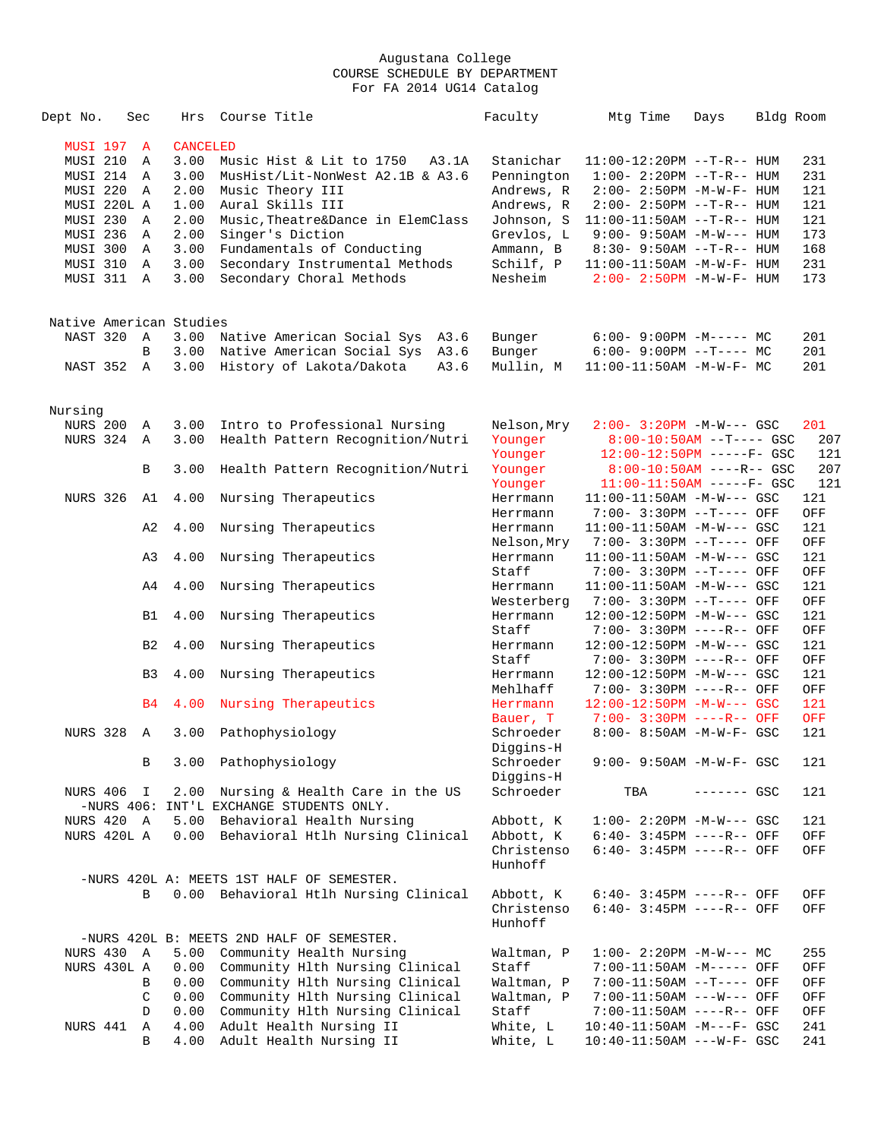| Dept No.                | Sec            | Hrs             | Course Title                              | Faculty               | Mtg Time                                                      | Days         | Bldg Room |            |
|-------------------------|----------------|-----------------|-------------------------------------------|-----------------------|---------------------------------------------------------------|--------------|-----------|------------|
| MUSI 197                | $\mathbf{A}$   | <b>CANCELED</b> |                                           |                       |                                                               |              |           |            |
| <b>MUSI 210</b>         | Α              | 3.00            | Music Hist & Lit to 1750<br>A3.1A         | Stanichar             | $11:00-12:20PM$ --T-R-- HUM                                   |              |           | 231        |
| MUSI 214                | Α              | 3.00            | MusHist/Lit-NonWest A2.1B & A3.6          | Pennington            | $1:00 - 2:20PM -T-R--HUM$                                     |              |           | 231        |
| MUSI 220                | Α              | 2.00            | Music Theory III                          | Andrews, R            | 2:00- 2:50PM -M-W-F- HUM                                      |              |           | 121        |
| MUSI 220L A             |                | 1.00            | Aural Skills III                          | Andrews, R            | $2:00 - 2:50PM -T-R-- HUM$                                    |              |           | 121        |
| MUSI 230                | A              | 2.00            | Music, Theatre&Dance in ElemClass         | Johnson, S            | $11:00-11:50AM$ --T-R-- HUM                                   |              |           | 121        |
| <b>MUSI 236</b>         | Α              | 2.00            | Singer's Diction                          | Grevlos, L            | $9:00 - 9:50AM -M-W--- HUM$                                   |              |           | 173        |
| MUSI 300                | Α              | 3.00            | Fundamentals of Conducting                | Ammann, B             | $8:30 - 9:50AM -T-R--HUM$                                     |              |           | 168        |
| MUSI 310                | Α              | 3.00            | Secondary Instrumental Methods            | Schilf, P             | 11:00-11:50AM -M-W-F- HUM                                     |              |           | 231        |
| MUSI 311                | A              | 3.00            | Secondary Choral Methods                  | Nesheim               | $2:00 - 2:50PM - M - W - F - HUM$                             |              |           | 173        |
|                         |                |                 |                                           |                       |                                                               |              |           |            |
| Native American Studies |                |                 |                                           |                       |                                                               |              |           |            |
| NAST 320                | A              | 3.00            | Native American Social Sys<br>A3.6        | Bunger                | $6:00-9:00PM -M----- MC$                                      |              |           | 201        |
|                         | B              | 3.00            | Native American Social Sys A3.6           | Bunger                | $6:00-9:00PM --T---MC$                                        |              |           | 201        |
| NAST 352                | $\mathbb{A}$   | 3.00            | History of Lakota/Dakota<br>A3.6          | Mullin, M             | $11:00-11:50AM$ -M-W-F- MC                                    |              |           | 201        |
|                         |                |                 |                                           |                       |                                                               |              |           |            |
| Nursing                 |                |                 |                                           |                       |                                                               |              |           |            |
| <b>NURS 200</b>         | Α              | 3.00            | Intro to Professional Nursing             | Nelson, Mry           | $2:00 - 3:20PM -M-W--- GSC$                                   |              |           | 201        |
| <b>NURS 324</b>         | Α              | 3.00            | Health Pattern Recognition/Nutri          | Younger               | $8:00-10:50AM$ --T---- GSC                                    |              |           | 207        |
|                         |                |                 |                                           | Younger               | $12:00-12:50PM$ -----F- GSC                                   |              |           | 121        |
|                         | В              | 3.00            | Health Pattern Recognition/Nutri          | Younger               | $8:00-10:50AM$ ----R-- GSC                                    |              |           | 207        |
|                         |                |                 |                                           | Younger               | $11:00-11:50AM$ -----F- GSC                                   |              |           | 121        |
| <b>NURS 326</b>         | A1             | 4.00            | Nursing Therapeutics                      | Herrmann              | $11:00-11:50AM$ -M-W--- GSC                                   |              |           | 121        |
|                         |                |                 |                                           | Herrmann              | 7:00- 3:30PM --T---- OFF                                      |              |           | OFF        |
|                         | A2             | 4.00            | Nursing Therapeutics                      | Herrmann              | $11:00-11:50AM$ -M-W--- GSC                                   |              |           | 121        |
|                         |                |                 |                                           | Nelson, Mry           | 7:00- 3:30PM --T---- OFF                                      |              |           | OFF        |
|                         | A3             | 4.00            | Nursing Therapeutics                      | Herrmann              | $11:00-11:50AM$ -M-W--- GSC                                   |              |           | 121        |
|                         |                |                 |                                           | Staff                 | 7:00- 3:30PM --T---- OFF                                      |              |           | OFF        |
|                         | A4             | 4.00            | Nursing Therapeutics                      | Herrmann              | $11:00-11:50AM$ -M-W--- GSC                                   |              |           | 121        |
|                         |                |                 |                                           | Westerberg            | 7:00- 3:30PM --T---- OFF                                      |              |           | OFF        |
|                         | B1             | 4.00            | Nursing Therapeutics                      | Herrmann              | 12:00-12:50PM -M-W--- GSC                                     |              |           | 121        |
|                         |                |                 |                                           | Staff                 | 7:00- 3:30PM ----R-- OFF                                      |              |           | OFF        |
|                         | B <sub>2</sub> | 4.00            | Nursing Therapeutics                      | Herrmann              | $12:00-12:50PM -M-W--- GSC$                                   |              |           | 121        |
|                         |                |                 |                                           | Staff                 | 7:00- 3:30PM ----R-- OFF                                      |              |           | OFF        |
|                         | B3             | 4.00            | Nursing Therapeutics                      | Herrmann              | $12:00-12:50PM -M-W--- GSC$                                   |              |           | 121        |
|                         |                |                 |                                           | Mehlhaff              | 7:00- 3:30PM ----R-- OFF                                      |              |           | OFF        |
|                         | B <sub>4</sub> | 4.00            | Nursing Therapeutics                      | Herrmann              | $12:00-12:50PM -M-W--- GSC$                                   |              |           | 121        |
| <b>NURS 328</b>         | Α              | 3.00            |                                           | Bauer, T<br>Schroeder | 7:00- 3:30PM ----R-- OFF<br>$8:00 - 8:50AM - M - W - F - GSC$ |              |           | OFF<br>121 |
|                         |                |                 | Pathophysiology                           | Diggins-H             |                                                               |              |           |            |
|                         | В              |                 | 3.00 Pathophysiology                      | Schroeder             | 9:00- 9:50AM -M-W-F- GSC                                      |              |           | 121        |
|                         |                |                 |                                           | Diggins-H             |                                                               |              |           |            |
| NURS 406                | I              | 2.00            | Nursing & Health Care in the US           | Schroeder             | TBA                                                           | $------$ GSC |           | 121        |
|                         |                |                 | -NURS 406: INT'L EXCHANGE STUDENTS ONLY.  |                       |                                                               |              |           |            |
| NURS 420 A              |                | 5.00            | Behavioral Health Nursing                 | Abbott, K             | $1:00-2:20PM -M-W--- GSC$                                     |              |           | 121        |
| NURS 420L A             |                | 0.00            | Behavioral Htlh Nursing Clinical          | Abbott, K             | $6:40-3:45PM$ ----R-- OFF                                     |              |           | OFF        |
|                         |                |                 |                                           | Christenso            | $6:40-3:45PM$ ----R-- OFF                                     |              |           | OFF        |
|                         |                |                 |                                           | Hunhoff               |                                                               |              |           |            |
|                         |                |                 | -NURS 420L A: MEETS 1ST HALF OF SEMESTER. |                       |                                                               |              |           |            |
|                         | B              |                 | 0.00 Behavioral Htlh Nursing Clinical     | Abbott, K             | $6:40-3:45PM$ ----R-- OFF                                     |              |           | OFF        |
|                         |                |                 |                                           | Christenso            | $6:40-3:45PM$ ----R-- OFF                                     |              |           | OFF        |
|                         |                |                 |                                           | Hunhoff               |                                                               |              |           |            |
|                         |                |                 | -NURS 420L B: MEETS 2ND HALF OF SEMESTER. |                       |                                                               |              |           |            |
| NURS 430 A              |                | 5.00            | Community Health Nursing                  | Waltman, P            | $1:00-2:20PM -M-W--- MC$                                      |              |           | 255        |
| NURS 430L A             |                | 0.00            | Community Hlth Nursing Clinical           | Staff                 | 7:00-11:50AM -M----- OFF                                      |              |           | OFF        |
|                         | В              | 0.00            | Community Hlth Nursing Clinical           | Waltman, P            | 7:00-11:50AM --T---- OFF                                      |              |           | OFF        |
|                         | $\mathsf C$    | 0.00            | Community Hlth Nursing Clinical           | Waltman, P            | 7:00-11:50AM ---W--- OFF                                      |              |           | OFF        |
|                         | D              | 0.00            | Community Hlth Nursing Clinical           | Staff                 | 7:00-11:50AM ----R-- OFF                                      |              |           | OFF        |
| NURS 441                | Α              | 4.00            | Adult Health Nursing II                   | White, L              | $10:40-11:50AM$ -M---F- GSC                                   |              |           | 241        |
|                         | B              | 4.00            | Adult Health Nursing II                   | White, L              | $10:40-11:50AM$ ---W-F- GSC                                   |              |           | 241        |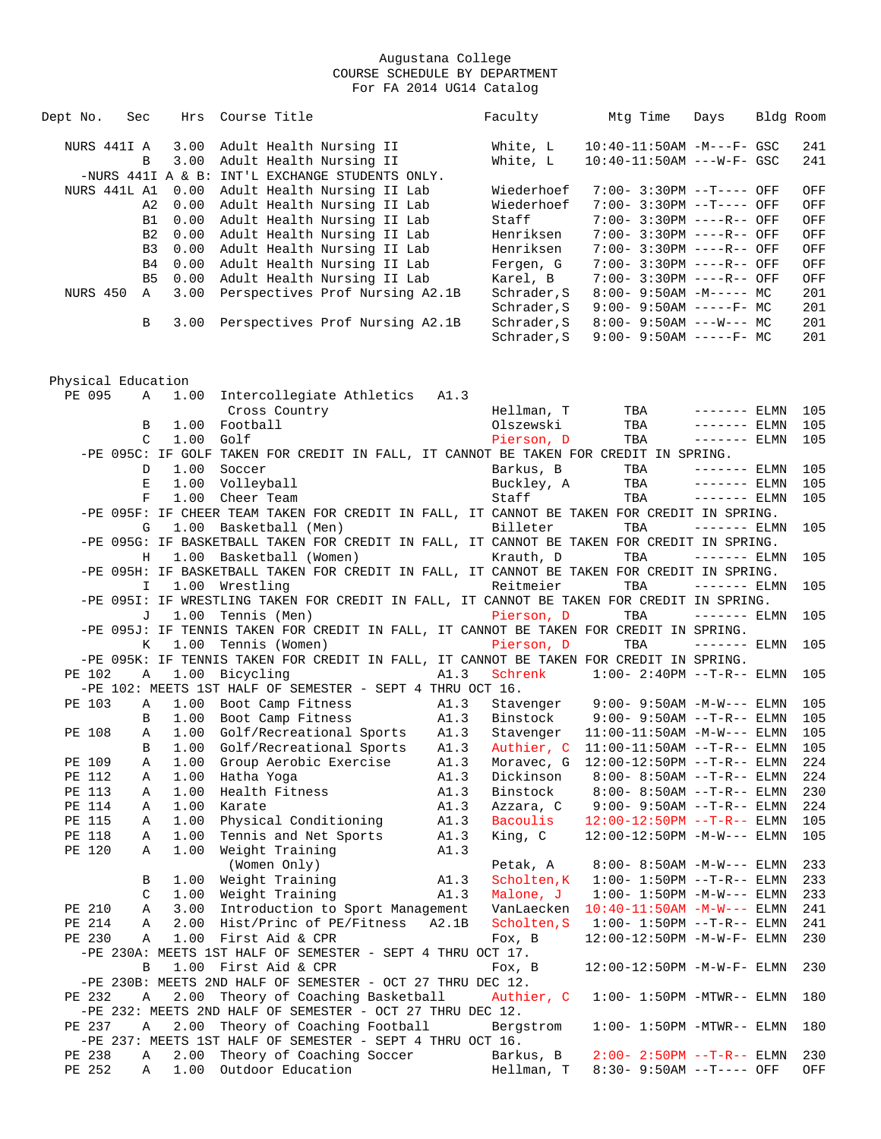| Dept No.           | Sec            | Hrs          | Course Title                                                                               | Faculty     | Mtg Time                                                                 | Days          | Bldg Room |            |
|--------------------|----------------|--------------|--------------------------------------------------------------------------------------------|-------------|--------------------------------------------------------------------------|---------------|-----------|------------|
| NURS 441I A        |                | 3.00         | Adult Health Nursing II                                                                    | White, L    | $10:40-11:50AM$ -M---F- GSC                                              |               |           | 241        |
|                    | B              | 3.00         | Adult Health Nursing II                                                                    | White, L    | $10:40-11:50AM$ ---W-F- GSC                                              |               |           | 241        |
|                    |                |              | -NURS 441I A & B: INT'L EXCHANGE STUDENTS ONLY.                                            |             |                                                                          |               |           |            |
| NURS 441L A1       |                | 0.00         | Adult Health Nursing II Lab                                                                | Wiederhoef  | 7:00- 3:30PM --T---- OFF                                                 |               |           | OFF        |
|                    | A2             | 0.00         | Adult Health Nursing II Lab                                                                | Wiederhoef  | 7:00- 3:30PM --T---- OFF                                                 |               |           | OFF        |
|                    | <b>B1</b>      | 0.00         | Adult Health Nursing II Lab                                                                | Staff       | 7:00- 3:30PM ----R-- OFF                                                 |               |           | OFF        |
|                    | B <sub>2</sub> | 0.00         | Adult Health Nursing II Lab                                                                | Henriksen   | 7:00- 3:30PM ----R-- OFF                                                 |               |           | OFF        |
|                    | B <sub>3</sub> | 0.00         | Adult Health Nursing II Lab                                                                | Henriksen   | 7:00- 3:30PM ----R-- OFF                                                 |               |           | OFF        |
|                    | B4             | 0.00         | Adult Health Nursing II Lab                                                                | Fergen, G   | 7:00- 3:30PM ----R-- OFF                                                 |               |           | OFF        |
|                    | B <sub>5</sub> | 0.00         | Adult Health Nursing II Lab                                                                | Karel, B    | 7:00- 3:30PM ----R-- OFF                                                 |               |           | OFF        |
| NURS 450           | A              | 3.00         | Perspectives Prof Nursing A2.1B                                                            | Schrader, S | $8:00 - 9:50AM - M--- MC$                                                |               |           | 201        |
|                    |                |              |                                                                                            | Schrader, S | $9:00 - 9:50AM$ -----F- MC                                               |               |           | 201        |
|                    | В              | 3.00         | Perspectives Prof Nursing A2.1B                                                            | Schrader, S | $8:00 - 9:50AM$ ---W--- MC                                               |               |           | 201        |
|                    |                |              |                                                                                            | Schrader, S | $9:00 - 9:50AM$ -----F- MC                                               |               |           | 201        |
|                    |                |              |                                                                                            |             |                                                                          |               |           |            |
| Physical Education |                |              |                                                                                            |             |                                                                          |               |           |            |
| PE 095             | A              | 1.00         | Intercollegiate Athletics A1.3                                                             |             |                                                                          |               |           |            |
|                    |                |              | Cross Country                                                                              | Hellman, T  | TBA                                                                      | $------ELMN$  |           | 105        |
|                    | B              | 1.00         | Football                                                                                   | Olszewski   | TBA                                                                      | $------$ ELMN |           | 105        |
|                    | C              | 1.00         | Golf                                                                                       | Pierson, D  | TBA                                                                      | $------$ ELMN |           | 105        |
|                    |                |              | -PE 095C: IF GOLF TAKEN FOR CREDIT IN FALL, IT CANNOT BE TAKEN FOR CREDIT IN SPRING.       |             |                                                                          |               |           |            |
|                    | D              | 1.00         | Soccer                                                                                     | Barkus, B   | TBA                                                                      | $------ELMN$  |           | 105        |
|                    | Е              | 1.00         | Volleyball                                                                                 | Buckley, A  | TBA                                                                      | $------ELMN$  |           | 105        |
|                    | F              | 1.00         | Cheer Team                                                                                 | Staff       | TBA                                                                      | $------$ ELMN |           | 105        |
|                    |                |              | -PE 095F: IF CHEER TEAM TAKEN FOR CREDIT IN FALL, IT CANNOT BE TAKEN FOR CREDIT IN SPRING. |             |                                                                          |               |           |            |
|                    | G              | 1.00         | Basketball (Men)                                                                           | Billeter    | TBA                                                                      | $------ELMN$  |           | 105        |
|                    |                |              | -PE 095G: IF BASKETBALL TAKEN FOR CREDIT IN FALL, IT CANNOT BE TAKEN FOR CREDIT IN SPRING. |             |                                                                          |               |           |            |
|                    | Н              | 1.00         | Basketball (Women)                                                                         | Krauth, D   | TBA                                                                      | $------ELMN$  |           | 105        |
|                    |                |              | -PE 095H: IF BASKETBALL TAKEN FOR CREDIT IN FALL, IT CANNOT BE TAKEN FOR CREDIT IN SPRING. |             |                                                                          |               |           |            |
|                    | I.             | 1.00         | Wrestling                                                                                  | Reitmeier   | TBA                                                                      | $------ELMN$  |           | 105        |
|                    |                |              | -PE 095I: IF WRESTLING TAKEN FOR CREDIT IN FALL, IT CANNOT BE TAKEN FOR CREDIT IN SPRING.  |             |                                                                          |               |           |            |
|                    | J              |              | 1.00 Tennis (Men)                                                                          | Pierson, D  | TBA                                                                      | $------$ ELMN |           | 105        |
|                    |                |              | -PE 095J: IF TENNIS TAKEN FOR CREDIT IN FALL, IT CANNOT BE TAKEN FOR CREDIT IN SPRING.     |             |                                                                          |               |           |            |
|                    | K              | 1.00         | Tennis (Women)                                                                             | Pierson, D  | TBA                                                                      | $------$ ELMN |           | 105        |
|                    |                |              | -PE 095K: IF TENNIS TAKEN FOR CREDIT IN FALL, IT CANNOT BE TAKEN FOR CREDIT IN SPRING.     |             |                                                                          |               |           |            |
| PE 102             | Α              | 1.00         | Bicycling<br>A1.3                                                                          | Schrenk     | $1:00 - 2:40PM -T-R-- ELMN$                                              |               |           | 105        |
|                    |                |              | -PE 102: MEETS 1ST HALF OF SEMESTER - SEPT 4 THRU OCT 16.                                  |             |                                                                          |               |           |            |
| PE 103             | Α<br>B         | 1.00<br>1.00 | Boot Camp Fitness<br>A1.3<br>Boot Camp Fitness<br>A1.3                                     |             | Stavenger 9:00-9:50AM -M-W--- ELMN<br>Binstock 9:00- 9:50AM --T-R-- ELMN |               |           | 105<br>105 |
| PE 108             | Α              |              |                                                                                            | Stavenger   |                                                                          |               |           | 105        |
|                    | B              | 1.00         | 1.00 Golf/Recreational Sports A1.3<br>A1.3<br>Golf/Recreational Sports                     | Authier, C  | $11:00-11:50AM$ -M-W--- ELMN<br>$11:00-11:50AM$ --T-R-- ELMN             |               |           | 105        |
| PE 109             | Α              | 1.00         | Group Aerobic Exercise<br>A1.3                                                             | Moravec, G  | $12:00-12:50PM$ --T-R-- ELMN                                             |               |           | 224        |
| PE 112             | Α              | 1.00         | Hatha Yoga<br>A1.3                                                                         | Dickinson   | $8:00 - 8:50AM -T-R--ELMN$                                               |               |           | 224        |
| PE 113             | Α              | 1.00         | Health Fitness<br>A1.3                                                                     | Binstock    | $8:00 - 8:50AM -T-R-- ELMN$                                              |               |           | 230        |
| PE 114             | Α              | 1.00         | Karate<br>A1.3                                                                             | Azzara, C   | $9:00 - 9:50AM -T-R--ELMN$                                               |               |           | 224        |
| PE 115             | Α              | 1.00         | Physical Conditioning<br>A1.3                                                              | Bacoulis    | $12:00-12:50PM$ --T-R-- ELMN                                             |               |           | 105        |
| PE 118             | Α              | 1.00         | Tennis and Net Sports<br>A1.3                                                              | King, C     | $12:00-12:50PM -M-W---$ ELMN                                             |               |           | 105        |
| PE 120             | Α              | 1.00         | Weight Training<br>A1.3                                                                    |             |                                                                          |               |           |            |
|                    |                |              | (Women Only)                                                                               | Petak, A    | $8:00 - 8:50AM - M-W---$ ELMN                                            |               |           | 233        |
|                    | В              | 1.00         | Weight Training<br>A1.3                                                                    | Scholten, K | $1:00 - 1:50PM -T-R-- ELMN$                                              |               |           | 233        |
|                    | C              | 1.00         | Weight Training<br>A1.3                                                                    | Malone, J   | $1:00 - 1:50PM -M-W---$ ELMN                                             |               |           | 233        |
| PE 210             | Α              | 3.00         | Introduction to Sport Management                                                           | VanLaecken  | $10:40 - 11:50AM$ $-M-W---$ ELMN                                         |               |           | 241        |
| PE 214             | Α              | 2.00         | Hist/Princ of PE/Fitness<br>A2.1B                                                          | Scholten, S | $1:00 - 1:50PM -T-R-- ELMN$                                              |               |           | 241        |
| PE 230             | Α              | 1.00         | First Aid & CPR                                                                            | Fox, B      | 12:00-12:50PM -M-W-F- ELMN                                               |               |           | 230        |
|                    |                |              | -PE 230A: MEETS 1ST HALF OF SEMESTER - SEPT 4 THRU OCT 17.                                 |             |                                                                          |               |           |            |
|                    | В              |              | 1.00 First Aid & CPR                                                                       | Fox, B      | 12:00-12:50PM -M-W-F- ELMN                                               |               |           | 230        |
|                    |                |              | -PE 230B: MEETS 2ND HALF OF SEMESTER - OCT 27 THRU DEC 12.                                 |             |                                                                          |               |           |            |
| PE 232             | Α              | 2.00         | Theory of Coaching Basketball                                                              | Authier, C  | $1:00 - 1:50PM - MTWR-- ELMN$                                            |               |           | 180        |
|                    |                |              | -PE 232: MEETS 2ND HALF OF SEMESTER - OCT 27 THRU DEC 12.                                  |             |                                                                          |               |           |            |
| PE 237             | Α              | 2.00         | Theory of Coaching Football                                                                | Bergstrom   | $1:00 - 1:50PM - MTWR-- ELMN$                                            |               |           | 180        |
|                    |                |              | -PE 237: MEETS 1ST HALF OF SEMESTER - SEPT 4 THRU OCT 16.                                  |             |                                                                          |               |           |            |
| PE 238             | Α              | 2.00         | Theory of Coaching Soccer                                                                  | Barkus, B   | $2:00-2:50PM -T-R--ELMN$                                                 |               |           | 230        |
| PE 252             | Α              | 1.00         | Outdoor Education                                                                          | Hellman, T  | 8:30- 9:50AM --T---- OFF                                                 |               |           | OFF        |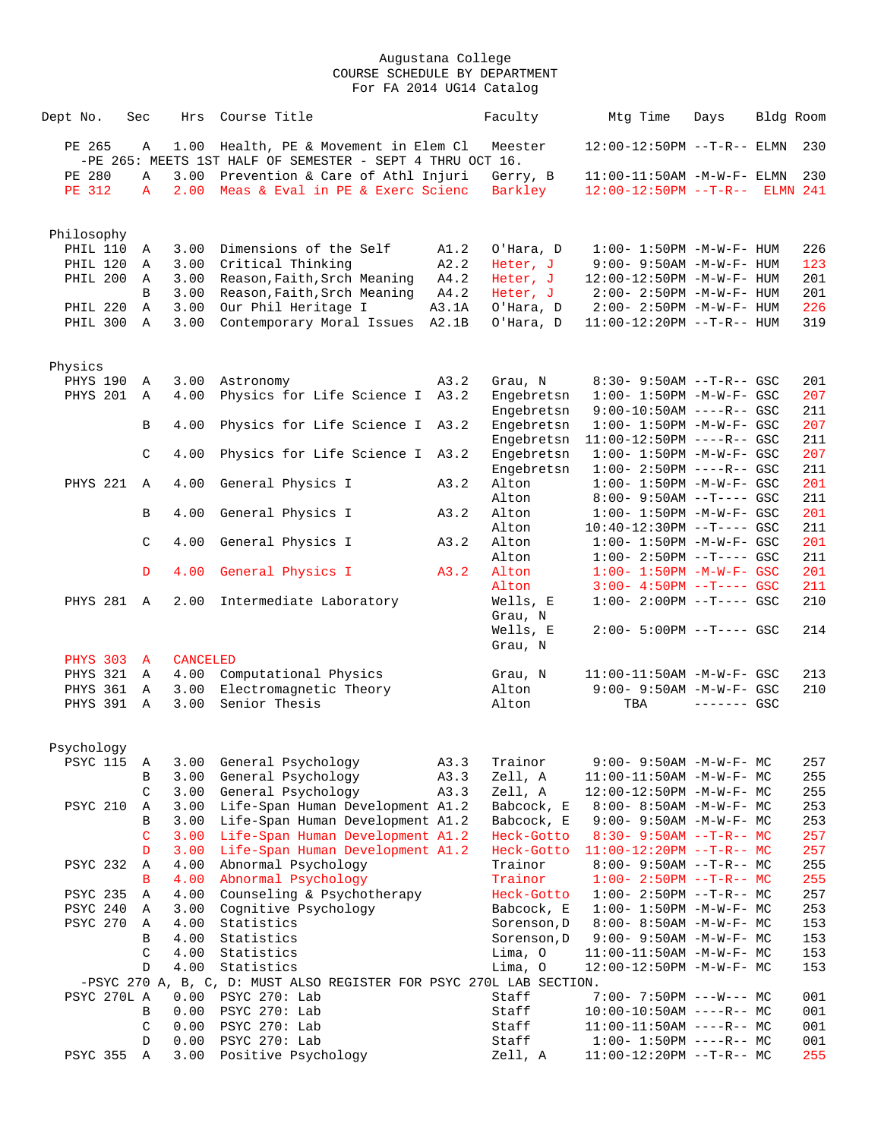| Dept No.      |                             | Sec               | Hrs                     | Course Title  |                                                                                               |       | Faculty                                                             | Mtg Time                       | Days                                                    | Bldg Room |            |
|---------------|-----------------------------|-------------------|-------------------------|---------------|-----------------------------------------------------------------------------------------------|-------|---------------------------------------------------------------------|--------------------------------|---------------------------------------------------------|-----------|------------|
| PE 265        |                             | Α                 | 1.00                    |               | Health, PE & Movement in Elem Cl<br>-PE 265: MEETS 1ST HALF OF SEMESTER - SEPT 4 THRU OCT 16. |       | Meester                                                             |                                | 12:00-12:50PM --T-R-- ELMN                              |           | 230        |
| PE 280        |                             | $\mathbb A$       | 3.00                    |               | Prevention & Care of Athl Injuri                                                              |       | Gerry, B                                                            |                                | $11:00-11:50AM - M-W-F- ELMN$                           |           | 230        |
| <b>PE 312</b> |                             | $\mathbf{A}$      | 2.00                    |               | Meas & Eval in PE & Exerc Scienc                                                              |       | Barkley                                                             | 12:00-12:50PM --T-R-- ELMN 241 |                                                         |           |            |
| Philosophy    |                             |                   |                         |               |                                                                                               |       |                                                                     |                                |                                                         |           |            |
|               | PHIL 110                    | Α                 | 3.00                    |               | Dimensions of the Self                                                                        | A1.2  | O'Hara, D                                                           |                                | $1:00 - 1:50PM - M - W - F - HUM$                       |           | 226        |
|               | PHIL 120                    | Α                 | 3.00                    |               | Critical Thinking                                                                             | A2.2  | Heter, J                                                            |                                | $9:00 - 9:50AM - M - W - F - HUM$                       |           | 123        |
|               | PHIL 200                    | Α                 | 3.00                    |               | Reason, Faith, Srch Meaning                                                                   | A4.2  | Heter, J                                                            |                                | 12:00-12:50PM -M-W-F- HUM                               |           | 201        |
|               |                             | $\mathbf{B}$      | 3.00                    |               | Reason, Faith, Srch Meaning                                                                   | A4.2  | Heter, J                                                            |                                | $2:00 - 2:50PM -M-W-F - HUM$                            |           | 201        |
|               | PHIL 220                    | $\mathbb{A}$      | 3.00                    |               | Our Phil Heritage I                                                                           | A3.1A | O'Hara, D                                                           |                                | $2:00 - 2:50PM -M-W-F- HUM$                             |           | 226        |
|               | PHIL 300                    | Α                 | 3.00                    |               | Contemporary Moral Issues                                                                     | A2.1B | O'Hara, D                                                           |                                | 11:00-12:20PM --T-R-- HUM                               |           | 319        |
|               |                             |                   |                         |               |                                                                                               |       |                                                                     |                                |                                                         |           |            |
| Physics       | PHYS 190                    | Α                 | 3.00                    | Astronomy     |                                                                                               | A3.2  | Grau, N                                                             |                                | $8:30 - 9:50AM -T-R--GSC$                               |           | 201        |
|               | PHYS 201                    | Α                 | 4.00                    |               | Physics for Life Science I                                                                    | A3.2  | Engebretsn                                                          |                                | $1:00 - 1:50PM - M - W - F - GSC$                       |           | 207        |
|               |                             |                   |                         |               |                                                                                               |       | Engebretsn                                                          |                                | $9:00-10:50AM$ ----R-- GSC                              |           | 211        |
|               |                             | B                 | 4.00                    |               | Physics for Life Science I A3.2                                                               |       | Engebretsn                                                          |                                | $1:00 - 1:50PM - M - W - F - GSC$                       |           | 207        |
|               |                             |                   |                         |               |                                                                                               |       | Engebretsn                                                          |                                | $11:00-12:50PM$ ----R-- GSC                             |           | 211        |
|               |                             | $\mathsf C$       | 4.00                    |               | Physics for Life Science I                                                                    | A3.2  | Engebretsn                                                          |                                | $1:00 - 1:50PM - M - W - F - GSC$                       |           | 207        |
|               |                             |                   |                         |               |                                                                                               |       | Engebretsn                                                          |                                | $1:00-2:50PM$ ----R-- GSC                               |           | 211        |
|               | PHYS 221                    | $\overline{A}$    | 4.00                    |               | General Physics I                                                                             | A3.2  | Alton                                                               |                                | $1:00 - 1:50PM - M - W - F - GSC$                       |           | 201        |
|               |                             |                   |                         |               |                                                                                               |       | Alton                                                               |                                | $8:00 - 9:50AM -T--- GSC$                               |           | 211        |
|               |                             | В                 | 4.00                    |               | General Physics I                                                                             | A3.2  | Alton                                                               |                                | $1:00 - 1:50PM - M - W - F - GSC$                       |           | 201        |
|               |                             |                   |                         |               |                                                                                               |       | Alton                                                               |                                | $10:40-12:30PM$ --T---- GSC                             |           | 211        |
|               |                             | C                 | 4.00                    |               | General Physics I                                                                             | A3.2  | Alton                                                               |                                | $1:00 - 1:50PM - M - W - F - GSC$                       |           | 201        |
|               |                             |                   |                         |               |                                                                                               |       | Alton                                                               |                                | $1:00 - 2:50PM -T--- GSC$                               |           | 211        |
|               |                             | $\mathbb D$       | 4.00                    |               | General Physics I                                                                             | A3.2  | Alton                                                               |                                | $1:00 - 1:50PM - M - W - F - GSC$                       |           | 201        |
|               |                             |                   |                         |               |                                                                                               |       | Alton                                                               |                                | $3:00-4:50PM$ --T---- GSC                               |           | 211        |
|               | PHYS 281 A                  |                   | 2.00                    |               | Intermediate Laboratory                                                                       |       | Wells, E                                                            |                                | $1:00-2:00PM$ --T---- GSC                               |           | 210        |
|               |                             |                   |                         |               |                                                                                               |       | Grau, N                                                             |                                |                                                         |           |            |
|               |                             |                   |                         |               |                                                                                               |       | Wells, E                                                            |                                | 2:00- 5:00PM --T---- GSC                                |           | 214        |
|               |                             |                   |                         |               |                                                                                               |       | Grau, N                                                             |                                |                                                         |           |            |
|               | <b>PHYS 303</b><br>PHYS 321 | $\mathbf{A}$<br>Α | <b>CANCELED</b><br>4.00 |               | Computational Physics                                                                         |       | Grau, N                                                             |                                | 11:00-11:50AM -M-W-F- GSC                               |           | 213        |
|               | PHYS 361                    | Α                 | 3.00                    |               | Electromagnetic Theory                                                                        |       | Alton                                                               |                                | $9:00 - 9:50AM - M - W - F - GSC$                       |           | 210        |
|               | PHYS 391                    | A                 | 3.00                    | Senior Thesis |                                                                                               |       | Alton                                                               | TBA                            | $------$ GSC                                            |           |            |
|               |                             |                   |                         |               |                                                                                               |       |                                                                     |                                |                                                         |           |            |
| Psychology    |                             |                   |                         |               |                                                                                               |       |                                                                     |                                |                                                         |           |            |
|               | PSYC 115                    | Α                 | 3.00                    |               | General Psychology                                                                            | A3.3  | Trainor                                                             |                                | 9:00- 9:50AM -M-W-F- MC                                 |           | 257        |
|               |                             | В                 | 3.00                    |               | General Psychology                                                                            | A3.3  | Zell, A                                                             |                                | 11:00-11:50AM -M-W-F- MC                                |           | 255        |
|               |                             | C                 | 3.00                    |               | General Psychology                                                                            | A3.3  | Zell, A                                                             |                                | 12:00-12:50PM -M-W-F- MC                                |           | 255        |
|               | PSYC 210                    | Α                 | 3.00                    |               | Life-Span Human Development A1.2                                                              |       | Babcock, E                                                          |                                | $8:00 - 8:50AM - M - W - F - MC$                        |           | 253        |
|               |                             | В                 | 3.00<br>3.00            |               | Life-Span Human Development A1.2<br>Life-Span Human Development A1.2                          |       | Babcock, E                                                          |                                | $9:00 - 9:50AM - M - W - F - MC$                        |           | 253        |
|               |                             | C<br>D            | 3.00                    |               | Life-Span Human Development A1.2                                                              |       | Heck-Gotto<br>Heck-Gotto                                            |                                | $8:30 - 9:50AM -T-R-- MC$<br>$11:00-12:20PM$ --T-R-- MC |           | 257<br>257 |
|               | <b>PSYC 232</b>             | Α                 | 4.00                    |               | Abnormal Psychology                                                                           |       | Trainor                                                             |                                | $8:00 - 9:50AM -T-R-- MC$                               |           | 255        |
|               |                             | В                 | 4.00                    |               | Abnormal Psychology                                                                           |       | Trainor                                                             |                                | $1:00 - 2:50PM -T-R-- MC$                               |           | 255        |
|               | <b>PSYC 235</b>             | Α                 | 4.00                    |               | Counseling & Psychotherapy                                                                    |       | Heck-Gotto                                                          |                                | $1:00-2:50PM -T-R--MC$                                  |           | 257        |
|               | PSYC 240                    | Α                 | 3.00                    |               | Cognitive Psychology                                                                          |       | Babcock, E                                                          |                                | $1:00 - 1:50PM - M - W - F - MC$                        |           | 253        |
|               | <b>PSYC 270</b>             | Α                 | 4.00                    | Statistics    |                                                                                               |       | Sorenson, D                                                         |                                | $8:00 - 8:50AM$ -M-W-F- MC                              |           | 153        |
|               |                             | B                 | 4.00                    | Statistics    |                                                                                               |       | Sorenson, D                                                         |                                | 9:00- 9:50AM -M-W-F- MC                                 |           | 153        |
|               |                             | C                 | 4.00                    | Statistics    |                                                                                               |       | Lima, O                                                             |                                | $11:00-11:50AM$ -M-W-F- MC                              |           | 153        |
|               |                             | D                 | 4.00                    | Statistics    |                                                                                               |       | Lima, O                                                             |                                | 12:00-12:50PM -M-W-F- MC                                |           | 153        |
|               |                             |                   |                         |               |                                                                                               |       | -PSYC 270 A, B, C, D: MUST ALSO REGISTER FOR PSYC 270L LAB SECTION. |                                |                                                         |           |            |
|               | PSYC 270L A                 |                   | 0.00                    | PSYC 270: Lab |                                                                                               |       | Staff                                                               |                                | 7:00- 7:50PM ---W--- MC                                 |           | 001        |
|               |                             | B                 | 0.00                    | PSYC 270: Lab |                                                                                               |       | Staff                                                               |                                | $10:00-10:50AM$ ----R-- MC                              |           | 001        |
|               |                             | C                 | 0.00                    | PSYC 270: Lab |                                                                                               |       | Staff                                                               |                                | $11:00-11:50AM$ ----R-- MC                              |           | 001        |
|               |                             | D                 | 0.00                    | PSYC 270: Lab |                                                                                               |       | Staff                                                               |                                | $1:00-1:50PM$ ----R-- MC                                |           | 001        |
|               | <b>PSYC 355</b>             | Α                 | 3.00                    |               | Positive Psychology                                                                           |       | Zell, A                                                             |                                | $11:00-12:20PM$ --T-R-- MC                              |           | 255        |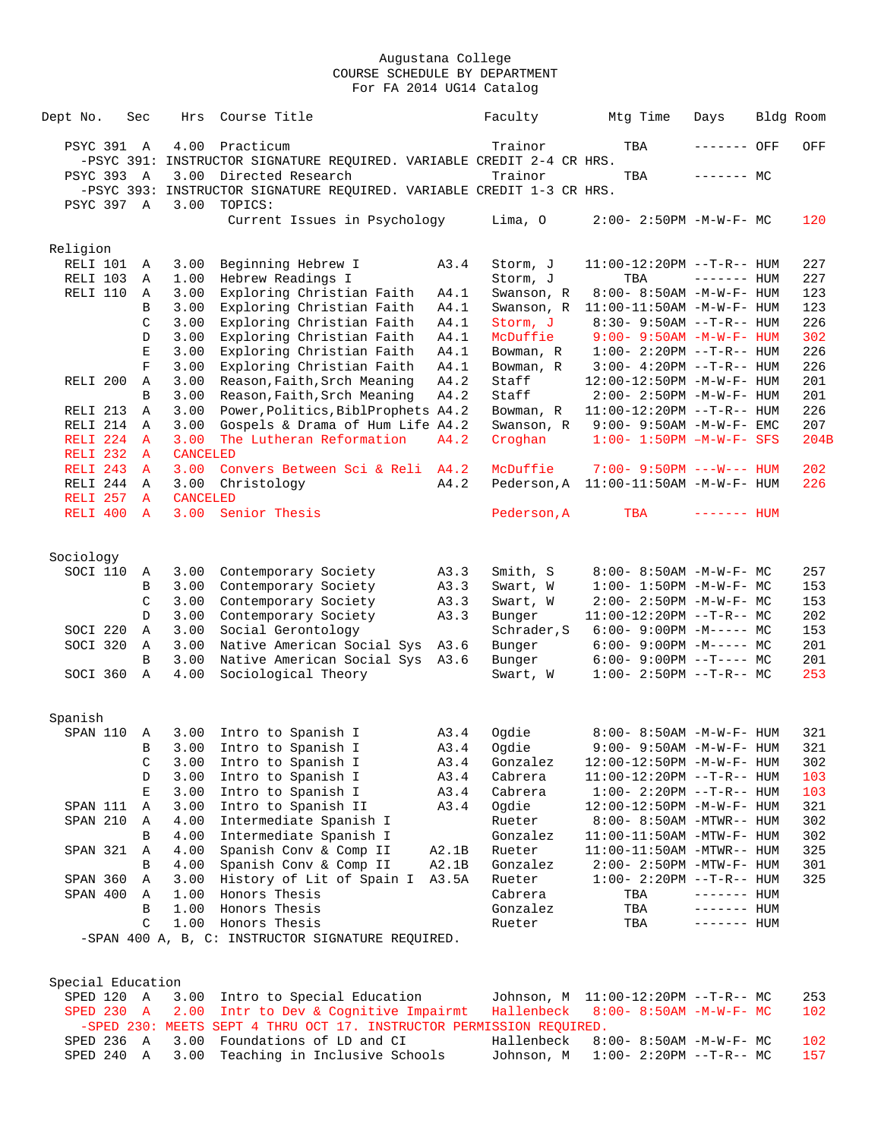| Dept No.                 | Sec           | Hrs             | Course Title                                                          |              | Faculty                  | Mtg Time                                               | Days         | Bldg Room  |
|--------------------------|---------------|-----------------|-----------------------------------------------------------------------|--------------|--------------------------|--------------------------------------------------------|--------------|------------|
| PSYC 391 A               |               | 4.00            | Practicum                                                             |              | Trainor                  | TBA                                                    | ------- OFF  | OFF        |
|                          |               |                 | -PSYC 391: INSTRUCTOR SIGNATURE REQUIRED. VARIABLE CREDIT 2-4 CR HRS. |              |                          |                                                        |              |            |
| PSYC 393 A               |               | 3.00            | Directed Research                                                     |              | Trainor                  | TBA                                                    | $------$ MC  |            |
|                          |               |                 | -PSYC 393: INSTRUCTOR SIGNATURE REQUIRED. VARIABLE CREDIT 1-3 CR HRS. |              |                          |                                                        |              |            |
| PSYC 397 A               |               | 3.00            | TOPICS:                                                               |              |                          |                                                        |              |            |
|                          |               |                 | Current Issues in Psychology                                          |              | Lima, O                  | $2:00-2:50PM -M-W-F-MC$                                |              | 120        |
| Religion                 |               |                 |                                                                       |              |                          |                                                        |              |            |
| RELI 101                 | A             | 3.00            | Beginning Hebrew I                                                    | A3.4         | Storm, J                 | $11:00-12:20PM$ --T-R-- HUM                            |              | 227        |
| RELI 103                 | Α             | 1.00            | Hebrew Readings I                                                     |              | Storm, J                 | TBA                                                    | $------$ HUM | 227        |
| RELI 110                 | Α             | 3.00            | Exploring Christian Faith                                             | A4.1         | Swanson, R               | 8:00- 8:50AM -M-W-F- HUM                               |              | 123        |
|                          | B             | 3.00            | Exploring Christian Faith                                             | A4.1         | Swanson, R               | $11:00-11:50AM$ -M-W-F- HUM                            |              | 123        |
|                          | C             | 3.00            | Exploring Christian Faith                                             | A4.1         | Storm, J                 | $8:30 - 9:50AM -T-R-- HUM$                             |              | 226        |
|                          | D             | 3.00            | Exploring Christian Faith                                             | A4.1         | McDuffie                 | $9:00 - 9:50AM - M - W - F - HUM$                      |              | 302        |
|                          | Ε             | 3.00            | Exploring Christian Faith                                             | A4.1         | Bowman, R                | $1:00-2:20PM -T-R--HUM$                                |              | 226        |
|                          | $\mathbf F$   | 3.00            | Exploring Christian Faith                                             | A4.1         | Bowman, R                | $3:00 - 4:20PM -T-R--HUM$                              |              | 226        |
| RELI <sub>200</sub>      | Α             | 3.00            | Reason, Faith, Srch Meaning                                           | A4.2         | Staff                    | 12:00-12:50PM -M-W-F- HUM                              |              | 201        |
|                          | B             | 3.00            | Reason, Faith, Srch Meaning                                           | A4.2         | Staff                    | $2:00 - 2:50PM -M-W-F - HUM$                           |              | 201        |
| RELI 213                 | Α             | 3.00            | Power, Politics, BiblProphets A4.2                                    |              | Bowman, R                | $11:00-12:20PM$ --T-R-- HUM                            |              | 226        |
| RELI 214                 | $\mathbb{A}$  | 3.00            | Gospels & Drama of Hum Life A4.2                                      |              | Swanson, R               | $9:00 - 9:50AM - M-W-F - EMC$                          |              | 207        |
| RELI <sub>224</sub>      | $\mathbf{A}$  | 3.00            | The Lutheran Reformation                                              | A4.2         | Croghan                  | $1:00 - 1:50PM - M - W - F - SFS$                      |              | 204B       |
| RELI 232                 | A             | <b>CANCELED</b> |                                                                       |              |                          |                                                        |              |            |
| RELI 243                 | $\mathbf{A}$  | 3.00            | Convers Between Sci & Reli A4.2                                       |              | McDuffie                 | $7:00 - 9:50PM$ ---W--- HUM                            |              | 202        |
| RELI 244                 | Α             | 3.00            | Christology                                                           | A4.2         |                          | Pederson, A 11:00-11:50AM -M-W-F- HUM                  |              | 226        |
| RELI 257                 | A             | <b>CANCELED</b> |                                                                       |              |                          |                                                        |              |            |
| RELI 400                 | $\mathbf{A}$  | 3.00            | Senior Thesis                                                         |              | Pederson, A              | TBA                                                    | $------$ HUM |            |
|                          |               |                 |                                                                       |              |                          |                                                        |              |            |
| Sociology<br>SOCI 110    |               | 3.00            |                                                                       |              | Smith, S                 | 8:00- 8:50AM -M-W-F- MC                                |              | 257        |
|                          | A<br>B        | 3.00            | Contemporary Society<br>Contemporary Society                          | A3.3<br>A3.3 | Swart, W                 | $1:00 - 1:50PM - M - W - F - MC$                       |              | 153        |
|                          | C             | 3.00            | Contemporary Society                                                  | A3.3         | Swart, W                 | $2:00 - 2:50PM -M-W-F - MC$                            |              | 153        |
|                          | D             | 3.00            | Contemporary Society                                                  | A3.3         | Bunger                   | $11:00-12:20PM$ --T-R-- MC                             |              | 202        |
| SOCI 220                 | Α             | 3.00            | Social Gerontology                                                    |              | Schrader, S              | $6:00-9:00PM -M----- MC$                               |              | 153        |
| SOCI 320                 | Α             | 3.00            | Native American Social Sys                                            | A3.6         | Bunger                   | $6:00 - 9:00PM -M--- MC$                               |              | 201        |
|                          | B             | 3.00            | Native American Social Sys                                            | A3.6         | Bunger                   | $6:00-9:00PM --T---MC$                                 |              | 201        |
| SOCI 360                 | Α             | 4.00            | Sociological Theory                                                   |              | Swart, W                 | $1:00-2:50PM -T-R--MC$                                 |              | 253        |
|                          |               |                 |                                                                       |              |                          |                                                        |              |            |
| Spanish                  |               |                 |                                                                       |              |                          |                                                        |              |            |
| SPAN 110                 | Α             | 3.00            | Intro to Spanish I                                                    | A3.4         | Ogdie                    | 8:00- 8:50AM -M-W-F- HUM                               |              | 321        |
|                          | B             | 3.00            | Intro to Spanish I                                                    | A3.4         | Ogdie                    | 9:00- 9:50AM -M-W-F- HUM                               |              | 321        |
|                          | C             | 3.00            | Intro to Spanish I                                                    | A3.4         | Gonzalez                 | 12:00-12:50PM -M-W-F- HUM                              |              | 302        |
|                          | D             | 3.00            | Intro to Spanish I                                                    | A3.4         | Cabrera                  | 11:00-12:20PM --T-R-- HUM                              |              | 103        |
|                          | Е             | 3.00            | Intro to Spanish I                                                    | A3.4         | Cabrera                  | $1:00-2:20PM -T-R--HUM$                                |              | 103        |
| SPAN 111                 | Α             | 3.00            | Intro to Spanish II                                                   | A3.4         | Ogdie                    | 12:00-12:50PM -M-W-F- HUM                              |              | 321        |
| SPAN 210                 | Α             | 4.00            | Intermediate Spanish I                                                |              | Rueter                   | 8:00- 8:50AM -MTWR-- HUM                               |              | 302        |
|                          | B             | 4.00            | Intermediate Spanish I                                                |              | Gonzalez                 | $11:00-11:50AM$ -MTW-F- HUM                            |              | 302        |
| SPAN 321                 | Α             | 4.00            | Spanish Conv & Comp II                                                | A2.1B        | Rueter                   | 11:00-11:50AM -MTWR-- HUM                              |              | 325        |
|                          | B             | 4.00            | Spanish Conv & Comp II                                                | A2.1B        | Gonzalez                 | $2:00 - 2:50PM - MTW - F - HUM$                        |              | 301        |
| SPAN 360                 | Α             | 3.00            | History of Lit of Spain I                                             | A3.5A        | Rueter                   | $1:00-2:20PM -T-R--HUM$                                |              | 325        |
| SPAN 400                 | Α             | 1.00            | Honors Thesis                                                         |              | Cabrera                  | TBA                                                    | $------$ HUM |            |
|                          | B             | 1.00            | Honors Thesis                                                         |              | Gonzalez                 | TBA                                                    | $------$ HUM |            |
|                          | $\mathcal{C}$ | 1.00            | Honors Thesis                                                         |              | Rueter                   | TBA                                                    | $------$ HUM |            |
|                          |               |                 | -SPAN 400 A, B, C: INSTRUCTOR SIGNATURE REQUIRED.                     |              |                          |                                                        |              |            |
|                          |               |                 |                                                                       |              |                          |                                                        |              |            |
| Special Education        |               |                 |                                                                       |              |                          |                                                        |              |            |
| SPED 120 A<br>SPED 230 A |               | 3.00<br>2.00    | Intro to Special Education<br>Intr to Dev & Cognitive Impairmt        |              | Johnson, M<br>Hallenbeck | 11:00-12:20PM --T-R-- MC<br>$8:00 - 8:50AM$ -M-W-F- MC |              | 253<br>102 |
|                          |               |                 | -SPED 230: MEETS SEPT 4 THRU OCT 17. INSTRUCTOR PERMISSION REQUIRED.  |              |                          |                                                        |              |            |
| SPED 236 A               |               | 3.00            | Foundations of LD and CI                                              |              | Hallenbeck               | 8:00- 8:50AM -M-W-F- MC                                |              | 102        |

SPED 240 A 3.00 Teaching in Inclusive Schools Johnson, M 1:00- 2:20PM --T-R-- MC 157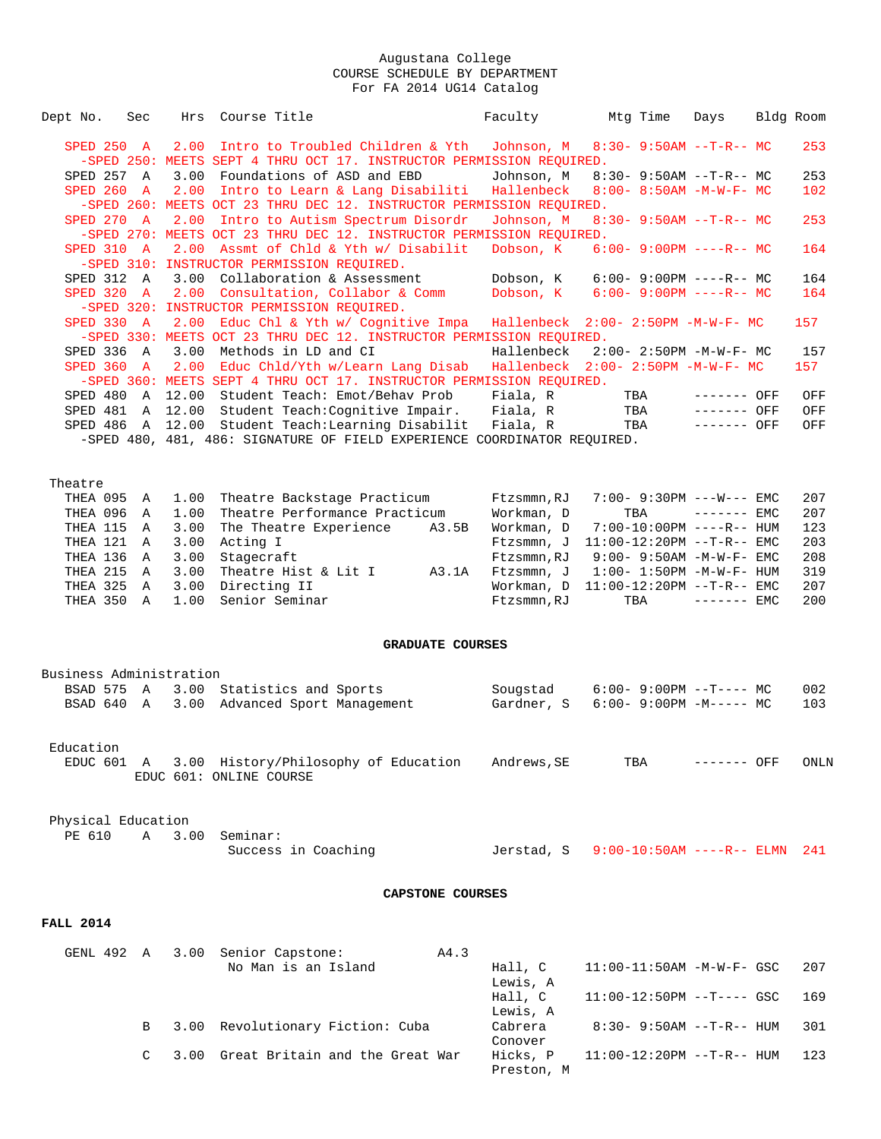| Dept No.                 | Sec          | Hrs          | Course Title                                                                                             | Faculty             |                                          | Mtg Time | Days                                                          | Bldg Room |
|--------------------------|--------------|--------------|----------------------------------------------------------------------------------------------------------|---------------------|------------------------------------------|----------|---------------------------------------------------------------|-----------|
| SPED 250 A               |              | 2.00         | Intro to Troubled Children & Yth                                                                         | Johnson, M          |                                          |          | $8:30 - 9:50AM -T-R-- MC$                                     | 253       |
|                          |              |              | -SPED 250: MEETS SEPT 4 THRU OCT 17. INSTRUCTOR PERMISSION REQUIRED.<br>Foundations of ASD and EBD       | Johnson, M          |                                          |          |                                                               | 253       |
| SPED 257 A<br>SPED 260 A |              | 3.00<br>2.00 |                                                                                                          | Hallenbeck          |                                          |          | $8:30 - 9:50AM -T-R-- MC$<br>$8:00 - 8:50AM - M - W - F - MC$ | 102       |
|                          |              |              | Intro to Learn & Lang Disabiliti<br>-SPED 260: MEETS OCT 23 THRU DEC 12. INSTRUCTOR PERMISSION REQUIRED. |                     |                                          |          |                                                               |           |
| SPED 270 A               |              |              | 2.00 Intro to Autism Spectrum Disordr                                                                    | Johnson, M          |                                          |          | $8:30 - 9:50AM -T-R-- MC$                                     | 253       |
|                          |              |              |                                                                                                          |                     |                                          |          |                                                               |           |
|                          |              |              | -SPED 270: MEETS OCT 23 THRU DEC 12. INSTRUCTOR PERMISSION REQUIRED.                                     |                     |                                          |          |                                                               |           |
| SPED 310 A               |              |              | 2.00 Assmt of Chld & Yth w/ Disabilit<br>-SPED 310: INSTRUCTOR PERMISSION REOUIRED.                      | Dobson, K           |                                          |          | $6:00 - 9:00PM$ ----R-- MC                                    | 164       |
|                          |              |              |                                                                                                          |                     |                                          |          |                                                               |           |
| SPED 312 A               |              |              | 3.00 Collaboration & Assessment                                                                          | Dobson, K           |                                          |          | $6:00-9:00PM$ ----R-- MC                                      | 164       |
| SPED 320 A               |              |              | 2.00 Consultation, Collabor & Comm                                                                       | Dobson, K           |                                          |          | $6:00 - 9:00PM$ ----R-- MC                                    | 164       |
|                          |              |              | -SPED 320: INSTRUCTOR PERMISSION REQUIRED.                                                               |                     |                                          |          |                                                               |           |
| SPED 330 A               |              |              | 2.00 Educ Chl & Yth w/ Cognitive Impa                                                                    |                     | Hallenbeck 2:00- 2:50PM -M-W-F- MC       |          |                                                               | 157       |
|                          |              |              | -SPED 330: MEETS OCT 23 THRU DEC 12. INSTRUCTOR PERMISSION REQUIRED.                                     |                     |                                          |          |                                                               |           |
| SPED 336 A               |              | 3.00         | Methods in LD and CI                                                                                     | Hallenbeck          |                                          |          | $2:00 - 2:50PM -M-W-F - MC$                                   | 157       |
| SPED 360 A               |              | 2.00         | Educ Chld/Yth w/Learn Lang Disab                                                                         |                     | Hallenbeck 2:00- 2:50PM -M-W-F- MC       |          |                                                               | 157       |
|                          |              |              | -SPED 360: MEETS SEPT 4 THRU OCT 17. INSTRUCTOR PERMISSION REQUIRED.                                     |                     |                                          |          |                                                               |           |
| SPED 480 A               |              | 12.00        | Student Teach: Emot/Behav Prob                                                                           | Fiala, R            |                                          | TBA      | ------- OFF                                                   | OFF       |
| SPED 481 A               |              |              | 12.00 Student Teach: Cognitive Impair.                                                                   | Fiala, R            |                                          | TBA      | ------- OFF                                                   | OFF       |
|                          |              |              | SPED 486 A 12.00 Student Teach: Learning Disabilit                                                       | Fiala, R            |                                          | TBA      | ------- OFF                                                   | OFF       |
|                          |              |              | -SPED 480, 481, 486: SIGNATURE OF FIELD EXPERIENCE COORDINATOR REQUIRED.                                 |                     |                                          |          |                                                               |           |
|                          |              |              |                                                                                                          |                     |                                          |          |                                                               |           |
| Theatre                  |              |              |                                                                                                          |                     |                                          |          |                                                               |           |
| THEA 095                 | A            | 1.00         | Theatre Backstage Practicum                                                                              | Ftzsmmn, RJ         |                                          |          | $7:00 - 9:30PM$ ---W--- EMC                                   | 207       |
| THEA 096 A               |              | 1.00         | Theatre Performance Practicum                                                                            | Workman, D          |                                          | TBA      | $------$ EMC                                                  | 207       |
| THEA 115                 | A            | 3.00         | The Theatre Experience                                                                                   | A3.5B<br>Workman, D |                                          |          | 7:00-10:00PM ----R-- HUM                                      | 123       |
| THEA 121                 | Α            | 3.00         | Acting I                                                                                                 | Ftzsmmn, J          |                                          |          | $11:00-12:20PM$ --T-R-- EMC                                   | 203       |
| THEA 136                 | A            | 3.00         | Stagecraft                                                                                               | Ftzsmmn, RJ         |                                          |          | $9:00 - 9:50AM - M-W-F - EMC$                                 | 208       |
| THEA 215                 | A            | 3.00         | Theatre Hist & Lit I                                                                                     | A3.1A<br>Ftzsmmn, J |                                          |          | $1:00 - 1:50PM - M - W - F - HUM$                             | 319       |
| THEA 325                 | Α            | 3.00         | Directing II                                                                                             | Workman, D          |                                          |          | $11:00-12:20PM -T-R--EMC$                                     | 207       |
| THEA 350 A               |              | 1.00         | Senior Seminar                                                                                           | Ftzsmmn, RJ         |                                          | TBA      | $------$ EMC                                                  | 200       |
|                          |              |              |                                                                                                          |                     |                                          |          |                                                               |           |
|                          |              |              | <b>GRADUATE COURSES</b>                                                                                  |                     |                                          |          |                                                               |           |
| Business Administration  |              |              |                                                                                                          |                     |                                          |          |                                                               |           |
| BSAD 575                 | A            | 3.00         | Statistics and Sports                                                                                    | Sougstad            |                                          |          | $6:00-9:00PM$ --T---- MC                                      | 002       |
| BSAD 640 A               |              | 3.00         | Advanced Sport Management                                                                                | Gardner, S          |                                          |          | $6:00-9:00PM -M----- MC$                                      | 103       |
|                          |              |              |                                                                                                          |                     |                                          |          |                                                               |           |
| Education                |              |              |                                                                                                          |                     |                                          |          |                                                               |           |
| EDUC 601 A               |              |              | 3.00 History/Philosophy of Education                                                                     | Andrews, SE         |                                          | TBA      | ------- OFF                                                   | ONLN      |
|                          |              |              | EDUC 601: ONLINE COURSE                                                                                  |                     |                                          |          |                                                               |           |
|                          |              |              |                                                                                                          |                     |                                          |          |                                                               |           |
|                          |              |              |                                                                                                          |                     |                                          |          |                                                               |           |
| Physical Education       |              |              |                                                                                                          |                     |                                          |          |                                                               |           |
| PE 610                   | $\mathbb{A}$ | 3.00         | Seminar:                                                                                                 |                     |                                          |          |                                                               |           |
|                          |              |              | Success in Coaching                                                                                      |                     | Jerstad, S 9:00-10:50AM ----R-- ELMN 241 |          |                                                               |           |
|                          |              |              |                                                                                                          |                     |                                          |          |                                                               |           |
|                          |              |              | CAPSTONE COURSES                                                                                         |                     |                                          |          |                                                               |           |
| <b>FALL 2014</b>         |              |              |                                                                                                          |                     |                                          |          |                                                               |           |
| GENL 492 A               |              |              | 3.00 Senior Capstone:                                                                                    | A4.3                |                                          |          |                                                               |           |
|                          |              |              | No Man is an Island                                                                                      | Hall, C             |                                          |          | $11:00-11:50AM$ -M-W-F- GSC                                   | 207       |
|                          |              |              |                                                                                                          | Lewis, A            |                                          |          |                                                               |           |
|                          |              |              |                                                                                                          | Hall, C             |                                          |          | $11:00-12:50PM$ --T---- GSC                                   | 169       |
|                          |              |              |                                                                                                          | Lewis, A            |                                          |          |                                                               |           |
|                          | В            |              | 3.00 Revolutionary Fiction: Cuba                                                                         | Cabrera             |                                          |          | $8:30 - 9:50AM -T-R-- HUM$                                    | 301       |
|                          |              |              |                                                                                                          |                     |                                          |          |                                                               |           |

**Conover** Conover C 3.00 Great Britain and the Great War Hicks, P 11:00-12:20PM --T-R-- HUM 123

Preston, M